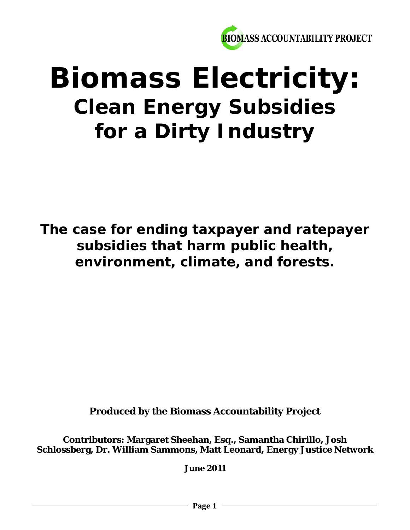

# **Biomass Electricity: Clean Energy Subsidies for a Dirty Industry**

*The case for ending taxpayer and ratepayer subsidies that harm public health, environment, climate, and forests.*

**Produced by the Biomass Accountability Project**

**Contributors: Margaret Sheehan, Esq., Samantha Chirillo, Josh Schlossberg, Dr. William Sammons, Matt Leonard, Energy Justice Network**

**June 2011**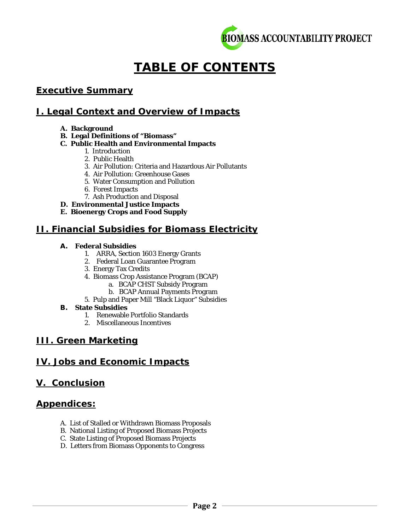

# **TABLE OF CONTENTS**

# *Executive Summary*

## **I. Legal Context and Overview of Impacts**

#### **A. Background**

**B. Legal Definitions of "Biomass"**

#### **C. Public Health and Environmental Impacts**

- 1. Introduction
	- 2. Public Health
- 3. Air Pollution: Criteria and Hazardous Air Pollutants
- 4. Air Pollution: Greenhouse Gases
- 5. Water Consumption and Pollution
- 6. Forest Impacts
- 7. Ash Production and Disposal
- **D. Environmental Justice Impacts**
- **E. Bioenergy Crops and Food Supply**

# **II. Financial Subsidies for Biomass Electricity**

#### **A. Federal Subsidies**

- 1. ARRA, Section 1603 Energy Grants
- 2. Federal Loan Guarantee Program
- 3. Energy Tax Credits
- 4. Biomass Crop Assistance Program (BCAP)
	- a. BCAP CHST Subsidy Program
	- b. BCAP Annual Payments Program
- 5. Pulp and Paper Mill "Black Liquor" Subsidies

#### **B. State Subsidies**

- 1. Renewable Portfolio Standards
- 2. Miscellaneous Incentives

# **III. Green Marketing**

# **IV. Jobs and Economic Impacts**

#### **V. Conclusion**

#### *Appendices:*

- A. List of Stalled or Withdrawn Biomass Proposals
- B. National Listing of Proposed Biomass Projects
- C. State Listing of Proposed Biomass Projects
- D. Letters from Biomass Opponents to Congress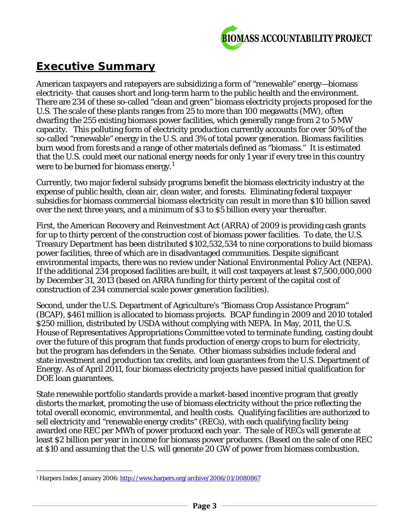

# *Executive Summary*

American taxpayers and ratepayers are subsidizing a form of "renewable" energy—biomass electricity- that causes short and long-term harm to the public health and the environment. There are 234 of these so-called "clean and green" biomass electricity projects proposed for the U.S. The scale of these plants ranges from 25 to more than 100 megawatts (MW), often dwarfing the 255 existing biomass power facilities, which generally range from 2 to 5 MW capacity. This polluting form of electricity production currently accounts for over 50% of the so-called "renewable" energy in the U.S. and 3% of total power generation. Biomass facilities burn wood from forests and a range of other materials defined as "biomass." It is estimated that the U.S. could meet our national energy needs for only 1 year if every tree in this country were to be burned for biomass energy.<sup>[1](#page-2-0)</sup>

Currently, two major federal subsidy programs benefit the biomass electricity industry at the expense of public health, clean air, clean water, and forests. Eliminating federal taxpayer subsidies for biomass commercial biomass electricity can result in more than \$10 billion saved over the next three years, and a minimum of \$3 to \$5 billion every year thereafter.

First, the American Recovery and Reinvestment Act (ARRA) of 2009 is providing cash grants for up to thirty percent of the construction cost of biomass power facilities. To date, the U.S. Treasury Department has been distributed \$102,532,534 to nine corporations to build biomass power facilities, three of which are in disadvantaged communities. Despite significant environmental impacts, there was no review under National Environmental Policy Act (NEPA). If the additional 234 proposed facilities are built, it will cost taxpayers at least \$7,500,000,000 by December 31, 2013 (based on ARRA funding for thirty percent of the capital cost of construction of 234 commercial scale power generation facilities).

Second, under the U.S. Department of Agriculture's "Biomass Crop Assistance Program" (BCAP), \$461 million is allocated to biomass projects. BCAP funding in 2009 and 2010 totaled \$250 million, distributed by USDA without complying with NEPA. In May, 2011, the U.S. House of Representatives Appropriations Committee voted to terminate funding, casting doubt over the future of this program that funds production of energy crops to burn for electricity, but the program has defenders in the Senate. Other biomass subsidies include federal and state investment and production tax credits, and loan guarantees from the U.S. Department of Energy. As of April 2011, four biomass electricity projects have passed initial qualification for DOE loan guarantees.

State renewable portfolio standards provide a market-based incentive program that greatly distorts the market, promoting the use of biomass electricity without the price reflecting the total overall economic, environmental, and health costs. Qualifying facilities are authorized to sell electricity and "renewable energy credits" (RECs), with each qualifying facility being awarded one REC per MWh of power produced each year. The sale of RECs will generate at least \$2 billion per year in income for biomass power producers. (Based on the sale of one REC at \$10 and assuming that the U.S. will generate 20 GW of power from biomass combustion.

<span id="page-2-0"></span>l <sup>1</sup> Harpers Index January 2006[: http://www.harpers.org/archive/2006/01/0080867](http://www.harpers.org/archive/2006/01/0080867)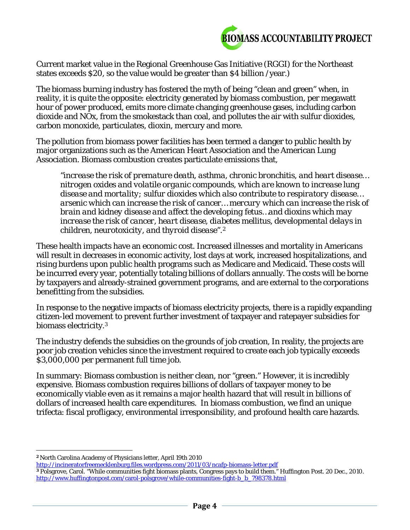

Current market value in the Regional Greenhouse Gas Initiative (RGGI) for the Northeast states exceeds \$20, so the value would be greater than \$4 billion /year.)

The biomass burning industry has fostered the myth of being "clean and green" when, in reality, it is quite the opposite: electricity generated by biomass combustion, per megawatt hour of power produced, emits more climate changing greenhouse gases, including carbon dioxide and NOx, from the smokestack than coal, and pollutes the air with sulfur dioxides, carbon monoxide, particulates, dioxin, mercury and more.

The pollution from biomass power facilities has been termed a danger to public health by major organizations such as the American Heart Association and the American Lung Association. Biomass combustion creates particulate emissions that,

*"increase the risk of premature death, asthma, chronic bronchitis, and heart disease… nitrogen oxides and volatile organic compounds, which are known to increase lung disease and mortality; sulfur dioxides which also contribute to respiratory disease… arsenic which can increase the risk of cancer… mercury which can increase the risk of brain and kidney disease and affect the developing fetus…and dioxins which may increase the risk of cancer, heart disease, diabetes mellitus, developmental delays in children, neurotoxicity, and thyroid disease".[2](#page-3-0)*

These health impacts have an economic cost. Increased illnesses and mortality in Americans will result in decreases in economic activity, lost days at work, increased hospitalizations, and rising burdens upon public health programs such as Medicare and Medicaid. These costs will be incurred every year, potentially totaling billions of dollars annually. The costs will be borne by taxpayers and already-strained government programs, and are external to the corporations benefitting from the subsidies.

In response to the negative impacts of biomass electricity projects, there is a rapidly expanding citizen-led movement to prevent further investment of taxpayer and ratepayer subsidies for biomass electricity.[3](#page-3-1)

The industry defends the subsidies on the grounds of job creation, In reality, the projects are poor job creation vehicles since the investment required to create each job typically exceeds \$3,000,000 per permanent full time job.

In summary: Biomass combustion is neither clean, nor "green." However, it is incredibly expensive. Biomass combustion requires billions of dollars of taxpayer money to be economically viable even as it remains a major health hazard that will result in billions of dollars of increased health care expenditures. In biomass combustion, we find an unique trifecta: fiscal profligacy, environmental irresponsibility, and profound health care hazards.

<span id="page-3-0"></span> $\overline{a}$ **<sup>2</sup>** North Carolina Academy of Physicians letter, April 19th 2010

<http://incineratorfreemecklenburg.files.wordpress.com/2011/03/ncafp-biomass-letter.pdf>

<span id="page-3-1"></span>**<sup>3</sup>** Polsgrove, Carol. "While communities fight biomass plants, Congress pays to build them." Huffington Post. 20 Dec., 2010. [http://www.huffingtonpost.com/carol-polsgrove/while-communities-fight-b\\_b\\_798378.html](http://www.huffingtonpost.com/carol-polsgrove/while-communities-fight-b_b_798378.html)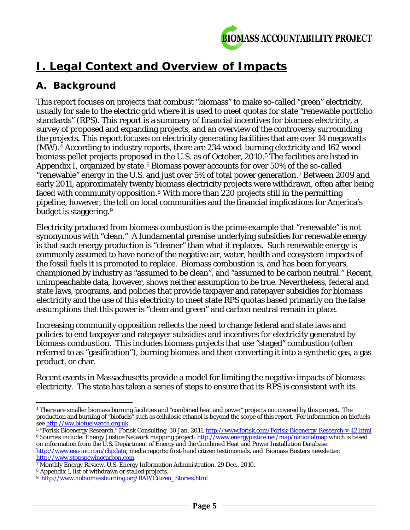

# **I. Legal Context and Overview of Impacts**

# **A. Background**

This report focuses on projects that combust "biomass" to make so-called "green" electricity, usually for sale to the electric grid where it is used to meet quotas for state "renewable portfolio standards" (RPS). This report is a summary of financial incentives for biomass electricity, a survey of proposed and expanding projects, and an overview of the controversy surrounding the projects. This report focuses on electricity generating facilities that are over 14 megawatts (MW).[4](#page-4-0) According to industry reports, there are 234 wood-burning electricity and 162 wood biomass pellet projects proposed in the U.S. as of October, 2010.<sup>[5](#page-4-1)</sup> The facilities are listed in Appendix I, organized by state.<sup>[6](#page-4-2)</sup> Biomass power accounts for over 50% of the so-called "renewable" energy in the U.S. and just over 5% of total power generation.[7](#page-4-3) Between 2009 and early 2011, approximately twenty biomass electricity projects were withdrawn, often after being faced with community opposition.[8](#page-4-4) With more than 220 projects still in the permitting pipeline, however, the toll on local communities and the financial implications for America's budget is staggering.[9](#page-4-5)

Electricity produced from biomass combustion is the prime example that "renewable" is not synonymous with "clean." A fundamental premise underlying subsidies for renewable energy is that such energy production is "cleaner" than what it replaces. Such renewable energy is commonly assumed to have none of the negative air, water, health and ecosystem impacts of the fossil fuels it is promoted to replace. Biomass combustion is, and has been for years, championed by industry as "assumed to be clean", and "assumed to be carbon neutral." Recent, unimpeachable data, however, shows neither assumption to be true. Nevertheless, federal and state laws, programs, and policies that provide taxpayer and ratepayer subsidies for biomass electricity and the use of this electricity to meet state RPS quotas based primarily on the false assumptions that this power is "clean and green" and carbon neutral remain in place.

Increasing community opposition reflects the need to change federal and state laws and policies to end taxpayer and ratepayer subsidies and incentives for electricity generated by biomass combustion. This includes biomass projects that use "staged" combustion (often referred to as "gasification"), burning biomass and then converting it into a synthetic gas, a gas product, or char.

Recent events in Massachusetts provide a model for limiting the negative impacts of biomass electricity. The state has taken a series of steps to ensure that its RPS is consistent with its

<span id="page-4-0"></span> $\overline{a}$ <sup>4</sup> There are smaller biomass burning facilities and "combined heat and power" projects not covered by this project. The production and burning of "biofuels" such as cellulosic ethanol is beyond the scope of this report. For information on biofuels see [http://ww.biofuelwatch.org.uk](http://ww.biofuelwatch.org.uk/)

<span id="page-4-2"></span><span id="page-4-1"></span><sup>&</sup>lt;sup>5</sup> "Forisk Bioenergy Research." Forisk Consulting. 30 Jan. 2011[. http://www.forisk.com/Forisk-Bioenergy-Research-v-42.html](http://www.forisk.com/Forisk-Bioenergy-Research-v-42.html) <sup>6</sup> Sources include: Energy Justice Network mapping project[: http://www.energyjustice.net/map/nationalmap](http://www.energyjustice.net/map/nationalmap) which is based on information from the U.S. Department of Energy and the Combined Heat and Power Installation Database: [http://www.eea-inc.com/chpdata;](http://www.eea-inc.com/chpdata) media reports; first-hand citizen testimonials, and Biomass Busters newsletter:

[http://www.stopspewingcarbon.com](http://www.stopspewingcarbon.com/) <sup>7</sup> Monthly Energy Review. U.S. Energy Information Administration. 29 Dec., 2010.

<span id="page-4-4"></span><span id="page-4-3"></span><sup>8</sup> Appendix 1, list of withdrawn or stalled projects.

<span id="page-4-5"></span><sup>9</sup> [http://www.nobiomassburning.org/BAP/Citizen\\_Stories.html](http://www.nobiomassburning.org/BAP/Citizen_Stories.html)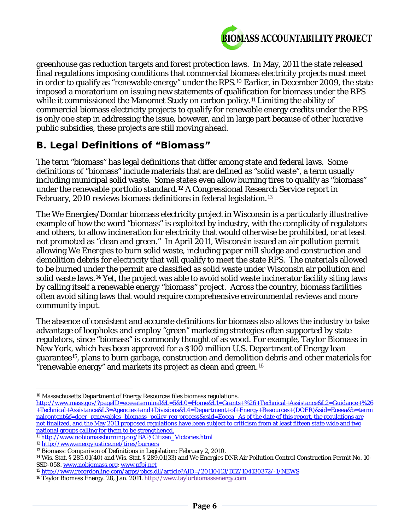

greenhouse gas reduction targets and forest protection laws. In May, 2011 the state released final regulations imposing conditions that commercial biomass electricity projects must meet in order to qualify as "renewable energy" under the RPS.[10](#page-5-0) Earlier, in December 2009, the state imposed a moratorium on issuing new statements of qualification for biomass under the RPS while it commissioned the Manomet Study on carbon policy.<sup>[11](#page-5-1)</sup> Limiting the ability of commercial biomass electricity projects to qualify for renewable energy credits under the RPS is only one step in addressing the issue, however, and in large part because of other lucrative public subsidies, these projects are still moving ahead.

# **B. Legal Definitions of "Biomass"**

The term "biomass" has legal definitions that differ among state and federal laws. Some definitions of "biomass" include materials that are defined as "solid waste", a term usually including municipal solid waste. Some states even allow burning tires to qualify as "biomass" under the renewable portfolio standard.[12](#page-5-2) A Congressional Research Service report in February, 2010 reviews biomass definitions in federal legislation.[13](#page-5-3)

The We Energies/Domtar biomass electricity project in Wisconsin is a particularly illustrative example of how the word "biomass" is exploited by industry, with the complicity of regulators and others, to allow incineration for electricity that would otherwise be prohibited, or at least not promoted as "clean and green." In April 2011, Wisconsin issued an air pollution permit allowing *We Energies* to burn solid waste, including paper mill sludge and construction and demolition debris for electricity that will qualify to meet the state RPS. The materials allowed to be burned under the permit are classified as solid waste under Wisconsin air pollution and solid waste laws.[14](#page-5-4) Yet, the project was able to avoid solid waste incinerator facility siting laws by calling itself a renewable energy "biomass" project. Across the country, biomass facilities often avoid siting laws that would require comprehensive environmental reviews and more community input.

The absence of consistent and accurate definitions for biomass also allows the industry to take advantage of loopholes and employ "green" marketing strategies often supported by state regulators, since "biomass" is commonly thought of as wood. For example, *Taylor Biomass* in New York, which has been approved for a \$100 million U.S. Department of Energy loan guarantee[15,](#page-5-5) plans to burn garbage, construction and demolition debris and other materials for "renewable energy" and markets its project as clean and green.[16](#page-5-6)

l <sup>10</sup> Massachusetts Department of Energy Resources files biomass regulations.

<span id="page-5-0"></span>http://www.mass.gov/?pageID=eoeeaterminal&L=5&L0=Home&L1=Grants+%26+Technical+Assistance&L2=Guidance+%26 +Technical+Assistance&L3=Agencies+and+Divisions&L4=Department+of+Energy+Resources+(DOER)&sid=Eoeea&b=termi nalcontent&f=doer\_renewables\_biomass\_policy-reg-process&csid=Eoeea As of the date of this report, the regulations are not finalized, and the May 2011 proposed regulations have been subject to criticism from at least fifteen state wide and two national groups calling for them to be strengthened.

<span id="page-5-1"></span><sup>11</sup> [http://www.nobiomassburning.org/BAP/Citizen\\_Victories.html](http://www.nobiomassburning.org/BAP/Citizen_Victories.html)

<span id="page-5-2"></span><sup>12</sup> http://www.energyjustice.net/tires/burners

<span id="page-5-4"></span><span id="page-5-3"></span><sup>&</sup>lt;sup>13</sup> Biomass: Comparison of Definitions in Legislation: February 2, 2010.<br><sup>14</sup> Wis. Stat. § 285.01(40) and Wis. Stat. § 289.01(33) and We Energies DNR Air Pollution Control Construction Permit No. 10-SSD-058[. www.nobiomass.org;](http://www.nobiomass.org/) www.pfpi.net

<span id="page-5-5"></span><sup>15</sup> <http://www.recordonline.com/apps/pbcs.dll/article?AID=/20110413/BIZ/104130372/-1/NEWS>

<span id="page-5-6"></span><sup>16</sup> Taylor Biomass Energy. 28, Jan. 2011[. http://www.taylorbiomassenergy.com](http://www.taylorbiomassenergy.com/)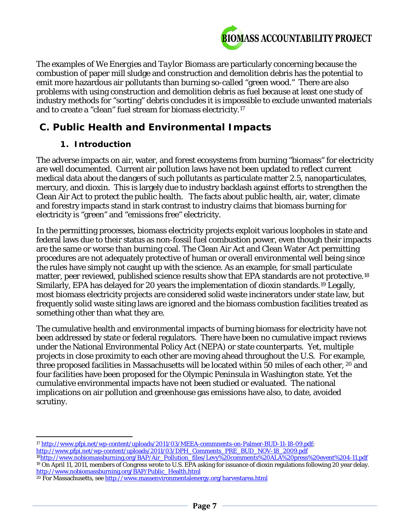

The examples of *We Energies* and *Taylor Biomass* are particularly concerning because the combustion of paper mill sludge and construction and demolition debris has the potential to emit more hazardous air pollutants than burning so-called "green wood." There are also problems with using construction and demolition debris as fuel because at least one study of industry methods for "sorting" debris concludes it is impossible to exclude unwanted materials and to create a "clean" fuel stream for biomass electricity.[17](#page-6-0)

# **C. Public Health and Environmental Impacts**

#### *1. Introduction*

The adverse impacts on air, water, and forest ecosystems from burning "biomass" for electricity are well documented. Current air pollution laws have not been updated to reflect current medical data about the dangers of such pollutants as particulate matter 2.5, nanoparticulates, mercury, and dioxin. This is largely due to industry backlash against efforts to strengthen the Clean Air Act to protect the public health. The facts about public health, air, water, climate and forestry impacts stand in stark contrast to industry claims that biomass burning for electricity is "green" and "emissions free" electricity.

In the permitting processes, biomass electricity projects exploit various loopholes in state and federal laws due to their status as non-fossil fuel combustion power, even though their impacts are the same or worse than burning coal. The Clean Air Act and Clean Water Act permitting procedures are not adequately protective of human or overall environmental well being since the rules have simply not caught up with the science. As an example, for small particulate matter, peer reviewed, published science results show that EPA standards are not protective.<sup>18</sup> Similarly, EPA has delayed for 20 years the implementation of dioxin standards.[19](#page-6-2) Legally, most biomass electricity projects are considered solid waste incinerators under state law, but frequently solid waste siting laws are ignored and the biomass combustion facilities treated as something other than what they are.

The cumulative health and environmental impacts of burning biomass for electricity have not been addressed by state or federal regulators. There have been no cumulative impact reviews under the National Environmental Policy Act (NEPA) or state counterparts. Yet, multiple projects in close proximity to each other are moving ahead throughout the U.S. For example, three proposed facilities in Massachusetts will be located within 50 miles of each other, [20](#page-6-3) and four facilities have been proposed for the Olympic Peninsula in Washington state. Yet the cumulative environmental impacts have not been studied or evaluated. The national implications on air pollution and greenhouse gas emissions have also, to date, avoided scrutiny.

<span id="page-6-0"></span> $\overline{a}$ <sup>17</sup> [http://www.pfpi.net/wp-content/uploads/2011/03/MEEA-commnents-on-Palmer-BUD-11-18-09.pdf;](http://www.pfpi.net/wp-content/uploads/2011/03/MEEA-commnents-on-Palmer-BUD-11-18-09.pdf) [http://www.pfpi.net/wp-content/uploads/2011/03/DPH\\_Comments\\_PRE\\_BUD\\_NOV-18\\_2009.pdf](http://www.pfpi.net/wp-content/uploads/2011/03/DPH_Comments_PRE_BUD_NOV-18_2009.pdf)

<span id="page-6-2"></span><span id="page-6-1"></span><sup>&</sup>lt;sup>18</sup>http://www.nobiomassburning.org/BAP/Air\_Pollution\_files/Levy%20comments%20ALA%20press%20event%204-11.pdf <sup>19</sup> On April 11, 2011, members of Congress wrote to U.S. EPA asking for issuance of dioxin regulations following 20 year delay. [http://www.nobiomassburning.org/BAP/Public\\_Health.html](http://www.nobiomassburning.org/BAP/Public_Health.html)

<span id="page-6-3"></span><sup>&</sup>lt;sup>20</sup> For Massachusetts, see <http://www.massenvironmentalenergy.org/harvestarea.html>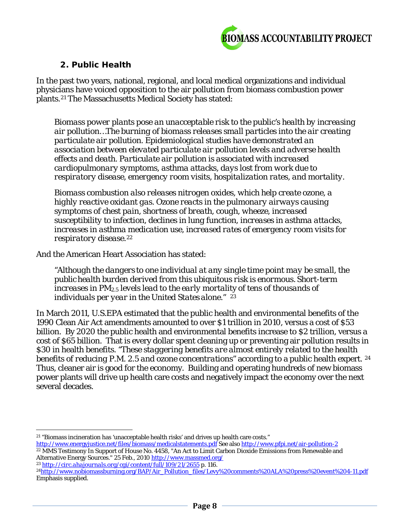

#### *2. Public Health*

In the past two years, national, regional, and local medical organizations and individual physicians have voiced opposition to the air pollution from biomass combustion power plants.[21](#page-7-0) The Massachusetts Medical Society has stated:

*Biomass power plants pose an unacceptable risk to the public's health by increasing air pollution…The burning of biomass releases small particles into the air creating particulate air pollution. Epidemiological studies have demonstrated an association between elevated particulate air pollution levels and adverse health effects and death. Particulate air pollution is associated with increased cardiopulmonary symptoms, asthma attacks, days lost from work due to respiratory disease, emergency room visits, hospitalization rates, and mortality.*

*Biomass combustion also releases nitrogen oxides, which help create ozone, a highly reactive oxidant gas. Ozone reacts in the pulmonary airways causing symptoms of chest pain, shortness of breath, cough, wheeze, increased susceptibility to infection, declines in lung function, increases in asthma attacks, increases in asthma medication use, increased rates of emergency room visits for respiratory disease.[22](#page-7-1)*

And the American Heart Association has stated:

*"Although the dangers to one individual at any single time point may be small, the public health burden derived from this ubiquitous risk is enormous. Short-term increases in PM2.5 levels lead to the early mortality of tens of thousands of individuals per year in the United States alone." [23](#page-7-2)* 

In March 2011, U.S.EPA estimated that the public health and environmental benefits of the 1990 Clean Air Act amendments amounted to over \$1 trillion in 2010, versus a cost of \$53 billion. By 2020 the public health and environmental benefits increase to \$2 trillion, versus a cost of \$65 billion. That is every dollar spent cleaning up or preventing air pollution results in \$30 in health benefits. *"These staggering benefits are almost entirely related to the health benefits of reducing P.M. 2.5 and ozone concentrations"* according to a public health expert. [24](#page-7-3)  Thus, cleaner air is good for the economy. Building and operating hundreds of new biomass power plants will drive up health care costs and negatively impact the economy over the next several decades.

 $\overline{a}$ <sup>21</sup> "Biomass incineration has 'unacceptable health risks' and drives up health care costs."

<span id="page-7-1"></span><span id="page-7-0"></span>[http://www.energyjustice.net/files/biomass/medicalstatements.pdf](http://www.energyjustice.net/files/biomass/medicalstatements.pdf;) See als[o http://www.pfpi.net/air-pollution-2](http://www.pfpi.net/air-pollution-2) <sup>22</sup> MMS Testimony In Support of House No. 4458, "An Act to Limit Carbon Dioxide Emissions from Renewable and Alternative Energy Sources." 25 Feb., 2010 http://www.massmed.org/

<span id="page-7-2"></span><sup>23</sup> *<http://circ.ahajournals.org/cgi/content/full/109/21/2655>* p. 116.

<span id="page-7-3"></span><sup>&</sup>lt;sup>24</sup>http://www.nobiomassburning.org/BAP/Air\_Pollution\_files/Levy%20comments%20ALA%20press%20event%204-11.pdf Emphasis supplied.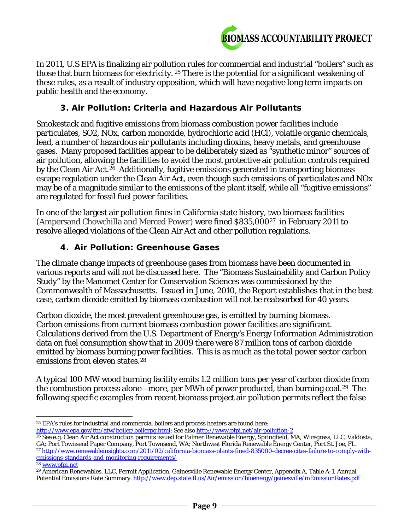

In 2011, U.S EPA is finalizing air pollution rules for commercial and industrial "boilers" such as those that burn biomass for electricity. [25](#page-8-0) There is the potential for a significant weakening of these rules, as a result of industry opposition, which will have negative long term impacts on public health and the economy.

#### *3. Air Pollution: Criteria and Hazardous Air Pollutants*

Smokestack and fugitive emissions from biomass combustion power facilities include particulates, SO2, NOx, carbon monoxide, hydrochloric acid (HCl), volatile organic chemicals, lead, a number of hazardous air pollutants including dioxins, heavy metals, and greenhouse gases. Many proposed facilities appear to be deliberately sized as "synthetic minor" sources of air pollution, allowing the facilities to avoid the most protective air pollution controls required by the Clean Air Act.<sup>[26](#page-8-1)</sup> Additionally, fugitive emissions generated in transporting biomass escape regulation under the Clean Air Act, even though such emissions of particulates and NOx may be of a magnitude similar to the emissions of the plant itself, while all "fugitive emissions" are regulated for fossil fuel power facilities.

In one of the largest air pollution fines in California state history, two biomass facilities (Ampersand Chowchilla and Merced Power) were fined \$835,000[27](#page-8-2) in February 2011 to resolve alleged violations of the Clean Air Act and other pollution regulations.

#### *4. Air Pollution: Greenhouse Gases*

The climate change impacts of greenhouse gases from biomass have been documented in various reports and will not be discussed here. The "Biomass Sustainability and Carbon Policy Study" by the Manomet Center for Conservation Sciences was commissioned by the Commonwealth of Massachusetts. Issued in June, 2010, the Report establishes that in the best case, carbon dioxide emitted by biomass combustion will not be reabsorbed for 40 years.

Carbon dioxide, the most prevalent greenhouse gas, is emitted by burning biomass. Carbon emissions from current biomass combustion power facilities are significant. Calculations derived from the U.S. Department of Energy's Energy Information Administration data on fuel consumption show that in 2009 there were 87 million tons of carbon dioxide emitted by biomass burning power facilities. This is as much as the total power sector carbon emissions from eleven states.<sup>[28](#page-8-3)</sup>

A typical 100 MW wood burning facility emits 1.2 million tons per year of carbon dioxide from the combustion process alone—more, per MWh of power produced, than burning coal.[29](#page-8-4) The following specific examples from recent biomass project air pollution permits reflect the false

l <sup>25</sup> EPA's rules for industrial and commercial boilers and process heaters are found here:

<span id="page-8-0"></span>[http://www.epa.gov/ttn/atw/boiler/boilerpg.html;](http://www.epa.gov/ttn/atw/boiler/boilerpg.html) See als[o http://www.pfpi.net/air-pollution-2](http://www.pfpi.net/air-pollution-2)

<span id="page-8-1"></span><sup>26</sup> See e.g. Clean Air Act construction permits issued for Palmer Renewable Energy, Springfield, MA; Wiregrass, LLC, Valdosta, GA; Port Townsend Paper Company, Port Townsend, WA; Northwest Florida Renewable Energy Center, Port St. Joe, FL.

<span id="page-8-2"></span><sup>27</sup> [http://www.renewableinsights.com/2011/02/california-biomass-plants-fined-835000-decree-cites-failure-to-comply-with](http://www.renewableinsights.com/2011/02/california-biomass-plants-fined-835000-decree-cites-failure-to-comply-with-emissions-standards-and-monitoring-requirements/)[emissions-standards-and-monitoring-requirements/](http://www.renewableinsights.com/2011/02/california-biomass-plants-fined-835000-decree-cites-failure-to-comply-with-emissions-standards-and-monitoring-requirements/)

<span id="page-8-3"></span><sup>28</sup> [www.pfpi.net](http://www.pfpi.net/)

<span id="page-8-4"></span><sup>29</sup> American Renewables, LLC, Permit Application, Gainesville Renewable Energy Center, Appendix A, Table A-1, Annual Potential Emissions Rate Summary. http://www.dep.state.fl.us/Air/emission/bioenergy/gainesville/mEmissionRates.pdf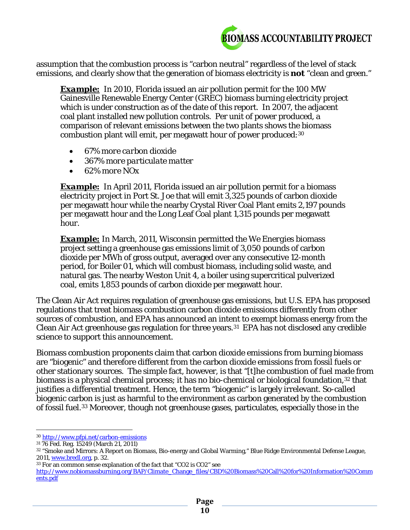

assumption that the combustion process is "carbon neutral" regardless of the level of stack emissions, and clearly show that the generation of biomass electricity is *not* "clean and green."

**Example:** In 2010, Florida issued an air pollution permit for the 100 MW Gainesville Renewable Energy Center (GREC) biomass burning electricity project which is under construction as of the date of this report. In 2007, the adjacent coal plant installed new pollution controls. Per unit of power produced, a comparison of relevant emissions between the two plants shows the biomass combustion plant will emit, per megawatt hour of power produced:[30](#page-9-0)

- *67% more carbon dioxide*
- *367% more particulate matter*
- *62% more NOx*

*Example:* In April 2011, Florida issued an air pollution permit for a biomass electricity project in Port St. Joe that will emit 3,325 pounds of carbon dioxide per megawatt hour while the nearby Crystal River Coal Plant emits 2,197 pounds per megawatt hour and the Long Leaf Coal plant 1,315 pounds per megawatt hour.

*Example:* In March, 2011, Wisconsin permitted the *We Energies* biomass project setting a greenhouse gas emissions limit of 3,050 pounds of carbon dioxide per MWh of gross output, averaged over any consecutive 12-month period, for Boiler 01, which will combust biomass, including solid waste, and natural gas. The nearby Weston Unit 4, a boiler using supercritical pulverized coal, emits 1,853 pounds of carbon dioxide per megawatt hour.

The Clean Air Act requires regulation of greenhouse gas emissions, but U.S. EPA has proposed regulations that treat biomass combustion carbon dioxide emissions differently from other sources of combustion, and EPA has announced an intent to exempt biomass energy from the Clean Air Act greenhouse gas regulation for three years.[31](#page-9-1) EPA has not disclosed any credible science to support this announcement.

Biomass combustion proponents claim that carbon dioxide emissions from burning biomass are "biogenic" and therefore different from the carbon dioxide emissions from fossil fuels or other stationary sources. The simple fact, however, is that "[t]he combustion of fuel made from biomass is a physical chemical process; it has no bio-chemical or biological foundation,<sup>[32](#page-9-2)</sup> that justifies a differential treatment. Hence, the term "biogenic" is largely irrelevant. So-called biogenic carbon is just as harmful to the environment as carbon generated by the combustion of fossil fuel.[33](#page-9-3) Moreover, though not greenhouse gases, particulates, especially those in the

 $\overline{a}$ <sup>30</sup> <http://www.pfpi.net/carbon-emissions>

<span id="page-9-1"></span><span id="page-9-0"></span><sup>31</sup> 76 Fed. Reg. 15249 (March 21, 2011)

<span id="page-9-2"></span><sup>32</sup> "Smoke and Mirrors: A Report on Biomass, Bio-energy and Global Warming," Blue Ridge Environmental Defense League, 2011, [www.bredl.org,](http://www.bredl.org/) p. 32.

<span id="page-9-3"></span><sup>33</sup> For an common sense explanation of the fact that "CO2 is CO2" see

[http://www.nobiomassburning.org/BAP/Climate\\_Change\\_files/CBD%20Biomass%20Call%20for%20Information%20Comm](http://www.nobiomassburning.org/BAP/Climate_Change_files/CBD%20Biomass%20Call%20for%20Information%20Comments.pdf) [ents.pdf](http://www.nobiomassburning.org/BAP/Climate_Change_files/CBD%20Biomass%20Call%20for%20Information%20Comments.pdf)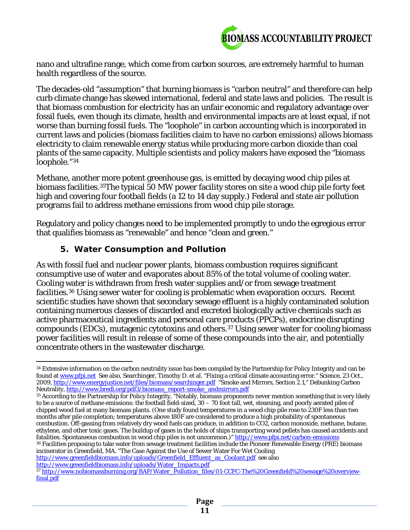

nano and ultrafine range, which come from carbon sources, are extremely harmful to human health regardless of the source.

The decades-old "assumption" that burning biomass is "carbon neutral" and therefore can help curb climate change has skewed international, federal and state laws and policies. The result is that biomass combustion for electricity has an unfair economic and regulatory advantage over fossil fuels, even though its climate, health and environmental impacts are at least equal, if not worse than burning fossil fuels. The "loophole" in carbon accounting which is incorporated in current laws and policies (biomass facilities claim to have no carbon emissions) allows biomass electricity to claim renewable energy status while producing more carbon dioxide than coal plants of the same capacity. Multiple scientists and policy makers have exposed the "biomass loophole."[34](#page-10-0)

Methane, another more potent greenhouse gas, is emitted by decaying wood chip piles at biomass facilities.[35](#page-10-1)The typical 50 MW power facility stores on site a wood chip pile forty feet high and covering four football fields (a 12 to 14 day supply.) Federal and state air pollution programs fail to address methane emissions from wood chip pile storage.

Regulatory and policy changes need to be implemented promptly to undo the egregious error that qualifies biomass as "renewable" and hence "clean and green."

#### *5. Water Consumption and Pollution*

As with fossil fuel and nuclear power plants, biomass combustion requires significant consumptive use of water and evaporates about 85% of the total volume of cooling water. Cooling water is withdrawn from fresh water supplies and/or from sewage treatment facilities.[36](#page-10-2) Using sewer water for cooling is problematic when evaporation occurs. Recent scientific studies have shown that secondary sewage effluent is a highly contaminated solution containing numerous classes of discarded and excreted biologically active chemicals such as active pharmaceutical ingredients and personal care products (PPCPs), endocrine disrupting compounds (EDCs), mutagenic cytotoxins and others.[37](#page-10-3) Using sewer water for cooling biomass power facilities will result in release of some of these compounds into the air, and potentially concentrate others in the wastewater discharge.

<span id="page-10-2"></span>incinerator in Greenfield, MA. "The Case Against the Use of Sewer Water For Wet Cooling [http://www.greenfieldbiomass.info/uploads/Greenfield\\_Effluent\\_as\\_Coolant.pdf](http://www.greenfieldbiomass.info/uploads/Greenfield_Effluent_as_Coolant.pdf) see also http://www.greenfieldbiomass.info/uploads/Water\_Impacts.pdf

<span id="page-10-0"></span>l <sup>34</sup> Extensive information on the carbon neutrality issue has been compiled by the Partnership for Policy Integrity and can be found a[t www.pfpi.net](http://www.pfpi.net/) See also, Searchinger, Timothy D. et al. "Fixing a critical climate accounting error." *Science,* 23 Oct., 2009,<http://www.energyjustice.net/files/biomass/searchinger.pdf> "Smoke and Mirrors, Section 2.1," Debunking Carbon Neutrality, <u>http://www.bredl.org/pdf3/biomass\_report-smoke\_andmirrors.pdf</u>

<span id="page-10-1"></span> $\rm ^{35}$  According to the Partnership for Policy Integrity, "Notably, biomass proponents never mention something that is very likely to be a source of methane emissions: the football field-sized, 30 – 70 foot tall, wet, steaming, and poorly aerated piles of chipped wood fuel at many biomass plants. [\(One study](http://ecpisystems.com/wcms/downloads/ChipDry-fplrn241.pdf) found temperatures in a wood chip pile rose to 230F less than two months after pile completion; temperatures above 180F are considered to produce a high probability of spontaneous combustion. Off-gassing from relatively dry wood fuels can produce, in addition to CO2, carbon monoxide, methane, butane, ethylene, and other toxic gases. The buildup of gases in the holds of ships transporting wood pellets has caused accidents and fatalities. Spontaneous combustion in wood chip piles is not uncommon.)"<http://www.pfpi.net/carbon-emissions> <sup>36</sup> Facilities proposing to take water from sewage treatment facilities include the Pioneer Renewable Energy (PRE) biomass

<span id="page-10-3"></span><sup>37</sup> [http://www.nobiomassburning.org/BAP/Water\\_Pollution\\_files/01-CCFC-The%20Greenfield%20sewage%20overview](http://www.nobiomassburning.org/BAP/Water_Pollution_files/01-CCFC-The%20Greenfield%20sewage%20overview-final.pdf)[final.pdf](http://www.nobiomassburning.org/BAP/Water_Pollution_files/01-CCFC-The%20Greenfield%20sewage%20overview-final.pdf)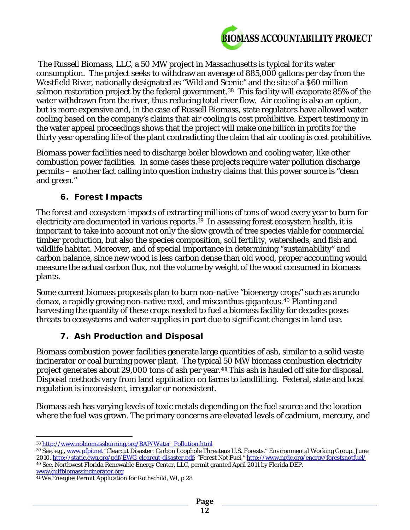

The *Russell Biomass, LLC*, a 50 MW project in Massachusetts is typical for its water consumption. The project seeks to withdraw an average of 885,000 gallons per day from the Westfield River, nationally designated as "Wild and Scenic" and the site of a \$60 million salmon restoration project by the federal government.<sup>[38](#page-11-0)</sup> This facility will evaporate 85% of the water withdrawn from the river, thus reducing total river flow. Air cooling is also an option, but is more expensive and, in the case of Russell Biomass, state regulators have allowed water cooling based on the company's claims that air cooling is cost prohibitive. Expert testimony in the water appeal proceedings shows that the project will make one billion in profits for the thirty year operating life of the plant contradicting the claim that air cooling is cost prohibitive.

Biomass power facilities need to discharge boiler blowdown and cooling water, like other combustion power facilities. In some cases these projects require water pollution discharge permits – another fact calling into question industry claims that this power source is "clean and green."

# *6. Forest Impacts*

The forest and ecosystem impacts of extracting millions of tons of wood every year to burn for electricity are documented in various reports.<sup>39</sup> In assessing forest ecosystem health, it is important to take into account not only the slow growth of tree species viable for commercial timber production, but also the species composition, soil fertility, watersheds, and fish and wildlife habitat. Moreover, and of special importance in determining "sustainability" and carbon balance, since new wood is less carbon dense than old wood, proper accounting would measure the actual carbon flux, not the volume by weight of the wood consumed in biomass plants.

Some current biomass proposals plan to burn non-native "bioenergy crops" such as *arundo donax*, a rapidly growing non-native reed, and *miscanthus giganteus*.[40](#page-11-2) Planting and harvesting the quantity of these crops needed to fuel a biomass facility for decades poses threats to ecosystems and water supplies in part due to significant changes in land use.

# *7. Ash Production and Disposal*

Biomass combustion power facilities generate large quantities of ash, similar to a solid waste incinerator or coal burning power plant. The typical 50 MW biomass combustion electricity project generates about 29,000 tons of ash per year.**[41](#page-11-3)** This ash is hauled off site for disposal. Disposal methods vary from land application on farms to landfilling. Federal, state and local regulation is inconsistent, irregular or nonexistent.

Biomass ash has varying levels of toxic metals depending on the fuel source and the location where the fuel was grown. The primary concerns are elevated levels of cadmium, mercury, and

<span id="page-11-2"></span>[www.gulfbiomassincinerator.org](http://www.gulfbiomassincinerator.org/)

 $\overline{a}$ <sup>38</sup> http://www.nobiomassburning.org/BAP/Water\_Pollution.html

<span id="page-11-1"></span><span id="page-11-0"></span><sup>39</sup> See, e.g.[, www.pfpi.net](http://www.pfpi.net/) "Clearcut Disaster: Carbon Loophole Threatens U.S. Forests." Environmental Working Group. June 2010[, http://static.ewg.org/pdf/EWG-clearcut-disaster.pdf;](http://static.ewg.org/pdf/EWG-clearcut-disaster.pdf) "Forest Not Fuel," http://www.nrdc.org/energy/forestsnotfuel/ <sup>40</sup> See, Northwest Florida Renewable Energy Center, LLC, permit granted April 2011 by Florida DEP.

<span id="page-11-3"></span><sup>41</sup> We Energies Permit Application for Rothschild, WI, p 28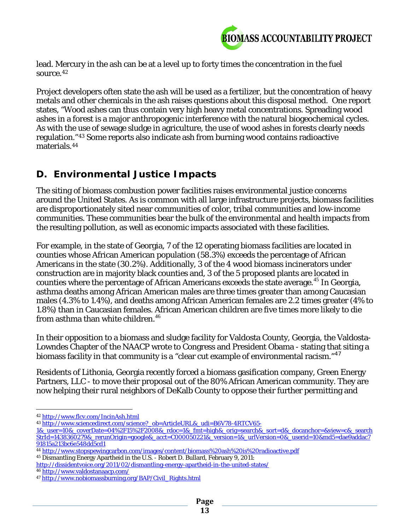

lead. Mercury in the ash can be at a level up to forty times the concentration in the fuel source.[42](#page-12-0)

Project developers often state the ash will be used as a fertilizer, but the concentration of heavy metals and other chemicals in the ash raises questions about this disposal method. One report states, "Wood ashes can thus contain very high heavy metal concentrations. Spreading wood ashes in a forest is a major anthropogenic interference with the natural biogeochemical cycles. As with the use of sewage sludge in agriculture, the use of wood ashes in forests clearly needs regulation."[43](#page-12-1) Some reports also indicate ash from burning wood contains radioactive materials.[44](#page-12-2)

# **D. Environmental Justice Impacts**

The siting of biomass combustion power facilities raises environmental justice concerns around the United States. As is common with all large infrastructure projects, biomass facilities are disproportionately sited near communities of color, tribal communities and low-income communities. These communities bear the bulk of the environmental and health impacts from the resulting pollution, as well as economic impacts associated with these facilities.

For example, in the state of Georgia, 7 of the 12 operating biomass facilities are located in counties whose African American population (58.3%) exceeds the percentage of African Americans in the state (30.2%). Additionally, 3 of the 4 wood biomass incinerators under construction are in majority black counties and, 3 of the 5 proposed plants are located in counties where the percentage of African Americans exceeds the state average. [45](#page-12-3) In Georgia, asthma deaths among African American males are three times greater than among Caucasian males (4.3% to 1.4%), and deaths among African American females are 2.2 times greater (4% to 1.8%) than in Caucasian females. African American children are five times more likely to die from asthma than white children.<sup>[46](#page-12-4)</sup>

In their opposition to a biomass and sludge facility for Valdosta County, Georgia, the Valdosta-Lowndes Chapter of the NAACP wrote to Congress and President Obama - stating that siting a biomass facility in that community is a "clear cut example of environmental racism."<sup>[47](#page-12-5)</sup>

Residents of Lithonia, Georgia recently forced a biomass gasification company, Green Energy Partners, LLC - to move their proposal out of the 80% African American community. They are now helping their rural neighbors of DeKalb County to oppose their further permitting and

 $\overline{a}$ <sup>42</sup> <http://www.flcv.com/IncinAsh.html>

<span id="page-12-1"></span><span id="page-12-0"></span><sup>43</sup> http://www.sciencedirect.com/science?\_ob=ArticleURL&\_udi=B6V78-4RTCV65-

<sup>1&</sup>amp;\_user=10&\_coverDate=04%2F15%2F2008&\_rdoc=1&\_fmt=high&\_orig=search&\_sort=d&\_docanchor=&view=c&\_search StrId=1438360279&\_rerunOrigin=google&\_acct=C000050221&\_version=1&\_urlVersion=0&\_userid=10&md5=dae9addac7 91815a213bc6e548dd5cd1

<span id="page-12-3"></span><span id="page-12-2"></span><sup>44</sup> <http://www.stopspewingcarbon.com/images/content/biomass%20ash%20is%20radioactive.pdf> <sup>45</sup> Dismantling Energy Apartheid in the U.S. - Robert D. Bullard, February 9, 2011:

<http://dissidentvoice.org/2011/02/dismantling-energy-apartheid-in-the-united-states/> <sup>46</sup> <http://www.valdostanaacp.com/>

<span id="page-12-5"></span><span id="page-12-4"></span><sup>47</sup> [http://www.nobiomassburning.org/BAP/Civil\\_Rights.html](http://www.nobiomassburning.org/BAP/Civil_Rights.html)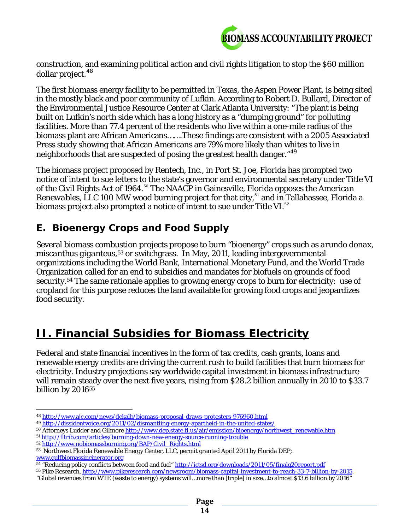

construction, and examining political action and civil rights litigation to stop the \$60 million dollar project.<sup>[48](#page-13-0)</sup>

The first biomass energy facility to be permitted in Texas, the Aspen Power Plant, is being sited in the mostly black and poor community of Lufkin. According to Robert D. Bullard, Director of the Environmental Justice Resource Center at Clark Atlanta University: "The plant is being built on Lufkin's north side which has a long history as a "dumping ground" for polluting facilities. More than 77.4 percent of the residents who live within a one-mile radius of the biomass plant are African Americans…….These findings are consistent with a 2005 Associated Press study showing that African Americans are 79% more likely than whites to live in neighborhoods that are suspected of posing the greatest health danger."<sup>[49](#page-13-1)</sup>

The biomass project proposed by *Rentech, Inc.,* in Port St. Joe, Florida has prompted two notice of intent to sue letters to the state's governor and environmental secretary under Title VI of the Civil Rights Act of 1964.<sup>[50](#page-13-2)</sup> The NAACP in Gainesville, Florida opposes the *American Renewables, LLC* 100 MW wood burning project for that city,<sup>[51](#page-13-3)</sup> and in Tallahassee, Florida a biomass project also prompted a notice of intent to sue under Title VI.<sup>[52](#page-13-4)</sup>

# **E. Bioenergy Crops and Food Supply**

Several biomass combustion projects propose to burn "bioenergy" crops such as *arundo donax*, *miscanthus giganteus*,[53](#page-13-5) or switchgrass. In May, 2011, leading intergovernmental organizations including the World Bank, International Monetary Fund, and the World Trade Organization called for an end to subsidies and mandates for biofuels on grounds of food security.<sup>[54](#page-13-6)</sup> The same rationale applies to growing energy crops to burn for electricity: use of cropland for this purpose reduces the land available for growing food crops and jeopardizes food security.

# **II. Financial Subsidies for Biomass Electricity**

Federal and state financial incentives in the form of tax credits, cash grants, loans and renewable energy credits are driving the current rush to build facilities that burn biomass for electricity. Industry projections say worldwide capital investment in biomass infrastructure will remain steady over the next five years, rising from \$28.2 billion annually in 2010 to \$33.7 billion by 2016<sup>[55](#page-13-7)</sup>

 $\overline{a}$ <sup>48</sup> <http://www.ajc.com/news/dekalb/biomass-proposal-draws-protesters-976960.html>

<span id="page-13-1"></span><span id="page-13-0"></span><sup>49</sup> <http://dissidentvoice.org/2011/02/dismantling-energy-apartheid-in-the-united-states/>

<span id="page-13-2"></span><sup>50</sup> Attorneys Ludder and Gilmore [http://www.dep.state.fl.us/air/emission/bioenergy/northwest\\_renewable.htm](http://www.dep.state.fl.us/air/emission/bioenergy/northwest_renewable.htm)

<span id="page-13-3"></span><sup>51</sup> <http://fltrib.com/articles/burning-down-new-energy-source-running-trouble>

<span id="page-13-4"></span><sup>52</sup> [http://www.nobiomassburning.org/BAP/Civil\\_Rights.html](http://www.nobiomassburning.org/BAP/Civil_Rights.html)

<span id="page-13-5"></span><sup>53</sup> Northwest Florida Renewable Energy Center, LLC, permit granted April 2011 by Florida DEP; [www.gulfbiomassincinerator.org](http://www.gulfbiomassincinerator.org/)

<sup>54 &</sup>quot;Reducing policy conflicts between food and fuel[" http://ictsd.org/downloads/2011/05/finalg20report.pdf](http://ictsd.org/downloads/2011/05/finalg20report.pdf)

<span id="page-13-7"></span><span id="page-13-6"></span><sup>55</sup> Pike Research, [http://www.pikeresearch.com/newsroom/biomass-capital-investment-to-reach-33-7-billion-by-2015.](http://www.pikeresearch.com/newsroom/biomass-capital-investment-to-reach-33-7-billion-by-2015)

<sup>&</sup>quot;Global revenues from WTE (waste to energy) systems will…more than [triple] in size…to almost \$13.6 billion by 2016"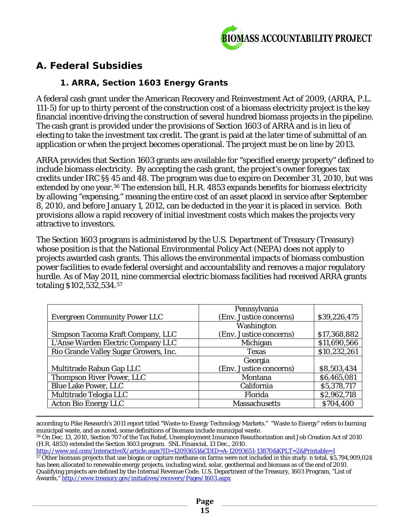

# **A. Federal Subsidies**

# *1. ARRA, Section 1603 Energy Grants*

A federal cash grant under the American Recovery and Reinvestment Act of 2009, (ARRA, P.L. 111-5) for up to thirty percent of the construction cost of a biomass electricity project is the key financial incentive driving the construction of several hundred biomass projects in the pipeline. The cash grant is provided under the provisions of Section 1603 of ARRA and is in lieu of electing to take the investment tax credit. The grant is paid at the later time of submittal of an application or when the project becomes operational. The project must be on line by 2013.

ARRA provides that Section 1603 grants are available for "specified energy property" defined to include biomass electricity. By accepting the cash grant, the project's owner foregoes tax credits under IRC §§ 45 and 48. The program was due to expire on December 31, 2010, but was extended by one year.<sup>[56](#page-14-0)</sup> The extension bill, H.R. 4853 expands benefits for biomass electricity by allowing "expensing," meaning the entire cost of an asset placed in service after September 8, 2010, and before January 1, 2012, can be deducted in the year it is placed in service. Both provisions allow a rapid recovery of initial investment costs which makes the projects very attractive to investors.

The Section 1603 program is administered by the U.S. Department of Treasury (Treasury) whose position is that the National Environmental Policy Act (NEPA) does not apply to projects awarded cash grants. This allows the environmental impacts of biomass combustion power facilities to evade federal oversight and accountability and removes a major regulatory hurdle. As of May 2011, nine commercial electric biomass facilities had received ARRA grants totaling \$102,532,534.[57](#page-14-1)

|                                       | Pennsylvania            |              |
|---------------------------------------|-------------------------|--------------|
| <b>Evergreen Community Power LLC</b>  | (Env. Justice concerns) | \$39,226,475 |
|                                       | Washington              |              |
| Simpson Tacoma Kraft Company, LLC     | (Env. Justice concerns) | \$17,368,882 |
| L'Anse Warden Electric Company LLC    | Michigan                | \$11,690,566 |
| Rio Grande Valley Sugar Growers, Inc. | <b>Texas</b>            | \$10,232,261 |
|                                       | Georgia                 |              |
| Multitrade Rabun Gap LLC              | (Env. Justice concerns) | \$8,503,434  |
| <b>Thompson River Power, LLC</b>      | Montana                 | \$6,465,081  |
| <b>Blue Lake Power, LLC</b>           | California              | \$5,378,717  |
| Multitrade Telogia LLC                | Florida                 | \$2,962,718  |
| <b>Acton Bio Energy LLC</b>           | <b>Massachusetts</b>    | \$704,400    |

l according to Pike Research's 2011 report titled "Waste-to-Energy Technology Markets." "Waste to Energy" refers to burning municipal waste, and as noted, some definitions of biomass include municipal waste.

<http://www.snl.com/InteractiveX/article.aspx?ID=12093651&CDID=A-12093651-13870&KPLT=2&Printable=1>

<span id="page-14-0"></span><sup>56</sup> On Dec. 13, 2010, Section 707 of the Tax Relief, Unemployment Insurance Reauthorization and Job Creation Act of 2010 (H.R. 4853) extended the Section 1603 program. SNL Financial, 13 Dec., 2010.

<span id="page-14-1"></span><sup>57</sup> Other biomass projects that use biogas or capture methane on farms were not included in this study. n total, \$5,794,909,024 has been allocated to renewable energy projects, including wind, solar, geothermal and biomass as of the end of 2010. Qualifying projects are defined by the Internal Revenue Code. U.S. Department of the Treasury, 1603 Program, "List of Awards,[" http://www.treasury.gov/initiatives/recovery/Pages/1603.aspx](http://www.treasury.gov/initiatives/recovery/Pages/1603.aspx)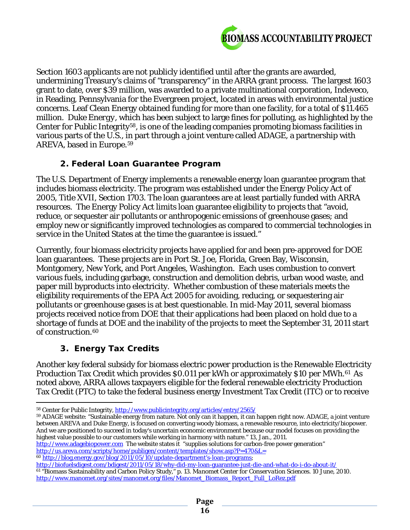

Section 1603 applicants are not publicly identified until after the grants are awarded, undermining Treasury's claims of "transparency" in the ARRA grant process. The largest 1603 grant to date, over \$39 million, was awarded to a private multinational corporation, Indeveco, in Reading, Pennsylvania for the Evergreen project, located in areas with environmental justice concerns. Leaf Clean Energy obtained funding for more than one facility, for a total of \$11.465 million. *Duke Energy*, which has been subject to large fines for polluting, as highlighted by the Center for Public Integrity[58](#page-15-0), is one of the leading companies promoting biomass facilities in various parts of the U.S., in part through a joint venture called *ADAGE,* a partnership with *AREVA,* based in Europe.[59](#page-15-1) 

#### *2. Federal Loan Guarantee Program*

The U.S. Department of Energy implements a renewable energy loan guarantee program that includes biomass electricity. The program was established under the Energy Policy Act of 2005, Title XVII, Section 1703. The loan guarantees are at least partially funded with ARRA resources. The Energy Policy Act limits loan guarantee eligibility to projects that "avoid, reduce, or sequester air pollutants or anthropogenic emissions of greenhouse gases; and employ new or significantly improved technologies as compared to commercial technologies in service in the United States at the time the guarantee is issued."

Currently, four biomass electricity projects have applied for and been pre-approved for DOE loan guarantees. These projects are in Port St. Joe, Florida, Green Bay, Wisconsin, Montgomery, New York, and Port Angeles, Washington. Each uses combustion to convert various fuels, including garbage, construction and demolition debris, urban wood waste, and paper mill byproducts into electricity. Whether combustion of these materials meets the eligibility requirements of the EPA Act 2005 for avoiding, reducing, or sequestering air pollutants or greenhouse gases is at best questionable. In mid-May 2011, several biomass projects received notice from DOE that their applications had been placed on hold due to a shortage of funds at DOE and the inability of the projects to meet the September 31, 2011 start of construction.[60](#page-15-2)

# *3. Energy Tax Credits*

Another key federal subsidy for biomass electric power production is the Renewable Electricity Production Tax Credit which provides \$0.011 per kWh or approximately \$10 per MWh.<sup>61</sup> As noted above, ARRA allows taxpayers eligible for the federal renewable electricity Production Tax Credit (PTC) to take the federal business energy Investment Tax Credit (ITC) or to receive

<span id="page-15-1"></span><span id="page-15-0"></span><sup>59</sup> ADAGE website: "Sustainable energy from nature. Not only can it happen, it can happen right now. ADAGE, a joint venture between AREVA and Duke Energy, is focused on converting woody biomass, a renewable resource, into electricity/biopower. And we are positioned to succeed in today's uncertain economic environment because our model focuses on providing the highest value possible to our customers while working in harmony with nature." 13, Jan., 2011.

[http://www.adagebiopower.com](http://www.adagebiopower.com/) The website states it "supplies solutions for carbon-free power generation" <http://us.areva.com/scripts/home/publigen/content/templates/show.asp?P=470&L=>

 $\overline{a}$ 58 Center for Public Integrity,<http://www.publicintegrity.org/articles/entry/2565/>

<span id="page-15-2"></span><sup>60</sup> [http://blog.energy.gov/blog/2011/05/10/update-department's-loan-programs;](http://blog.energy.gov/blog/2011/05/10/update-department)

<span id="page-15-3"></span><http://biofuelsdigest.com/bdigest/2011/05/18/why-did-my-loan-guarantee-just-die-and-what-do-i-do-about-it/> <sup>61</sup> "Biomass Sustainability and Carbon Policy Study," p. 13. *Manomet Center for Conservation Sciences*. 10 June, 2010. [http://www.manomet.org/sites/manomet.org/files/Manomet\\_Biomass\\_Report\\_Full\\_LoRez.pdf](http://www.manomet.org/sites/manomet.org/files/Manomet_Biomass_Report_Full_LoRez.pdf)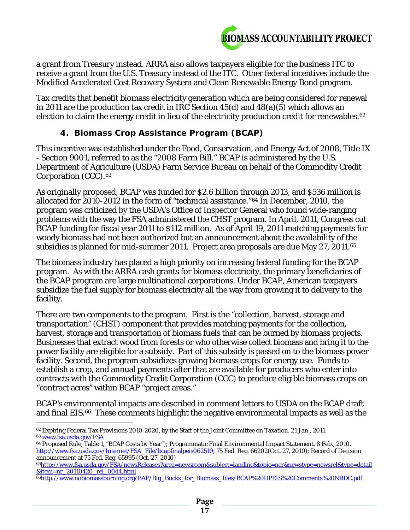

a grant from Treasury instead. ARRA also allows taxpayers eligible for the business ITC to receive a grant from the U.S. Treasury instead of the ITC. Other federal incentives include the Modified Accelerated Cost Recovery System and Clean Renewable Energy Bond program.

Tax credits that benefit biomass electricity generation which are being considered for renewal in 2011 are the production tax credit in IRC Section 45(d) and 48(a)(5) which allows an election to claim the energy credit in lieu of the electricity production credit for renewables.<sup>62</sup>

# *4. Biomass Crop Assistance Program (BCAP)*

This incentive was established under the Food, Conservation, and Energy Act of 2008, Title IX - Section 9001, referred to as the "2008 Farm Bill." BCAP is administered by the U.S. Department of Agriculture (USDA) Farm Service Bureau on behalf of the Commodity Credit Corporation (CCC).<sup>[63](#page-16-1)</sup>

As originally proposed, BCAP was funded for \$2.6 billion through 2013, and \$536 million is allocated for 2010-2012 in the form of "technical assistance."[64](#page-16-2) In December, 2010, the program was criticized by the USDA's Office of Inspector General who found wide-ranging problems with the way the FSA administered the CHST program. In April, 2011, Congress cut BCAP funding for fiscal year 2011 to \$112 million. As of April 19, 2011 matching payments for woody biomass had not been authorized but an announcement about the availability of the subsidies is planned for mid-summer 2011. Project area proposals are due May 27, 2011.[65](#page-16-3)

The biomass industry has placed a high priority on increasing federal funding for the BCAP program. As with the ARRA cash grants for biomass electricity, the primary beneficiaries of the BCAP program are large multinational corporations. Under BCAP, American taxpayers subsidize the fuel supply for biomass electricity all the way from growing it to delivery to the facility.

There are two components to the program. First is the "collection, harvest, storage and transportation" (CHST) component that provides matching payments for the collection, harvest, storage and transportation of biomass fuels that can be burned by biomass projects. Businesses that extract wood from forests or who otherwise collect biomass and bring it to the power facility are eligible for a subsidy. Part of this subsidy is passed on to the biomass power facility. Second, the program subsidizes growing biomass crops for energy use. Funds to establish a crop, and annual payments after that are available for producers who enter into contracts with the Commodity Credit Corporation (CCC) to produce eligible biomass crops on "contract acres" within BCAP "project areas."

BCAP's environmental impacts are described in comment letters to USDA on the BCAP draft and final EIS.<sup>66</sup> These comments highlight the negative environmental impacts as well as the

<span id="page-16-0"></span> $\overline{a}$ <sup>62</sup> Expiring Federal Tax Provisions 2010-2020, by the Staff of the Joint Committee on Taxation. 21 Jan., 2011. <sup>63</sup> [www.fsa.usda.gov/FSA](http://www.fsa.usda.gov/FSA)

<span id="page-16-2"></span><span id="page-16-1"></span><sup>64</sup> Proposed Rule, Table 1, "BCAP Costs by Year"); Programmatic Final Environmental Impact Statement. 8 Feb., 2010. [http://www.fsa.usda.gov/Internet/FSA\\_File/bcapfinalpeis062510;](http://www.fsa.usda.gov/Internet/FSA_File/bcapfinalpeis062510) 75 Fed. Reg. 66202(Oct. 27, 2010); Record of Decision announcement at 75 Fed. Reg. 65995 (Oct. 27, 2010)

<span id="page-16-3"></span>[<sup>65</sup>http://www.fsa.usda.gov/FSA/newsReleases?area=newsroom&subject=landing&topic=ner&newstype=newsrel&type=detail](http://www.fsa.usda.gov/FSA/newsReleases?area=newsroom&subject=landing&topic=ner&newstype=newsrel&type=detail&item=nr_20110420_rel_0044.html) [&item=nr\\_20110420\\_rel\\_0044.html](http://www.fsa.usda.gov/FSA/newsReleases?area=newsroom&subject=landing&topic=ner&newstype=newsrel&type=detail&item=nr_20110420_rel_0044.html)

<span id="page-16-4"></span><sup>&</sup>lt;sup>66</sup>http://www.nobiomassburning.org/BAP/Big\_Bucks\_for\_Biomass\_files/BCAP%20DPEIS%20Comments%20NRDC.pdf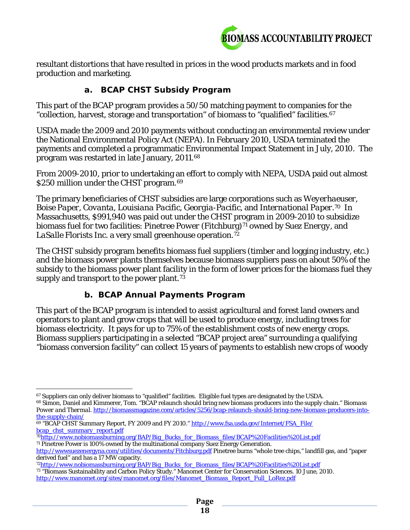

resultant distortions that have resulted in prices in the wood products markets and in food production and marketing.

## *a. BCAP CHST Subsidy Program*

This part of the BCAP program provides a 50/50 matching payment to companies for the "collection, harvest, storage and transportation" of biomass to "qualified" facilities.[67](#page-17-0)

USDA made the 2009 and 2010 payments without conducting an environmental review under the National Environmental Policy Act (NEPA). In February 2010, USDA terminated the payments and completed a programmatic Environmental Impact Statement in July, 2010. The program was restarted in late January, 2011.[68](#page-17-1) 

From 2009-2010, prior to undertaking an effort to comply with NEPA, USDA paid out almost \$250 million under the CHST program.<sup>[69](#page-17-2)</sup>

The primary beneficiaries of CHST subsidies are large corporations such as *Weyerhaeuser, Boise Paper*, *Covanta, Louisiana Pacific*, *Georgia-Pacific*, and *International Paper*.[70](#page-17-3) In Massachusetts, \$991,940 was paid out under the CHST program in 2009-2010 to subsidize biomass fuel for two facilities: *Pinetree Power* (Fitchburg)<sup>[71](#page-17-4)</sup> owned by *Suez Energy*, and *LaSalle Florists* Inc. a very small greenhouse operation.[72](#page-17-5) 

The CHST subsidy program benefits biomass fuel suppliers (timber and logging industry, etc.) and the biomass power plants themselves because biomass suppliers pass on about 50% of the subsidy to the biomass power plant facility in the form of lower prices for the biomass fuel they supply and transport to the power plant.<sup>73</sup>

# *b. BCAP Annual Payments Program*

This part of the BCAP program is intended to assist agricultural and forest land owners and operators to plant and grow crops that will be used to produce energy, including trees for biomass electricity. It pays for up to 75% of the establishment costs of new energy crops. Biomass suppliers participating in a selected "BCAP project area" surrounding a qualifying "biomass conversion facility" can collect 15 years of payments to establish new crops of woody

l <sup>67</sup> Suppliers can only deliver biomass to "qualified" facilities. Eligible fuel types are designated by the USDA.

<span id="page-17-1"></span><span id="page-17-0"></span><sup>68</sup> Simon, Daniel and Kimmerer, Tom. "BCAP relaunch should bring new biomass producers into the supply chain." *Biomass Power and Thermal.* [http://biomassmagazine.com/articles/5256/bcap-relaunch-should-bring-new-biomass-producers-into](http://biomassmagazine.com/articles/5256/bcap-relaunch-should-bring-new-biomass-producers-into-the-supply-chain/)[the-supply-chain/](http://biomassmagazine.com/articles/5256/bcap-relaunch-should-bring-new-biomass-producers-into-the-supply-chain/)

<span id="page-17-2"></span><sup>69 &</sup>quot;BCAP CHST Summary Report, FY 2009 and FY 2010." http://www.fsa.usda.gov/Internet/FSA\_File/<br>bcap\_chst\_summary\_report.pdf

<span id="page-17-3"></span>[<sup>70</sup>http://www.nobiomassburning.org/BAP/Big\\_Bucks\\_for\\_Biomass\\_files/BCAP%20Facilities%20List.pdf](http://www.nobiomassburning.org/BAP/Big_Bucks_for_Biomass_files/BCAP%20Facilities%20List.pdf) <sup>71</sup> Pinetree Power is 100% owned by the multinational company Suez Energy Generation.

<span id="page-17-4"></span><http://wwwsuezenergyna.com/utilities/documents/Fitchburg.pdf> Pinetree burns "whole tree chips," landfill gas, and "paper derived fuel" and has a 17 MW capacity.

<span id="page-17-5"></span>[<sup>72</sup>http://www.nobiomassburning.org/BAP/Big\\_Bucks\\_for\\_Biomass\\_files/BCAP%20Facilities%20List.pdf](http://www.nobiomassburning.org/BAP/Big_Bucks_for_Biomass_files/BCAP%20Facilities%20List.pdf)

<span id="page-17-6"></span><sup>73</sup> "Biomass Sustainability and Carbon Policy Study." Manomet Center for Conservation Sciences. 10 June, 2010. [http://www.manomet.org/sites/manomet.org/files/Manomet\\_Biomass\\_Report\\_Full\\_LoRez.pdf](http://www.manomet.org/sites/manomet.org/files/Manomet_Biomass_Report_Full_LoRez.pdf)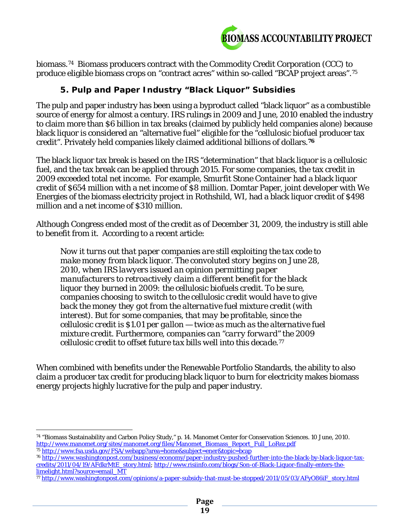

biomass.[74](#page-18-0) Biomass producers contract with the Commodity Credit Corporation (CCC) to produce eligible biomass crops on "contract acres" within so-called "BCAP project areas".[75](#page-18-1)

#### *5. Pulp and Paper Industry "Black Liquor" Subsidies*

The pulp and paper industry has been using a byproduct called "black liquor" as a combustible source of energy for almost a century. IRS rulings in 2009 and June, 2010 enabled the industry to claim more than \$6 billion in tax breaks (claimed by publicly held companies alone) because black liquor is considered an "alternative fuel" eligible for the "cellulosic biofuel producer tax credit". Privately held companies likely claimed additional billions of dollars.**[76](#page-18-2)**

The black liquor tax break is based on the IRS "determination" that black liquor is a cellulosic fuel, and the tax break can be applied through 2015. For some companies, the tax credit in 2009 exceeded total net income. For example, *Smurfit Stone Container* had a black liquor credit of \$654 million with a net income of \$8 million. Domtar Paper, joint developer with We Energies of the biomass electricity project in Rothshild, WI, had a black liquor credit of \$498 million and a net income of \$310 million.

Although Congress ended most of the credit as of December 31, 2009, the industry is still able to benefit from it. According to a recent article:

*Now it turns out that paper companies are still exploiting the tax code to make money from black liquor. The convoluted story begins on June 28, 2010, when IRS lawyers issued an opinion permitting paper manufacturers to retroactively claim a different benefit for the black liquor they burned in 2009: the cellulosic biofuels credit. To be sure, companies choosing to switch to the cellulosic credit would have to give back the money they got from the alternative fuel mixture credit (with interest). But for some companies, that may be profitable, since the cellulosic credit is \$1.01 per gallon — twice as much as the alternative fuel mixture credit. Furthermore, companies can "carry forward" the 2009 cellulosic credit to offset future tax bills well into this decade.[77](#page-18-3)*

When combined with benefits under the Renewable Portfolio Standards, the ability to also claim a producer tax credit for producing black liquor to burn for electricity makes biomass energy projects highly lucrative for the pulp and paper industry.

<span id="page-18-1"></span><sup>75</sup> <http://www.fsa.usda.gov/FSA/webapp?area=home&subject=ener&topic=bcap>

<span id="page-18-0"></span> $\overline{a}$ <sup>74</sup> "Biomass Sustainability and Carbon Policy Study," p. 14. Manomet Center for Conservation Sciences. 10 June, 2010. [http://www.manomet.org/sites/manomet.org/files/Manomet\\_Biomass\\_Report\\_Full\\_LoRez.pdf](http://www.manomet.org/sites/manomet.org/files/Manomet_Biomass_Report_Full_LoRez.pdf)

<span id="page-18-2"></span><sup>76</sup> [http://www.washingtonpost.com/business/economy/paper-industry-pushed-further-into-the-black-by-black-liquor-tax](http://www.washingtonpost.com/business/economy/paper-industry-pushed-further-into-the-black-by-black-liquor-tax-credits/2011/04/19/AFdkrMtE_story.html)[credits/2011/04/19/AFdkrMtE\\_story.html;](http://www.washingtonpost.com/business/economy/paper-industry-pushed-further-into-the-black-by-black-liquor-tax-credits/2011/04/19/AFdkrMtE_story.html) [http://www.risiinfo.com/blogs/Son-of-Black-Liquor-finally-enters-the](http://www.risiinfo.com/blogs/Son-of-Black-Liquor-finally-enters-the-limelight.html?source=email_MT)[limelight.html?source=email\\_MT](http://www.risiinfo.com/blogs/Son-of-Black-Liquor-finally-enters-the-limelight.html?source=email_MT)

<span id="page-18-3"></span><sup>77</sup> [http://www.washingtonpost.com/opinions/a-paper-subsidy-that-must-be-stopped/2011/05/03/AFyO86iF\\_story.html](http://www.washingtonpost.com/opinions/a-paper-subsidy-that-must-be-stopped/2011/05/03/AFyO86iF_story.html)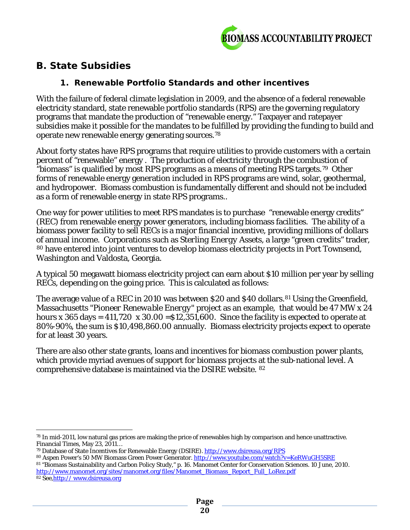

# **B. State Subsidies**

## *1. Renewable Portfolio Standards and other incentives*

With the failure of federal climate legislation in 2009, and the absence of a federal renewable electricity standard, state renewable portfolio standards (RPS) are the governing regulatory programs that mandate the production of "renewable energy." Taxpayer and ratepayer subsidies make it possible for the mandates to be fulfilled by providing the funding to build and operate new renewable energy generating sources.[78](#page-19-0)

About forty states have RPS programs that require utilities to provide customers with a certain percent of "renewable" energy . The production of electricity through the combustion of "biomass" is qualified by most RPS programs as a means of meeting RPS targets.[79](#page-19-1) Other forms of renewable energy generation included in RPS programs are wind, solar, geothermal, and hydropower. Biomass combustion is fundamentally different and should not be included as a form of renewable energy in state RPS programs..

One way for power utilities to meet RPS mandates is to purchase "renewable energy credits" (REC) from renewable energy power generators, including biomass facilities. The ability of a biomass power facility to sell RECs is a major financial incentive, providing millions of dollars of annual income. Corporations such as *Sterling Energy Assets,* a large "green credits" trader, [80](#page-19-2) have entered into joint ventures to develop biomass electricity projects in Port Townsend, Washington and Valdosta, Georgia.

A typical 50 megawatt biomass electricity project can earn about \$10 million per year by selling RECs, depending on the going price. This is calculated as follows:

The average value of a REC in 2010 was between \$20 and \$40 dollars.<sup>[81](#page-19-3)</sup> Using the Greenfield, Massachusetts *"Pioneer Renewable Energy"* project as an example, that would be 47 MW x 24 hours x 365 days =  $411,720 \times 30.00 = $12,351,600$ . Since the facility is expected to operate at 80%-90%, the sum is \$10,498,860.00 annually. Biomass electricity projects expect to operate for at least 30 years.

There are also other state grants, loans and incentives for biomass combustion power plants, which provide myriad avenues of support for biomass projects at the sub-national level. A comprehensive database is maintained via the DSIRE website. [82](#page-19-4)

<span id="page-19-0"></span> $\overline{a}$ <sup>78</sup> In mid-2011, low natural gas prices are making the price of renewables high by comparison and hence unattractive. Financial Times, May 23, 2011…

<span id="page-19-1"></span><sup>79</sup> Database of State Incentives for Renewable Energy (DSIRE)[. http://www.dsireusa.org/RPS](http://www.dsireusa.org/RPS)

<span id="page-19-2"></span><sup>80</sup> Aspen Power's 50 MW Biomass Green Power Generator[. http://www.youtube.com/watch?v=KeRWuGH5SRE](http://www.youtube.com/watch?v=KeRWuGH5SRE)

<span id="page-19-3"></span><sup>81</sup> "Biomass Sustainability and Carbon Policy Study," p. 16. Manomet Center for Conservation Sciences. 10 June, 2010. [http://www.manomet.org/sites/manomet.org/files/Manomet\\_Biomass\\_Report\\_Full\\_LoRez.pdf](http://www.manomet.org/sites/manomet.org/files/Manomet_Biomass_Report_Full_LoRez.pdf)

<span id="page-19-4"></span><sup>82</sup> See,http:// www.dsireusa.org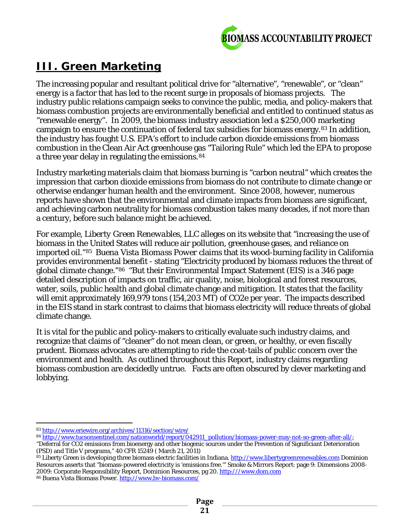

# **III. Green Marketing**

The increasing popular and resultant political drive for "alternative", "renewable", or "clean" energy is a factor that has led to the recent surge in proposals of biomass projects. The industry public relations campaign seeks to convince the public, media, and policy-makers that biomass combustion projects are environmentally beneficial and entitled to continued status as "renewable energy". In 2009, the biomass industry association led a \$250,000 marketing campaign to ensure the continuation of federal tax subsidies for biomass energy.[83](#page-20-0) In addition, the industry has fought U.S. EPA's effort to include carbon dioxide emissions from biomass combustion in the Clean Air Act greenhouse gas "Tailoring Rule" which led the EPA to propose a three year delay in regulating the emissions.[84](#page-20-1)

Industry marketing materials claim that biomass burning is "carbon neutral" which creates the impression that carbon dioxide emissions from biomass do not contribute to climate change or otherwise endanger human health and the environment. Since 2008, however, numerous reports have shown that the environmental and climate impacts from biomass are significant, and achieving carbon neutrality for biomass combustion takes many decades, if not more than a century, before such balance might be achieved.

For example, *Liberty Green Renewables, LLC* alleges on its website that "increasing the use of biomass in the United States will reduce air pollution, greenhouse gases, and reliance on imported oil."[85](#page-20-2) *Buena Vista Biomass Power* claims that its wood-burning facility in California provides environmental benefit - stating "Electricity produced by biomass reduces the threat of global climate change."[86](#page-20-3) "But their Environmental Impact Statement (EIS) is a 346 page detailed description of impacts on traffic, air quality, noise, biological and forest resources, water, soils, public health and global climate change and mitigation. It states that the facility will emit approximately 169,979 tons (154,203 MT) of CO2e per year. The impacts described in the EIS stand in stark contrast to claims that biomass electricity will reduce threats of global climate change.

It is vital for the public and policy-makers to critically evaluate such industry claims, and recognize that claims of "cleaner" do not mean clean, or green, or healthy, or even fiscally prudent. Biomass advocates are attempting to ride the coat-tails of public concern over the environment and health. As outlined throughout this Report, industry claims regarding biomass combustion are decidedly untrue. Facts are often obscured by clever marketing and lobbying.

<span id="page-20-1"></span><span id="page-20-0"></span>84 [http://www.tucsonsentinel.com/nationworld/report/042911\\_pollution/biomass-power-may-not-so-green-after-all/;](http://www.tucsonsentinel.com/nationworld/report/042911_pollution/biomass-power-may-not-so-green-after-all/)

 $\overline{a}$ <sup>83</sup> <http://www.eriewire.org/archives/11316/section/wire/>

<sup>&</sup>quot;Deferral for CO2 emissions from bioenergy and other biogenic sources under the Prevention of Significiant Deterioration (PSD) and Title V programs," 40 CFR 15249 ( March 21, 2011)

<span id="page-20-3"></span><span id="page-20-2"></span><sup>85</sup> Liberty Green is developing three biomass electric facilities in Indiana[. http://www.libertygreenrenewables.com](http://www.libertygreenrenewables.com/) Dominion Resources asserts that "biomass-powered electricity is 'emissions free.'" Smoke & Mirrors Report: page 9: Dimensions 2008 2009: Corporate Responsibility Report, Dominion Resources, pg 20. [http:///www.dom.com](http://www.dom.com) <sup>86</sup> Buena Vista Biomass Power[. http://www.bv-biomass.com/](http://www.bv-biomass.com/)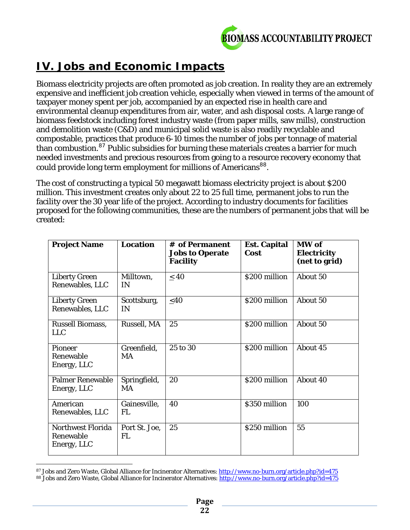

# **IV. Jobs and Economic Impacts**

Biomass electricity projects are often promoted as job creation. In reality they are an extremely expensive and inefficient job creation vehicle, especially when viewed in terms of the amount of taxpayer money spent per job, accompanied by an expected rise in health care and environmental cleanup expenditures from air, water, and ash disposal costs. A large range of biomass feedstock including forest industry waste (from paper mills, saw mills), construction and demolition waste (C&D) and municipal solid waste is also readily recyclable and compostable, practices that produce 6-10 times the number of jobs per tonnage of material than combustion.<sup>[87](#page-21-0)</sup> Public subsidies for burning these materials creates a barrier for much needed investments and precious resources from going to a resource recovery economy that could provide long term employment for millions of Americans<sup>[88](#page-21-1)</sup>.

The cost of constructing a typical 50 megawatt biomass electricity project is about \$200 million. This investment creates only about 22 to 25 full time, permanent jobs to run the facility over the 30 year life of the project. According to industry documents for facilities proposed for the following communities, these are the numbers of permanent jobs that will be created:

| <b>Project Name</b>                           | <b>Location</b>            | # of Permanent<br><b>Jobs to Operate</b><br><b>Facility</b> | <b>Est. Capital</b><br>Cost | MW of<br><b>Electricity</b><br>(net to grid) |
|-----------------------------------------------|----------------------------|-------------------------------------------------------------|-----------------------------|----------------------------------------------|
| <b>Liberty Green</b><br>Renewables, LLC       | Milltown,<br>IN            | $\leq 40$                                                   | \$200 million               | About 50                                     |
| <b>Liberty Green</b><br>Renewables, LLC       | Scottsburg,<br>IN          | $<$ 40                                                      | \$200 million               | About 50                                     |
| <b>Russell Biomass,</b><br><b>LLC</b>         | Russell, MA                | 25                                                          | \$200 million               | About 50                                     |
| Pioneer<br>Renewable<br>Energy, LLC           | Greenfield,<br>MA          | 25 to 30                                                    | \$200 million               | About 45                                     |
| <b>Palmer Renewable</b><br>Energy, LLC        | Springfield,<br>MA         | 20                                                          | \$200 million               | About 40                                     |
| American<br>Renewables, LLC                   | Gainesville,<br><b>FL</b>  | 40                                                          | \$350 million               | 100                                          |
| Northwest Florida<br>Renewable<br>Energy, LLC | Port St. Joe,<br><b>FL</b> | 25                                                          | \$250 million               | 55                                           |

<span id="page-21-1"></span><span id="page-21-0"></span>l <sup>87</sup> Jobs and Zero Waste, Global Alliance for Incinerator Alternatives: <u>http://www.no-burn.org/article.php?id=475</u> 88 Jobs and Zero Waste, Global Alliance for Incinerator Alternatives[: http://www.no-burn.org/article.php?id=475](http://www.no-burn.org/article.php?id=475)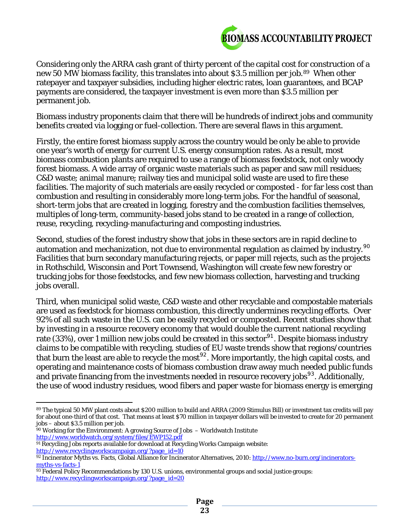

Considering only the ARRA cash grant of thirty percent of the capital cost for construction of a new 50 MW biomass facility, this translates into about \$3.5 million per job.[89](#page-22-0) When other ratepayer and taxpayer subsidies, including higher electric rates, loan guarantees, and BCAP payments are considered, the taxpayer investment is even more than \$3.5 million per permanent job.

Biomass industry proponents claim that there will be hundreds of indirect jobs and community benefits created via logging or fuel-collection. There are several flaws in this argument.

Firstly, the entire forest biomass supply across the country would be only be able to provide one year's worth of energy for current U.S. energy consumption rates. As a result, most biomass combustion plants are required to use a range of biomass feedstock, not only woody forest biomass. A wide array of organic waste materials such as paper and saw mill residues; C&D waste; animal manure; railway ties and municipal solid waste are used to fire these facilities. The majority of such materials are easily recycled or composted - for far less cost than combustion and resulting in considerably more long-term jobs. For the handful of seasonal, short-term jobs that are created in logging, forestry and the combustion facilities themselves, multiples of long-term, community-based jobs stand to be created in a range of collection, reuse, recycling, recycling-manufacturing and composting industries.

Second, studies of the forest industry show that jobs in these sectors are in rapid decline to automation and mechanization, not due to environmental regulation as claimed by industry.<sup>[90](#page-22-1)</sup> Facilities that burn secondary manufacturing rejects, or paper mill rejects, such as the projects in Rothschild, Wisconsin and Port Townsend, Washington will create few new forestry or trucking jobs for those feedstocks, and few new biomass collection, harvesting and trucking jobs overall.

Third, when municipal solid waste, C&D waste and other recyclable and compostable materials are used as feedstock for biomass combustion, this directly undermines recycling efforts. Over 92% of all such waste in the U.S. can be easily recycled or composted. Recent studies show that by investing in a resource recovery economy that would double the current national recycling rate (33%), over 1 million new jobs could be created in this sector<sup>[91](#page-22-2)</sup>. Despite biomass industry claims to be compatible with recycling, studies of EU waste trends show that regions/countries that burn the least are able to recycle the most<sup>[92](#page-22-3)</sup>. More importantly, the high capital costs, and operating and maintenance costs of biomass combustion draw away much needed public funds and private financing from the investments needed in resource recovery jobs<sup>[93](#page-22-4)</sup>. Additionally, the use of wood industry residues, wood fibers and paper waste for biomass energy is emerging

- <span id="page-22-1"></span><sup>90</sup> Working for the Environment: A growing Source of Jobs - Worldwatch Institute <http://www.worldwatch.org/system/files/EWP152.pdf>
- <span id="page-22-2"></span><sup>91</sup> Recycling Jobs reports available for download at Recycling Works Campaign website: [http://www.recyclingworkscampaign.org/?page\\_id=10](http://www.recyclingworkscampaign.org/?page_id=10)

<span id="page-22-0"></span> $\overline{a}$ <sup>89</sup> The typical 50 MW plant costs about \$200 million to build and ARRA (2009 Stimulus Bill) or investment tax credits will pay for about one-third of that cost. That means at least \$70 million in taxpayer dollars will be invested to create for 20 permanent jobs – about \$3.5 million per job.

<span id="page-22-3"></span><sup>92</sup> Incinerator Myths vs. Facts, Global Alliance for Incinerator Alternatives, 2010: [http://www.no-burn.org/incinerators](http://www.no-burn.org/incinerators-myths-vs-facts-1)[myths-vs-facts-1](http://www.no-burn.org/incinerators-myths-vs-facts-1)

<span id="page-22-4"></span><sup>93</sup> Federal Policy Recommendations by 130 U.S. unions, environmental groups and social justice groups: [http://www.recyclingworkscampaign.org/?page\\_id=20](http://www.recyclingworkscampaign.org/?page_id=20)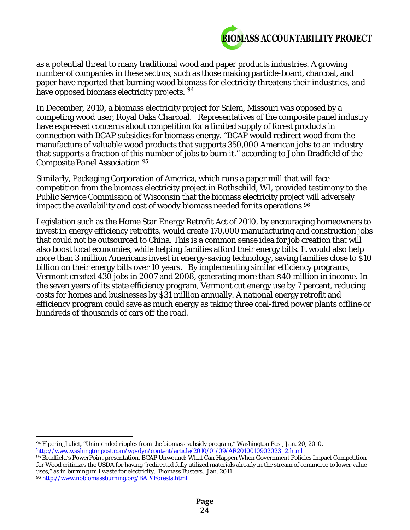

as a potential threat to many traditional wood and paper products industries. A growing number of companies in these sectors, such as those making particle-board, charcoal, and paper have reported that burning wood biomass for electricity threatens their industries, and have opposed biomass electricity projects. <sup>[94](#page-23-0)</sup>

In December, 2010, a biomass electricity project for Salem, Missouri was opposed by a competing wood user, Royal Oaks Charcoal. Representatives of the composite panel industry have expressed concerns about competition for a limited supply of forest products in connection with BCAP subsidies for biomass energy. "BCAP would redirect wood from the manufacture of valuable wood products that supports 350,000 American jobs to an industry that supports a fraction of this number of jobs to burn it." according to John Bradfield of the *Composite Panel Association [95](#page-23-1)*

Similarly, Packaging Corporation of America, which runs a paper mill that will face competition from the biomass electricity project in Rothschild, WI, provided testimony to the Public Service Commission of Wisconsin that the biomass electricity project will adversely impact the availability and cost of woody biomass needed for its operations  $96$ 

Legislation such as the Home Star Energy Retrofit Act of 2010, by encouraging homeowners to invest in energy efficiency retrofits, would create 170,000 manufacturing and construction jobs that could not be outsourced to China. This is a common sense idea for job creation that will also boost local economies, while helping families afford their energy bills. It would also help more than 3 million Americans invest in energy-saving technology, saving families close to \$10 billion on their energy bills over 10 years. By implementing similar efficiency programs, Vermont created 430 jobs in 2007 and 2008, generating more than \$40 million in income. In the seven years of its state efficiency program, Vermont cut energy use by 7 percent, reducing costs for homes and businesses by \$31 million annually. A national energy retrofit and efficiency program could save as much energy as taking three coal-fired power plants offline or hundreds of thousands of cars off the road.

<span id="page-23-0"></span> $\overline{a}$ <sup>94</sup> Elperin, Juliet, "Unintended ripples from the biomass subsidy program," Washington Post, Jan. 20, 2010. [http://www.washingtonpost.com/wp-dyn/content/article/2010/01/09/AR2010010902023\\_2.html](http://www.washingtonpost.com/wp-dyn/content/article/2010/01/09/AR2010010902023_2.html)

<span id="page-23-1"></span><sup>95</sup> Bradfield's PowerPoint presentation, BCAP Unwound: What Can Happen When Government Policies Impact Competition for Wood criticizes the USDA for having "redirected fully utilized materials already in the stream of commerce to lower value uses," as in burning mill waste for electricity. Biomass Busters, Jan. 2011

<span id="page-23-2"></span><sup>96</sup> <http://www.nobiomassburning.org/BAP/Forests.html>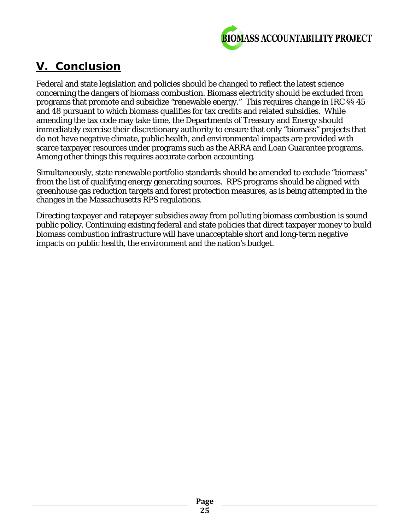

# **V. Conclusion**

Federal and state legislation and policies should be changed to reflect the latest science concerning the dangers of biomass combustion. Biomass electricity should be excluded from programs that promote and subsidize "renewable energy." This requires change in IRC §§ 45 and 48 pursuant to which biomass qualifies for tax credits and related subsidies. While amending the tax code may take time, the Departments of Treasury and Energy should immediately exercise their discretionary authority to ensure that only "biomass" projects that do not have negative climate, public health, and environmental impacts are provided with scarce taxpayer resources under programs such as the ARRA and Loan Guarantee programs. Among other things this requires accurate carbon accounting.

Simultaneously, state renewable portfolio standards should be amended to exclude "biomass" from the list of qualifying energy generating sources. RPS programs should be aligned with greenhouse gas reduction targets and forest protection measures, as is being attempted in the changes in the Massachusetts RPS regulations.

Directing taxpayer and ratepayer subsidies away from polluting biomass combustion is sound public policy. Continuing existing federal and state policies that direct taxpayer money to build biomass combustion infrastructure will have unacceptable short and long-term negative impacts on public health, the environment and the nation's budget.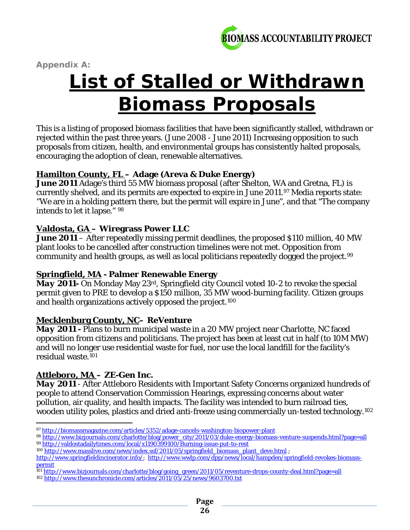

*Appendix A:* 

# **List of Stalled or Withdrawn Biomass Proposals**

This is a listing of proposed biomass facilities that have been significantly stalled, withdrawn or rejected within the past three years. (June 2008 - June 2011) Increasing opposition to such proposals from citizen, health, and environmental groups has consistently halted proposals, encouraging the adoption of clean, renewable alternatives.

#### **Hamilton County, FL – Adage (Areva & Duke Energy)**

*June 2011* Adage's third 55 MW biomass proposal (after Shelton, WA and Gretna, FL) is currently shelved, and its permits are expected to expire in June 2011.[97](#page-25-0) Media reports state: "We are in a holding pattern there, but the permit will expire in June", and that "The company intends to let it lapse." [98](#page-25-1)

#### **Valdosta, GA – Wiregrass Power LLC**

*June 2011* – After repeatedly missing permit deadlines, the proposed \$110 million, 40 MW plant looks to be cancelled after construction timelines were not met. Opposition from community and health groups, as well as local politicians repeatedly dogged the project.[99](#page-25-2)

#### **Springfield, MA - Palmer Renewable Energy**

*May 2011-* On Monday May 23rd, Springfield city Council voted 10-2 to revoke the special permit given to PRE to develop a \$150 million, 35 MW wood-burning facility. Citizen groups and health organizations actively opposed the project.[100](#page-25-3)

#### **Mecklenburg County, NC– ReVenture**

*May 2011* - Plans to burn municipal waste in a 20 MW project near Charlotte, NC faced opposition from citizens and politicians. The project has been at least cut in half (to 10M MW) and will no longer use residential waste for fuel, nor use the local landfill for the facility's residual waste.[101](#page-25-4)

#### **Attleboro, MA** *– ZE-Gen Inc.*

*May 2011* - After Attleboro Residents with Important Safety Concerns organized hundreds of people to attend Conservation Commission Hearings, expressing concerns about water pollution, air quality, and health impacts. The facility was intended to burn railroad ties, wooden utility poles, plastics and dried anti-freeze using commercially un-tested technology.<sup>[102](#page-25-5)</sup>

<span id="page-25-3"></span><span id="page-25-2"></span>100 [http://www.masslive.com/news/index.ssf/2011/05/springfield\\_biomass\\_plant\\_deve.html](http://www.masslive.com/news/index.ssf/2011/05/springfield_biomass_plant_deve.html) ;

 $\overline{a}$ <sup>97</sup> <http://biomassmagazine.com/articles/5352/adage-cancels-washington-biopower-plant>

<span id="page-25-1"></span><span id="page-25-0"></span><sup>98</sup> [http://www.bizjournals.com/charlotte/blog/power\\_city/2011/03/duke-energy-biomass-venture-suspends.html?page=all](http://www.bizjournals.com/charlotte/blog/power_city/2011/03/duke-energy-biomass-venture-suspends.html?page=all) <sup>99</sup> <http://valdostadailytimes.com/local/x1190399100/Burning-issue-put-to-rest>

[http://www.springfieldincinerator.info/;](http://www.springfieldincinerator.info/) [http://www.wwlp.com/dpp/news/local/hampden/springfield-revokes-biomass](http://www.wwlp.com/dpp/news/local/hampden/springfield-revokes-biomass-permit)[permit](http://www.wwlp.com/dpp/news/local/hampden/springfield-revokes-biomass-permit)

<span id="page-25-4"></span><sup>101</sup> [http://www.bizjournals.com/charlotte/blog/going\\_green/2011/05/reventure-drops-county-deal.html?page=all](http://www.bizjournals.com/charlotte/blog/going_green/2011/05/reventure-drops-county-deal.html?page=all)

<span id="page-25-5"></span><sup>102</sup> <http://www.thesunchronicle.com/articles/2011/05/25/news/9603700.txt>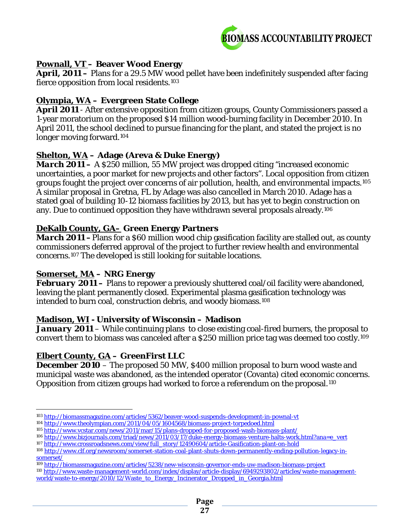

#### **Pownall, VT – Beaver Wood Energy**

*April, 2011* **–** Plans for a 29.5 MW wood pellet have been indefinitely suspended after facing fierce opposition from local residents.[103](#page-26-0)

#### **Olympia, WA – Evergreen State College**

*April 2011* - After extensive opposition from citizen groups, County Commissioners passed a 1-year moratorium on the proposed \$14 million wood-burning facility in December 2010. In April 2011, the school declined to pursue financing for the plant, and stated the project is no longer moving forward.[104](#page-26-1)

#### **Shelton, WA – Adage (Areva & Duke Energy)**

*March 2011* **–** A \$250 million, 55 MW project was dropped citing "increased economic uncertainties, a poor market for new projects and other factors". Local opposition from citizen groups fought the project over concerns of air pollution, health, and environmental impacts.[105](#page-26-2) A similar proposal in Gretna, FL by Adage was also cancelled in March 2010. Adage has a stated goal of building 10-12 biomass facilities by 2013, but has yet to begin construction on any. Due to continued opposition they have withdrawn several proposals already.[106](#page-26-3)

#### **DeKalb County, GA– Green Energy Partners**

*March 2011* – Plans for a \$60 million wood chip gasification facility are stalled out, as county commissioners deferred approval of the project to further review health and environmental concerns.[107](#page-26-4) The developed is still looking for suitable locations.

#### **Somerset, MA – NRG Energy**

**February 2011** – Plans to repower a previously shuttered coal/oil facility were abandoned, leaving the plant permanently closed. Experimental plasma gasification technology was intended to burn coal, construction debris, and woody biomass.[108](#page-26-5)

#### **Madison, WI - University of Wisconsin – Madison**

*January 2011* – While continuing plans to close existing coal-fired burners, the proposal to convert them to biomass was canceled after a \$250 million price tag was deemed too costly.[109](#page-26-6)

#### **Elbert County, GA – GreenFirst LLC**

**December 2010** – The proposed 50 MW, \$400 million proposal to burn wood waste and municipal waste was abandoned, as the intended operator (Covanta) cited economic concerns. Opposition from citizen groups had worked to force a referendum on the proposal.[110](#page-26-7)

<span id="page-26-0"></span> $\overline{a}$ <sup>103</sup> <http://biomassmagazine.com/articles/5362/beaver-wood-suspends-development-in-pownal-vt>

<sup>104</sup> <http://www.theolympian.com/2011/04/05/1604568/biomass-project-torpedoed.html>

<span id="page-26-3"></span><span id="page-26-2"></span><span id="page-26-1"></span><sup>105</sup> <http://www.vcstar.com/news/2011/mar/15/plans-dropped-for-proposed-wash-biomass-plant/>

<sup>106</sup> [http://www.bizjournals.com/triad/news/2011/03/17/duke-energy-biomass-venture-halts-work.html?ana=e\\_vert](http://www.bizjournals.com/triad/news/2011/03/17/duke-energy-biomass-venture-halts-work.html?ana=e_vert)

<span id="page-26-4"></span><sup>107</sup> [http://www.crossroadsnews.com/view/full\\_story/12490604/article-Gasification-plant-on-hold](http://www.crossroadsnews.com/view/full_story/12490604/article-Gasification-plant-on-hold)

<span id="page-26-5"></span><sup>108</sup> [http://www.clf.org/newsroom/somerset-station-coal-plant-shuts-down-permanently-ending-pollution-legacy-in](http://www.clf.org/newsroom/somerset-station-coal-plant-shuts-down-permanently-ending-pollution-legacy-in-somerset/)[somerset/](http://www.clf.org/newsroom/somerset-station-coal-plant-shuts-down-permanently-ending-pollution-legacy-in-somerset/)

<span id="page-26-6"></span><sup>109</sup> <http://biomassmagazine.com/articles/5238/new-wisconsin-governor-ends-uw-madison-biomass-project>

<span id="page-26-7"></span><sup>110</sup> [http://www.waste-management-world.com/index/display/article-display/6949293802/articles/waste-management](http://www.waste-management-world.com/index/display/article-display/6949293802/articles/waste-management-world/waste-to-energy/2010/12/Waste_to_Energy_Incinerator_Dropped_in_Georgia.html)[world/waste-to-energy/2010/12/Waste\\_to\\_Energy\\_Incinerator\\_Dropped\\_in\\_Georgia.html](http://www.waste-management-world.com/index/display/article-display/6949293802/articles/waste-management-world/waste-to-energy/2010/12/Waste_to_Energy_Incinerator_Dropped_in_Georgia.html)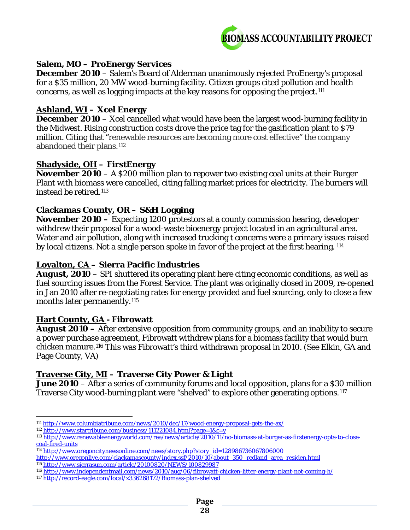

#### **Salem, MO – ProEnergy Services**

*December 2010* – Salem's Board of Alderman unanimously rejected ProEnergy's proposal for a \$35 million, 20 MW wood-burning facility. Citizen groups cited pollution and health concerns, as well as logging impacts at the key reasons for opposing the project.[111](#page-27-0)

#### **Ashland, WI – Xcel Energy**

*December 2010* – Xcel cancelled what would have been the largest wood-burning facility in the Midwest. Rising construction costs drove the price tag for the gasification plant to \$79 million. Citing that "renewable resources are becoming more cost effective" the company abandoned their plans.<sup>[112](#page-27-1)</sup>

#### **Shadyside, OH – FirstEnergy**

*November 2010* – A \$200 million plan to repower two existing coal units at their Burger Plant with biomass were cancelled, citing falling market prices for electricity. The burners will instead be retired.[113](#page-27-2)

#### **Clackamas County, OR – S&H Logging**

*November 2010 –* Expecting 1200 protestors at a county commission hearing, developer withdrew their proposal for a wood-waste bioenergy project located in an agricultural area. Water and air pollution, along with increased trucking t concerns were a primary issues raised by local citizens. Not a single person spoke in favor of the project at the first hearing. [114](#page-27-3)

#### **Loyalton, CA – Sierra Pacific Industries**

*August, 2010* – SPI shuttered its operating plant here citing economic conditions, as well as fuel sourcing issues from the Forest Service. The plant was originally closed in 2009, re-opened in Jan 2010 after re-negotiating rates for energy provided and fuel sourcing, only to close a few months later permanently.<sup>[115](#page-27-4)</sup>

#### **Hart County, GA - Fibrowatt**

l

*August 2010 –* After extensive opposition from community groups, and an inability to secure a power purchase agreement, Fibrowatt withdrew plans for a biomass facility that would burn chicken manure.[116](#page-27-5) This was Fibrowatt's third withdrawn proposal in 2010. (See Elkin, GA and Page County, VA)

#### **Traverse City, MI – Traverse City Power & Light**

*June 2010* – After a series of community forums and local opposition, plans for a \$30 million Traverse City wood-burning plant were "shelved" to explore other generating options.[117](#page-27-6)

<span id="page-27-0"></span><sup>111</sup> <http://www.columbiatribune.com/news/2010/dec/17/wood-energy-proposal-gets-the-ax/>

<span id="page-27-1"></span><sup>112</sup> <http://www.startribune.com/business/111221084.html?page=1&c=y>

<span id="page-27-2"></span><sup>113</sup> [http://www.renewableenergyworld.com/rea/news/article/2010/11/no-biomass-at-burger-as-firstenergy-opts-to-close](http://www.renewableenergyworld.com/rea/news/article/2010/11/no-biomass-at-burger-as-firstenergy-opts-to-close-coal-fired-units)[coal-fired-units](http://www.renewableenergyworld.com/rea/news/article/2010/11/no-biomass-at-burger-as-firstenergy-opts-to-close-coal-fired-units)

<span id="page-27-3"></span><sup>114</sup> [http://www.oregoncitynewsonline.com/news/story.php?story\\_id=128986736067806000](http://www.oregoncitynewsonline.com/news/story.php?story_id=128986736067806000) 

[http://www.oregonlive.com/clackamascounty/index.ssf/2010/10/about\\_350\\_redland\\_area\\_residen.html](http://www.oregonlive.com/clackamascounty/index.ssf/2010/10/about_350_redland_area_residen.html) <sup>115</sup> <http://www.sierrasun.com/article/20100820/NEWS/100829987>

<span id="page-27-6"></span><span id="page-27-5"></span><span id="page-27-4"></span><sup>116</sup> <http://www.independentmail.com/news/2010/aug/06/fibrowatt-chicken-litter-energy-plant-not-coming-h/>

<sup>117</sup> <http://record-eagle.com/local/x336268172/Biomass-plan-shelved>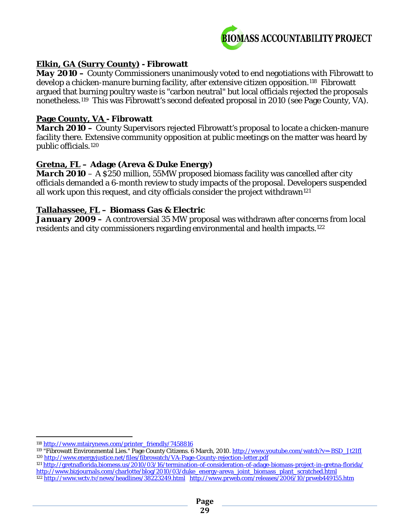

#### **Elkin, GA (Surry County) - Fibrowatt**

*May 2010 –* County Commissioners unanimously voted to end negotiations with Fibrowatt to develop a chicken-manure burning facility, after extensive citizen opposition.<sup>[118](#page-28-0)</sup> Fibrowatt argued that burning poultry waste is "carbon neutral" but local officials rejected the proposals nonetheless.[119](#page-28-1) This was Fibrowatt's second defeated proposal in 2010 (see Page County, VA).

#### **Page County, VA - Fibrowatt**

*March 2010* **–** County Supervisors rejected Fibrowatt's proposal to locate a chicken-manure facility there. Extensive community opposition at public meetings on the matter was heard by public officials.[120](#page-28-2)

#### **Gretna, FL – Adage (Areva & Duke Energy)**

*March 2010* – A \$250 million, 55MW proposed biomass facility was cancelled after city officials demanded a 6-month review to study impacts of the proposal. Developers suspended all work upon this request, and city officials consider the project withdrawn<sup>[121](#page-28-3)</sup>

#### **Tallahassee, FL – Biomass Gas & Electric**

*January 2009 –* A controversial 35 MW proposal was withdrawn after concerns from local residents and city commissioners regarding environmental and health impacts.[122](#page-28-4)

 $\overline{a}$ <sup>118</sup> [http://www.mtairynews.com/printer\\_friendly/7458816](http://www.mtairynews.com/printer_friendly/7458816)

<span id="page-28-2"></span><span id="page-28-1"></span><span id="page-28-0"></span><sup>119 &</sup>quot;Fibrowatt Environmental Lies." Page County Citizens. 6 March, 2010. [http://www.youtube.com/watch?v=-BSD\\_Jt2IfI](http://www.youtube.com/watch?v=-BSD_Jt2IfI) <sup>120</sup> <http://www.energyjustice.net/files/fibrowatch/VA-Page-County-rejection-letter.pdf>

<span id="page-28-4"></span><span id="page-28-3"></span><sup>121</sup> <http://gretnaflorida.biomess.us/2010/03/16/termination-of-consideration-of-adage-biomass-project-in-gretna-florida/> [http://www.bizjournals.com/charlotte/blog/2010/03/duke\\_energy-areva\\_joint\\_biomass\\_plant\\_scratched.html](http://www.bizjournals.com/charlotte/blog/2010/03/duke_energy-areva_joint_biomass_plant_scratched.html) <sup>122</sup> <http://www.wctv.tv/news/headlines/38223249.html><http://www.prweb.com/releases/2006/10/prweb449155.htm>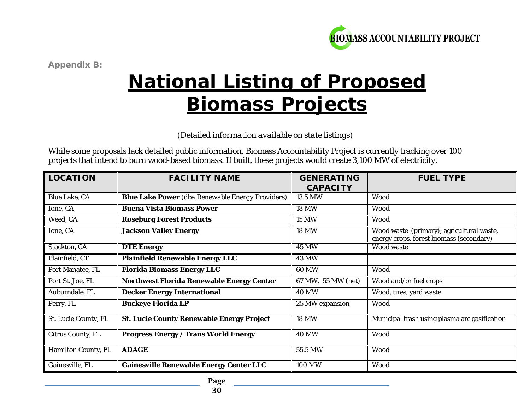

*Appendix B:* 

# **National Listing of Proposed Biomass Projects**

*(Detailed information available on state listings)*

While some proposals lack detailed public information, Biomass Accountability Project is currently tracking over 100 projects that intend to burn wood-based biomass. If built, these projects would create 3,100 MW of electricity.

| <b>LOCATION</b>          | <b>FACILITY NAME</b>                                    | <b>GENERATING</b><br><b>CAPACITY</b> | <b>FUEL TYPE</b>                                                                      |
|--------------------------|---------------------------------------------------------|--------------------------------------|---------------------------------------------------------------------------------------|
| <b>Blue Lake, CA</b>     | <b>Blue Lake Power</b> (dba Renewable Energy Providers) | 13.5 MW                              | Wood                                                                                  |
| Ione, CA                 | <b>Buena Vista Biomass Power</b>                        | <b>18 MW</b>                         | Wood                                                                                  |
| Weed, CA                 | <b>Roseburg Forest Products</b>                         | <b>15 MW</b>                         | Wood                                                                                  |
| Ione, CA                 | <b>Jackson Valley Energy</b>                            | <b>18 MW</b>                         | Wood waste (primary); agricultural waste,<br>energy crops, forest biomass (secondary) |
| Stockton, CA             | <b>DTE Energy</b>                                       | <b>45 MW</b>                         | Wood waste                                                                            |
| Plainfield, CT           | <b>Plainfield Renewable Energy LLC</b>                  | <b>43 MW</b>                         |                                                                                       |
| Port Manatee, FL         | <b>Florida Biomass Energy LLC</b>                       | <b>60 MW</b>                         | Wood                                                                                  |
| Port St. Joe, FL         | <b>Northwest Florida Renewable Energy Center</b>        | 67 MW, 55 MW (net)                   | Wood and/or fuel crops                                                                |
| Auburndale, FL           | <b>Decker Energy International</b>                      | <b>40 MW</b>                         | Wood, tires, yard waste                                                               |
| Perry, FL                | <b>Buckeye Florida LP</b>                               | 25 MW expansion                      | Wood                                                                                  |
| St. Lucie County, FL     | <b>St. Lucie County Renewable Energy Project</b>        | <b>18 MW</b>                         | Municipal trash using plasma arc gasification                                         |
| <b>Citrus County, FL</b> | <b>Progress Energy / Trans World Energy</b>             | <b>40 MW</b>                         | Wood                                                                                  |
| Hamilton County, FL      | <b>ADAGE</b>                                            | 55.5 MW                              | Wood                                                                                  |
| Gainesville, FL          | <b>Gainesville Renewable Energy Center LLC</b>          | <b>100 MW</b>                        | Wood                                                                                  |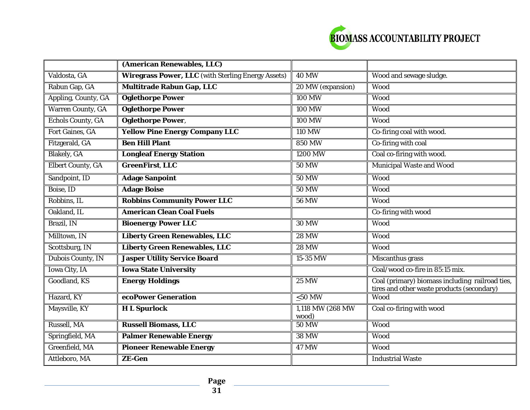

|                          | (American Renewables, LLC)                                |                           |                                                                                               |
|--------------------------|-----------------------------------------------------------|---------------------------|-----------------------------------------------------------------------------------------------|
| Valdosta, GA             | <b>Wiregrass Power, LLC</b> (with Sterling Energy Assets) | <b>40 MW</b>              | Wood and sewage sludge.                                                                       |
| Rabun Gap, GA            | <b>Multitrade Rabun Gap, LLC</b>                          | 20 MW (expansion)         | Wood                                                                                          |
| Appling, County, GA      | <b>Oglethorpe Power</b>                                   | <b>100 MW</b>             | Wood                                                                                          |
| <b>Warren County, GA</b> | <b>Oglethorpe Power</b>                                   | <b>100 MW</b>             | Wood                                                                                          |
| <b>Echols County, GA</b> | <b>Oglethorpe Power,</b>                                  | <b>100 MW</b>             | Wood                                                                                          |
| Fort Gaines, GA          | <b>Yellow Pine Energy Company LLC</b>                     | <b>110 MW</b>             | Co-firing coal with wood.                                                                     |
| Fitzgerald, GA           | <b>Ben Hill Plant</b>                                     | <b>850 MW</b>             | Co-firing with coal                                                                           |
| <b>Blakely</b> , GA      | <b>Longleaf Energy Station</b>                            | 1200 MW                   | Coal co-firing with wood.                                                                     |
| <b>Elbert County, GA</b> | <b>GreenFirst, LLC</b>                                    | <b>50 MW</b>              | <b>Municipal Waste and Wood</b>                                                               |
| Sandpoint, ID            | <b>Adage Sanpoint</b>                                     | <b>50 MW</b>              | Wood                                                                                          |
| Boise, ID                | <b>Adage Boise</b>                                        | <b>50 MW</b>              | Wood                                                                                          |
| Robbins, IL              | <b>Robbins Community Power LLC</b>                        | <b>56 MW</b>              | Wood                                                                                          |
| Oakland, IL              | <b>American Clean Coal Fuels</b>                          |                           | Co-firing with wood                                                                           |
| Brazil, IN               | <b>Bioenergy Power LLC</b>                                | <b>30 MW</b>              | Wood                                                                                          |
| Milltown, IN             | <b>Liberty Green Renewables, LLC</b>                      | <b>28 MW</b>              | Wood                                                                                          |
| Scottsburg, IN           | <b>Liberty Green Renewables, LLC</b>                      | <b>28 MW</b>              | Wood                                                                                          |
| Dubois County, IN        | <b>Jasper Utility Service Board</b>                       | 15-35 MW                  | Miscanthus grass                                                                              |
| <b>Iowa City, IA</b>     | <b>Iowa State University</b>                              |                           | Coal/wood co-fire in 85:15 mix.                                                               |
| Goodland, KS             | <b>Energy Holdings</b>                                    | <b>25 MW</b>              | Coal (primary) biomass including railroad ties,<br>tires and other waste products (secondary) |
| Hazard, KY               | ecoPower Generation                                       | $\leq 50$ MW              | Wood                                                                                          |
| Maysville, KY            | <b>HL</b> Spurlock                                        | 1,118 MW (268 MW<br>wood) | Coal co-firing with wood                                                                      |
| Russell, MA              | <b>Russell Biomass, LLC</b>                               | <b>50 MW</b>              | Wood                                                                                          |
| Springfield, MA          | <b>Palmer Renewable Energy</b>                            | <b>38 MW</b>              | Wood                                                                                          |
| Greenfield, MA           | <b>Pioneer Renewable Energy</b>                           | <b>47 MW</b>              | Wood                                                                                          |
| Attleboro, MA            | <b>ZE-Gen</b>                                             |                           | <b>Industrial Waste</b>                                                                       |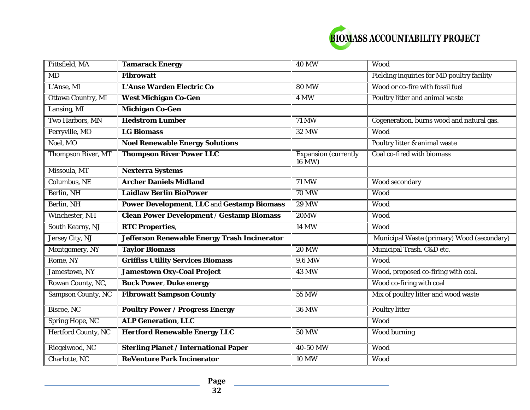

| Pittsfield, MA             | <b>Tamarack Energy</b>                            | <b>40 MW</b>                   | Wood                                       |
|----------------------------|---------------------------------------------------|--------------------------------|--------------------------------------------|
| <b>MD</b>                  | <b>Fibrowatt</b>                                  |                                | Fielding inquiries for MD poultry facility |
| L'Anse, MI                 | L'Anse Warden Electric Co                         | <b>80 MW</b>                   | Wood or co-fire with fossil fuel           |
| <b>Ottawa Country, MI</b>  | <b>West Michigan Co-Gen</b>                       | 4 MW                           | Poultry litter and animal waste            |
| Lansing, MI                | <b>Michigan Co-Gen</b>                            |                                |                                            |
| Two Harbors, MN            | <b>Hedstrom Lumber</b>                            | <b>71 MW</b>                   | Cogeneration, burns wood and natural gas.  |
| Perryville, MO             | <b>LG Biomass</b>                                 | <b>32 MW</b>                   | Wood                                       |
| Noel, MO                   | <b>Noel Renewable Energy Solutions</b>            |                                | Poultry litter & animal waste              |
| <b>Thompson River, MT</b>  | <b>Thompson River Power LLC</b>                   | Expansion (currently<br>16 MW) | Coal co-fired with biomass                 |
| Missoula, MT               | <b>Nexterra Systems</b>                           |                                |                                            |
| Columbus, NE               | <b>Archer Daniels Midland</b>                     | 71 MW                          | Wood secondary                             |
| Berlin, NH                 | <b>Laidlaw Berlin BioPower</b>                    | <b>70 MW</b>                   | Wood                                       |
| Berlin, NH                 | <b>Power Development, LLC and Gestamp Biomass</b> | <b>29 MW</b>                   | Wood                                       |
| Winchester, NH             | <b>Clean Power Development / Gestamp Biomass</b>  | <b>20MW</b>                    | Wood                                       |
| South Kearny, NJ           | <b>RTC Properties,</b>                            | <b>14 MW</b>                   | Wood                                       |
| Jersey City, NJ            | Jefferson Renewable Energy Trash Incinerator      |                                | Municipal Waste (primary) Wood (secondary) |
| Montgomery, NY             | <b>Taylor Biomass</b>                             | <b>20 MW</b>                   | Municipal Trash, C&D etc.                  |
| Rome, NY                   | <b>Griffiss Utility Services Biomass</b>          | 9.6 MW                         | Wood                                       |
| Jamestown, NY              | <b>Jamestown Oxy-Coal Project</b>                 | <b>43 MW</b>                   | Wood, proposed co-firing with coal.        |
| Rowan County, NC,          | <b>Buck Power, Duke energy</b>                    |                                | Wood co-firing with coal                   |
| <b>Sampson County, NC</b>  | <b>Fibrowatt Sampson County</b>                   | <b>55 MW</b>                   | Mix of poultry litter and wood waste       |
| Biscoe, NC                 | <b>Poultry Power / Progress Energy</b>            | <b>36 MW</b>                   | <b>Poultry litter</b>                      |
| <b>Spring Hope, NC</b>     | <b>ALP Generation, LLC</b>                        |                                | Wood                                       |
| <b>Hertford County, NC</b> | <b>Hertford Renewable Energy LLC</b>              | <b>50 MW</b>                   | <b>Wood burning</b>                        |
| Riegelwood, NC             | <b>Sterling Planet / International Paper</b>      | 40-50 MW                       | Wood                                       |
| Charlotte, NC              | <b>ReVenture Park Incinerator</b>                 | <b>10 MW</b>                   | Wood                                       |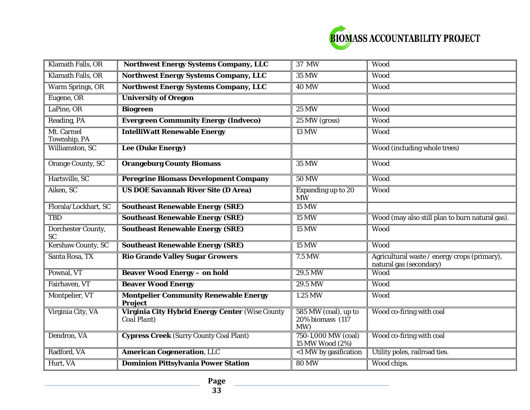

| Klamath Falls, OR               | <b>Northwest Energy Systems Company, LLC</b>                          | 37 MW                                           | Wood                                                                    |
|---------------------------------|-----------------------------------------------------------------------|-------------------------------------------------|-------------------------------------------------------------------------|
| Klamath Falls, OR               | <b>Northwest Energy Systems Company, LLC</b>                          | <b>35 MW</b>                                    | Wood                                                                    |
| Warm Springs, OR                | <b>Northwest Energy Systems Company, LLC</b>                          | <b>40 MW</b>                                    | Wood                                                                    |
| Eugene, OR                      | <b>University of Oregon</b>                                           |                                                 |                                                                         |
| LaPine, OR                      | <b>Biogreen</b>                                                       | <b>25 MW</b>                                    | Wood                                                                    |
| Reading, PA                     | <b>Evergreen Community Energy (Indveco)</b>                           | 25 MW (gross)                                   | Wood                                                                    |
| Mt. Carmel<br>Township, PA      | <b>IntelliWatt Renewable Energy</b>                                   | <b>13 MW</b>                                    | Wood                                                                    |
| Williamston, SC                 | <b>Lee (Duke Energy)</b>                                              |                                                 | Wood (including whole trees)                                            |
| <b>Orange County, SC</b>        | <b>Orangeburg County Biomass</b>                                      | <b>35 MW</b>                                    | Wood                                                                    |
| Hartsville, SC                  | <b>Peregrine Biomass Development Company</b>                          | <b>50 MW</b>                                    | Wood                                                                    |
| Aiken, SC                       | <b>US DOE Savannah River Site (D Area)</b>                            | Expanding up to 20<br><b>MW</b>                 | Wood                                                                    |
| Florala/Lockhart, SC            | <b>Southeast Renewable Energy (SRE)</b>                               | <b>15 MW</b>                                    |                                                                         |
| <b>TBD</b>                      | <b>Southeast Renewable Energy (SRE)</b>                               | <b>15 MW</b>                                    | Wood (may also still plan to burn natural gas).                         |
| Dorchester County,<br><b>SC</b> | <b>Southeast Renewable Energy (SRE)</b>                               | <b>15 MW</b>                                    | Wood                                                                    |
| <b>Kershaw County, SC</b>       | <b>Southeast Renewable Energy (SRE)</b>                               | <b>15 MW</b>                                    | Wood                                                                    |
| Santa Rosa, TX                  | <b>Rio Grande Valley Sugar Growers</b>                                | 7.5 MW                                          | Agricultural waste / energy crops (primary),<br>natural gas (secondary) |
| Pownal, VT                      | <b>Beaver Wood Energy - on hold</b>                                   | 29.5 MW                                         | Wood                                                                    |
| Fairhaven, VT                   | <b>Beaver Wood Energy</b>                                             | 29.5 MW                                         | Wood                                                                    |
| Montpelier, VT                  | <b>Montpelier Community Renewable Energy</b><br><b>Project</b>        | 1.25 MW                                         | Wood                                                                    |
| Virginia City, VA               | <b>Virginia City Hybrid Energy Center (Wise County</b><br>Coal Plant) | 585 MW (coal), up to<br>20% biomass (117<br>MW) | Wood co-firing with coal                                                |
| Dendron, VA                     | <b>Cypress Creek (Surry County Coal Plant)</b>                        | 750-1,000 MW (coal)<br>15 MW Wood (2%)          | Wood co-firing with coal                                                |
| Radford, VA                     | <b>American Cogeneration, LLC</b>                                     | <1 MW by gasification                           | Utility poles, railroad ties.                                           |
| Hurt, VA                        | <b>Dominion Pittsylvania Power Station</b>                            | <b>80 MW</b>                                    | Wood chips.                                                             |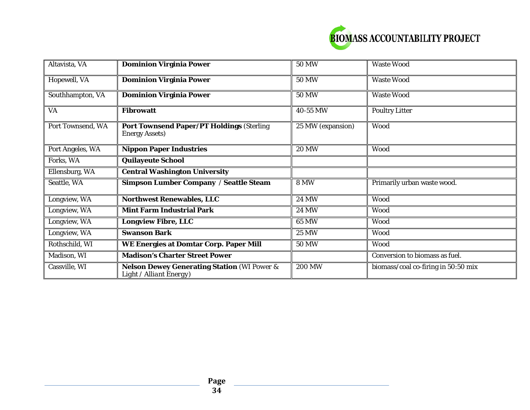

| Altavista, VA     | <b>Dominion Virginia Power</b>                                                    | <b>50 MW</b>      | <b>Waste Wood</b>                   |
|-------------------|-----------------------------------------------------------------------------------|-------------------|-------------------------------------|
| Hopewell, VA      | <b>Dominion Virginia Power</b>                                                    | <b>50 MW</b>      | <b>Waste Wood</b>                   |
| Southhampton, VA  | <b>Dominion Virginia Power</b>                                                    | <b>50 MW</b>      | <b>Waste Wood</b>                   |
| <b>VA</b>         | <b>Fibrowatt</b>                                                                  | 40-55 MW          | <b>Poultry Litter</b>               |
| Port Townsend, WA | <b>Port Townsend Paper/PT Holdings (Sterling</b><br><b>Energy Assets)</b>         | 25 MW (expansion) | Wood                                |
| Port Angeles, WA  | <b>Nippon Paper Industries</b>                                                    | <b>20 MW</b>      | Wood                                |
| Forks, WA         | <b>Quilayeute School</b>                                                          |                   |                                     |
| Ellensburg, WA    | <b>Central Washington University</b>                                              |                   |                                     |
| Seattle, WA       | <b>Simpson Lumber Company / Seattle Steam</b>                                     | <b>8 MW</b>       | Primarily urban waste wood.         |
| Longview, WA      | <b>Northwest Renewables, LLC</b>                                                  | <b>24 MW</b>      | Wood                                |
| Longview, WA      | <b>Mint Farm Industrial Park</b>                                                  | <b>24 MW</b>      | Wood                                |
| Longview, WA      | <b>Longview Fibre, LLC</b>                                                        | 65 MW             | Wood                                |
| Longview, WA      | <b>Swanson Bark</b>                                                               | <b>25 MW</b>      | Wood                                |
| Rothschild, WI    | WE Energies at Domtar Corp. Paper Mill                                            | <b>50 MW</b>      | Wood                                |
| Madison, WI       | <b>Madison's Charter Street Power</b>                                             |                   | Conversion to biomass as fuel.      |
| Cassville, WI     | <b>Nelson Dewey Generating Station (WI Power &amp;</b><br>Light / Alliant Energy) | <b>200 MW</b>     | biomass/coal co-firing in 50:50 mix |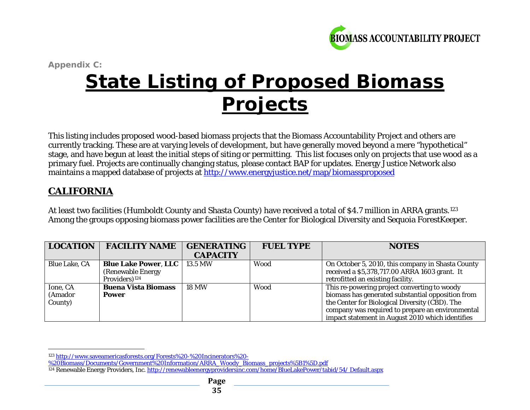<span id="page-34-1"></span><span id="page-34-0"></span>

*Appendix C:*  **State Listing of Proposed Biomass Projects**

This listing includes proposed wood-based biomass projects that the Biomass Accountability Project and others are currently tracking. These are at varying levels of development, but have generally moved beyond a mere "hypothetical" stage, and have begun at least the initial steps of siting or permitting. This list focuses only on projects that use wood as a primary fuel. Projects are continually changing status, please contact BAP for updates. Energy Justice Network also maintains a mapped database of projects at<http://www.energyjustice.net/map/biomassproposed>

# **CALIFORNIA**

At least two facilities (Humboldt County and Shasta County) have received a total of \$4.7 million in ARRA grants.<sup>[123](#page-34-0)</sup> Among the groups opposing biomass power facilities are the Center for Biological Diversity and Sequoia ForestKeeper.

| <b>LOCATION</b>      | <b>FACILITY NAME</b>                  | <b>GENERATING</b> | <b>FUEL TYPE</b> | <b>NOTES</b>                                      |
|----------------------|---------------------------------------|-------------------|------------------|---------------------------------------------------|
|                      |                                       | <b>CAPACITY</b>   |                  |                                                   |
| <b>Blue Lake, CA</b> | <b>Blue Lake Power, LLC</b>   13.5 MW |                   | <b>Wood</b>      | On October 5, 2010, this company in Shasta County |
|                      | (Renewable Energy)                    |                   |                  | received a \$5,378,717.00 ARRA 1603 grant. It     |
|                      | Providers) <sup>124</sup>             |                   |                  | retrofitted an existing facility.                 |
| Ione, CA             | <b>Buena Vista Biomass</b>            | <b>18 MW</b>      | <b>Wood</b>      | This re-powering project converting to woody      |
| (Amador              | <b>Power</b>                          |                   |                  | biomass has generated substantial opposition from |
| County)              |                                       |                   |                  | the Center for Biological Diversity (CBD). The    |
|                      |                                       |                   |                  | company was required to prepare an environmental  |
|                      |                                       |                   |                  | impact statement in August 2010 which identifies  |

[%20Biomass/Documents/Government%20Information/ARRA\\_Woody\\_Biomass\\_projects%5B1%5D.pdf](http://www.saveamericasforests.org/Forests%20-%20Incinerators%20-%20Biomass/Documents/Government%20Information/ARRA_Woody_Biomass_projects%5B1%5D.pdf)

 $\overline{a}$ <sup>123</sup> [http://www.saveamericasforests.org/Forests%20-%20Incinerators%20-](http://www.saveamericasforests.org/Forests%20-%20Incinerators%20-%20Biomass/Documents/Government%20Information/ARRA_Woody_Biomass_projects%5B1%5D.pdf)

<sup>&</sup>lt;sup>124</sup> Renewable Energy Providers, Inc. [http://renewableenergyprovidersinc.com/home/BlueLakePower/tabid/54/ Default.aspx](http://renewableenergyprovidersinc.com/home/BlueLakePower/tabid/54/%20Default.aspx)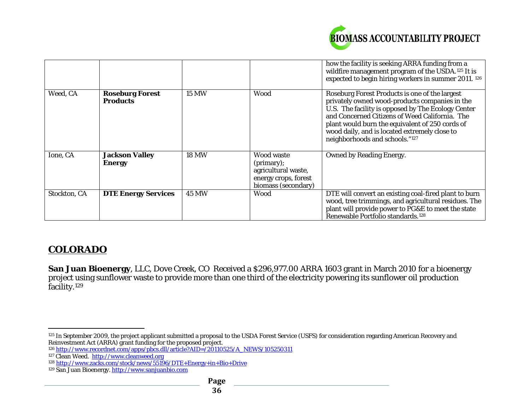<span id="page-35-4"></span><span id="page-35-3"></span><span id="page-35-2"></span><span id="page-35-1"></span><span id="page-35-0"></span>

|              |                                           |              |                                                                                                | how the facility is seeking ARRA funding from a<br>wildfire management program of the USDA. <sup>125</sup> It is<br>expected to begin hiring workers in summer 2011. 126                                                                                                                                                                       |
|--------------|-------------------------------------------|--------------|------------------------------------------------------------------------------------------------|------------------------------------------------------------------------------------------------------------------------------------------------------------------------------------------------------------------------------------------------------------------------------------------------------------------------------------------------|
| Weed, CA     | <b>Roseburg Forest</b><br><b>Products</b> | <b>15 MW</b> | Wood                                                                                           | Roseburg Forest Products is one of the largest<br>privately owned wood-products companies in the<br>U.S. The facility is opposed by The Ecology Center<br>and Concerned Citizens of Weed California. The<br>plant would burn the equivalent of 250 cords of<br>wood daily, and is located extremely close to<br>neighborhoods and schools."127 |
| Ione, CA     | <b>Jackson Valley</b><br><b>Energy</b>    | <b>18 MW</b> | Wood waste<br>(primary);<br>agricultural waste,<br>energy crops, forest<br>biomass (secondary) | <b>Owned by Reading Energy.</b>                                                                                                                                                                                                                                                                                                                |
| Stockton, CA | <b>DTE Energy Services</b>                | <b>45 MW</b> | Wood                                                                                           | DTE will convert an existing coal-fired plant to burn<br>wood, tree trimmings, and agricultural residues. The<br>plant will provide power to PG&E to meet the state<br>Renewable Portfolio standards. <sup>128</sup>                                                                                                                           |

# **COLORADO**

 $\overline{a}$ 

**San Juan Bioenergy**, LLC, Dove Creek, CO Received a \$296,977.00 ARRA 1603 grant in March 2010 for a bioenergy project using sunflower waste to provide more than one third of the electricity powering its sunflower oil production facility.<sup>[129](#page-35-4)</sup>

<sup>125</sup> In September 2009, the project applicant submitted a proposal to the USDA Forest Service (USFS) for consideration regarding American Recovery and Reinvestment Act (ARRA) grant funding for the proposed project.

<sup>126</sup> [http://www.recordnet.com/apps/pbcs.dll/article?AID=/20110525/A\\_NEWS/105250311](http://www.recordnet.com/apps/pbcs.dll/article?AID=/20110525/A_NEWS/105250311)

<sup>&</sup>lt;sup>127</sup> Clean Weed. <u>http://www.cleanweed.org</u>

<sup>128</sup> <http://www.zacks.com/stock/news/55196/DTE+Energy+in+Bio+Drive>

<sup>&</sup>lt;sup>129</sup> San Juan Bioenergy. <u>http://www.sanjuanbio.com</u>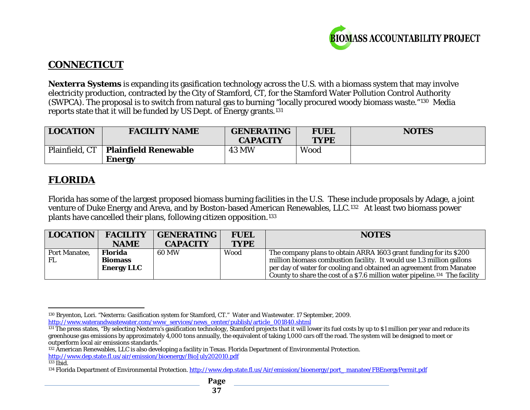<span id="page-36-4"></span><span id="page-36-3"></span><span id="page-36-2"></span><span id="page-36-1"></span><span id="page-36-0"></span>

# **CONNECTICUT**

**Nexterra Systems** is expanding its gasification technology across the U.S. with a biomass system that may involve electricity production, contracted by the City of Stamford, CT, for the Stamford Water Pollution Control Authority (SWPCA). The proposal is to switch from natural gas to burning "locally procured woody biomass waste."[130](#page-36-0) Media reports state that it will be funded by US Dept. of Energy grants.[131](#page-36-1)

| <b>LOCATION</b> | <b>FACILITY NAME</b>        | <b>GENERATING</b><br><b>CAPACITY</b> | <b>FUEL</b><br><b>TYPE</b> | <b>NOTES</b> |
|-----------------|-----------------------------|--------------------------------------|----------------------------|--------------|
| Plainfield, CT  | <b>Plainfield Renewable</b> | <b>43 MW</b>                         | <b>Wood</b>                |              |
|                 | Energy                      |                                      |                            |              |

# **FLORIDA**

Florida has some of the largest proposed biomass burning facilities in the U.S. These include proposals by Adage, a joint venture of Duke Energy and Areva, and by Boston-based American Renewables, LLC.[132](#page-36-2) At least two biomass power plants have cancelled their plans, following citizen opposition.[133](#page-36-3)

| <b>LOCATION</b> | <b>FACILITY</b><br><b>NAME</b>                        | <b>GENERATING</b><br><b>CAPACITY</b> | <b>FUEL</b><br><b>TYPE</b> | <b>NOTES</b>                                                                                                                                                                                                                                                                                                 |
|-----------------|-------------------------------------------------------|--------------------------------------|----------------------------|--------------------------------------------------------------------------------------------------------------------------------------------------------------------------------------------------------------------------------------------------------------------------------------------------------------|
| Port Manatee,   | <b>Florida</b><br><b>Biomass</b><br><b>Energy LLC</b> | 60 MW                                | Wood                       | The company plans to obtain ARRA 1603 grant funding for its \$200<br>million biomass combustion facility. It would use 1.3 million gallons<br>per day of water for cooling and obtained an agreement from Manatee<br>County to share the cost of a \$7.6 million water pipeline. <sup>134</sup> The facility |

l <sup>130</sup> Bryenton, Lori. "Nexterra: Gasification system for Stamford, CT." Water and Wastewater. 17 September, 2009. [http://www.waterandwastewater.com/www\\_services/news\\_center/publish/article\\_001840.shtml](http://www.waterandwastewater.com/www_services/news_center/publish/article_001840.shtml)

 $131$  The press states, "By selecting Nexterra's gasification technology, Stamford projects that it will lower its fuel costs by up to \$1 million per year and reduce its greenhouse gas emissions by approximately 4,000 tons annually, the equivalent of taking 1,000 cars off the road. The system will be designed to meet or outperform local air emissions standards."

<sup>132</sup> American Renewables, LLC is also developing a facility in Texas. Florida Department of Environmental Protection. <http://www.dep.state.fl.us/air/emission/bioenergy/BioJuly202010.pdf>

 $133$  Ibid.

<sup>&</sup>lt;sup>134</sup> Florida Department of Environmental Protection. [http://www.dep.state.fl.us/Air/emission/bioenergy/port\\_ manatee/FBEnergyPermit.pdf](http://www.dep.state.fl.us/Air/emission/bioenergy/port_%20manatee/FBEnergyPermit.pdf)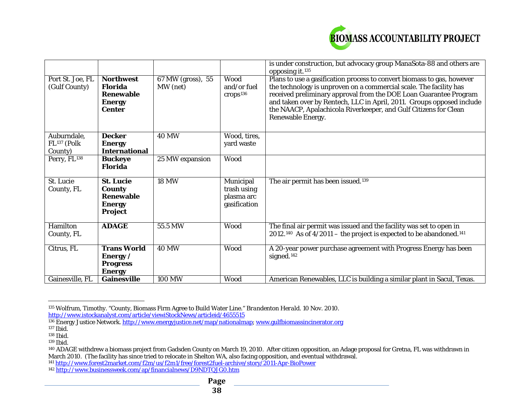<span id="page-37-7"></span><span id="page-37-6"></span><span id="page-37-5"></span><span id="page-37-4"></span><span id="page-37-3"></span><span id="page-37-2"></span><span id="page-37-1"></span><span id="page-37-0"></span>

|                                                   |                                                                                          |                               |                                                        | is under construction, but advocacy group ManaSota-88 and others are<br>opposing it. <sup>135</sup>                                                                                                                                                                                                                                                                                 |
|---------------------------------------------------|------------------------------------------------------------------------------------------|-------------------------------|--------------------------------------------------------|-------------------------------------------------------------------------------------------------------------------------------------------------------------------------------------------------------------------------------------------------------------------------------------------------------------------------------------------------------------------------------------|
| Port St. Joe, FL<br>(Gulf County)                 | <b>Northwest</b><br><b>Florida</b><br><b>Renewable</b><br><b>Energy</b><br><b>Center</b> | 67 MW (gross), 55<br>MW (net) | Wood<br>and/or fuel<br>crops <sup>136</sup>            | Plans to use a gasification process to convert biomass to gas, however<br>the technology is unproven on a commercial scale. The facility has<br>received preliminary approval from the DOE Loan Guarantee Program<br>and taken over by Rentech, LLC in April, 2011. Groups opposed include<br>the NAACP, Apalachicola Riverkeeper, and Gulf Citizens for Clean<br>Renewable Energy. |
| Auburndale,<br>FL <sup>137</sup> (Polk<br>County) | <b>Decker</b><br><b>Energy</b><br><b>International</b>                                   | <b>40 MW</b>                  | Wood, tires,<br>yard waste                             |                                                                                                                                                                                                                                                                                                                                                                                     |
| Perry, FL <sup>138</sup>                          | <b>Buckeye</b><br><b>Florida</b>                                                         | 25 MW expansion               | Wood                                                   |                                                                                                                                                                                                                                                                                                                                                                                     |
| St. Lucie<br>County, FL                           | <b>St. Lucie</b><br><b>County</b><br><b>Renewable</b><br><b>Energy</b><br>Project        | <b>18 MW</b>                  | Municipal<br>trash using<br>plasma arc<br>gasification | The air permit has been issued. <sup>139</sup>                                                                                                                                                                                                                                                                                                                                      |
| Hamilton<br>County, FL                            | <b>ADAGE</b>                                                                             | 55.5 MW                       | Wood                                                   | The final air permit was issued and the facility was set to open in<br>2012. <sup>140</sup> As of $4/2011$ – the project is expected to be abandoned. <sup>141</sup>                                                                                                                                                                                                                |
| Citrus, FL                                        | <b>Trans World</b><br>Energy /<br><b>Progress</b><br><b>Energy</b>                       | <b>40 MW</b>                  | Wood                                                   | A 20-year power purchase agreement with Progress Energy has been<br>signed. <sup>142</sup>                                                                                                                                                                                                                                                                                          |
| Gainesville, FL                                   | <b>Gainesville</b>                                                                       | <b>100 MW</b>                 | Wood                                                   | American Renewables, LLC is building a similar plant in Sacul, Texas.                                                                                                                                                                                                                                                                                                               |

 $\overline{a}$ <sup>135</sup> Wolfrum, Timothy. "County, Biomass Firm Agree to Build Water Line." *Brandenton Herald.* 10 Nov. 2010. <http://www.istockanalyst.com/article/viewiStockNews/articleid/4655515>

<sup>141</sup> <http://www.forest2market.com/f2m/us/f2m1/free/forest2fuel-archive/story/2011-Apr-BioPower>

<sup>&</sup>lt;sup>136</sup> Energy Justice Network. <u>http://www.energyjustice.net/map/nationalmap; www.gulfbiomassincinerator.org</u>

 $137$  Ibid.

<sup>138</sup> Ibid.

<sup>139</sup> Ibid.

<sup>&</sup>lt;sup>140</sup> ADAGE withdrew a biomass project from Gadsden County on March 19, 2010. After citizen opposition, an Adage proposal for Gretna, FL was withdrawn in March 2010. (The facility has since tried to relocate in Shelton WA, also facing opposition, and eventual withdrawal.

<sup>&</sup>lt;sup>142</sup> <http://www.businessweek.com/ap/financialnews/D9NDTQJG0.htm>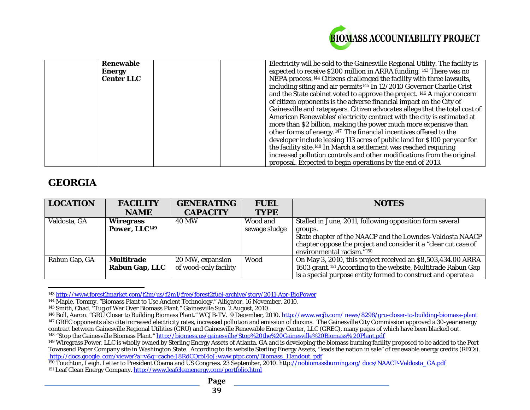<span id="page-38-8"></span><span id="page-38-7"></span><span id="page-38-6"></span><span id="page-38-5"></span><span id="page-38-4"></span><span id="page-38-3"></span><span id="page-38-2"></span><span id="page-38-1"></span><span id="page-38-0"></span>

| <b>Renewable</b>  | Electricity will be sold to the Gainesville Regional Utility. The facility is      |
|-------------------|------------------------------------------------------------------------------------|
| <b>Energy</b>     | expected to receive \$200 million in ARRA funding. 143 There was no                |
| <b>Center LLC</b> | NEPA process. <sup>144</sup> Citizens challenged the facility with three lawsuits, |
|                   | including siting and air permits <sup>145</sup> In 12/2010 Governor Charlie Crist  |
|                   | and the State cabinet voted to approve the project. 146 A major concern            |
|                   | of citizen opponents is the adverse financial impact on the City of                |
|                   | Gainesville and ratepayers. Citizen advocates allege that the total cost of        |
|                   | American Renewables' electricity contract with the city is estimated at            |
|                   | more than \$2 billion, making the power much more expensive than                   |
|                   | other forms of energy. <sup>147</sup> The financial incentives offered to the      |
|                   | developer include leasing 113 acres of public land for \$100 per year for          |
|                   | the facility site. <sup>148</sup> In March a settlement was reached requiring      |
|                   | increased pollution controls and other modifications from the original             |
|                   | proposal. Expected to begin operations by the end of 2013.                         |

# **GEORGIA**

| <b>LOCATION</b> | <b>FACILITY</b>           | <b>GENERATING</b>     | <b>FUEL</b>   | <b>NOTES</b>                                                              |
|-----------------|---------------------------|-----------------------|---------------|---------------------------------------------------------------------------|
|                 | <b>NAME</b>               | <b>CAPACITY</b>       | <b>TYPE</b>   |                                                                           |
| Valdosta, GA    | <b>Wiregrass</b>          | <b>40 MW</b>          | Wood and      | Stalled in June, 2011, following opposition form several                  |
|                 | Power, LLC <sup>149</sup> |                       | sewage sludge | groups.                                                                   |
|                 |                           |                       |               | State chapter of the NAACP and the Lowndes-Valdosta NAACP                 |
|                 |                           |                       |               | chapter oppose the project and consider it a "clear cut case of           |
|                 |                           |                       |               | environmental racism."150                                                 |
| Rabun Gap, GA   | <b>Multitrade</b>         | 20 MW, expansion      | Wood          | On May 3, 2010, this project received an \$8,503,434.00 ARRA              |
|                 | <b>Rabun Gap, LLC</b>     | of wood-only facility |               | 1603 grant. <sup>151</sup> According to the website, Multitrade Rabun Gap |
|                 |                           |                       |               | is a special purpose entity formed to construct and operate a             |

 $\overline{a}$ <sup>143</sup> <http://www.forest2market.com/f2m/us/f2m1/free/forest2fuel-archive/story/2011-Apr-BioPower>

<sup>144</sup> Maple, Tommy. "Biomass Plant to Use Ancient Technology." *Alligator*. 16 November, 2010.

<sup>145</sup> Smith, Chad. "Tug of War Over Biomass Plant." *Gainesville Sun*. 2 August, 2010.

<sup>&</sup>lt;sup>146</sup> Boll, Aaron. "GRU Closer to Building Biomass Plant." WCJB-TV. 9 December, 2010. http://www.wcjb.com/news/8298/gru-closer-to-building-biomass-plant <sup>147</sup> GREC opponents also cite increased electricity rates, increased pollution and emission of dioxins. The Gainesville City Commission approved a 30-year energy contract between Gainesville Regional Utilities (GRU) and Gainesville Renewable Energy Center, LLC (GREC), many pages of which have been blacked out. <sup>148</sup> "Stop the Gainesville Biomass Plant." <u>http://biomess.us/gainesville/Stop%20the%20Gainesville%20Biomass% 20Plant.pdf</u>

<sup>&</sup>lt;sup>149</sup> Wiregrass Power, LLC is wholly owned by Sterling Energy Assets of Atlanta, GA and is developing the biomass burning facility proposed to be added to the Port Townsend Paper Company site in Washington State. According to its website Sterling Energy Assets, "leads the nation in sale" of renewable energy credits (RECs). http://docs.google.com/viewer?a=v&q=cache:J8RdCQrbI4oJ:www.ptpc.com/Biomass\_Handout. pdf

<sup>150</sup> Touchton, Leigh. Letter to President Obama and US Congress. 23 September, 2010. http://nobiomassburning.org/docs/NAACP-Valdosta\_GA.pdf <sup>151</sup> Leaf Clean Energy Company[. http://www.leafcleanenergy.com/portfolio.html](http://www.leafcleanenergy.com/portfolio.html)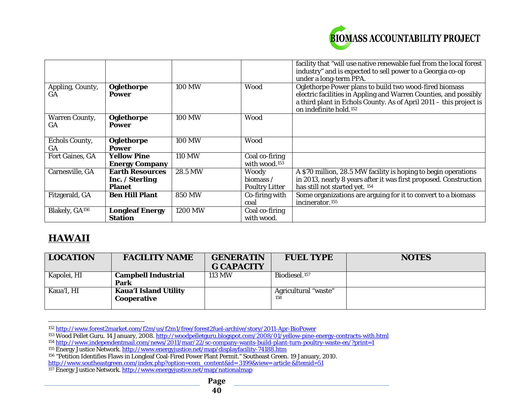<span id="page-39-6"></span><span id="page-39-5"></span><span id="page-39-4"></span><span id="page-39-3"></span><span id="page-39-2"></span><span id="page-39-1"></span><span id="page-39-0"></span>

|                             |                            |               |                           | facility that "will use native renewable fuel from the local forest<br>industry" and is expected to sell power to a Georgia co-op                                                                                                      |
|-----------------------------|----------------------------|---------------|---------------------------|----------------------------------------------------------------------------------------------------------------------------------------------------------------------------------------------------------------------------------------|
|                             |                            |               |                           | under a long-term PPA.                                                                                                                                                                                                                 |
| Appling, County,<br>GA      | Oglethorpe<br><b>Power</b> | <b>100 MW</b> | Wood                      | Oglethorpe Power plans to build two wood-fired biomass<br>electric facilities in Appling and Warren Counties, and possibly<br>a third plant in Echols County. As of April 2011 - this project is<br>on indefinite hold. <sup>152</sup> |
| <b>Warren County,</b><br>GA | Oglethorpe<br><b>Power</b> | <b>100 MW</b> | Wood                      |                                                                                                                                                                                                                                        |
| <b>Echols County,</b><br>GA | Oglethorpe<br><b>Power</b> | <b>100 MW</b> | Wood                      |                                                                                                                                                                                                                                        |
| Fort Gaines, GA             | <b>Yellow Pine</b>         | <b>110 MW</b> | Coal co-firing            |                                                                                                                                                                                                                                        |
|                             | <b>Energy Company</b>      |               | with wood. <sup>153</sup> |                                                                                                                                                                                                                                        |
| Carnesville, GA             | <b>Earth Resources</b>     | 28.5 MW       | <b>Woody</b>              | A \$70 million, 28.5 MW facility is hoping to begin operations                                                                                                                                                                         |
|                             | Inc. / Sterling            |               | biomass $\angle$          | in 2013, nearly 8 years after it was first proposed. Construction                                                                                                                                                                      |
|                             | <b>Planet</b>              |               | <b>Poultry Litter</b>     | has still not started yet. 154                                                                                                                                                                                                         |
| Fitzgerald, GA              | <b>Ben Hill Plant</b>      | <b>850 MW</b> | Co-firing with            | Some organizations are arguing for it to convert to a biomass                                                                                                                                                                          |
|                             |                            |               | coal                      | incinerator. <sup>155</sup>                                                                                                                                                                                                            |
| Blakely, GA <sup>156</sup>  | <b>Longleaf Energy</b>     | 1200 MW       | Coal co-firing            |                                                                                                                                                                                                                                        |
|                             | <b>Station</b>             |               | with wood.                |                                                                                                                                                                                                                                        |

# **HAWAII**

| <b>LOCATION</b> | <b>FACILITY NAME</b>                        | <b>GENERATIN</b><br><b>G CAPACITY</b> | <b>FUEL TYPE</b>            | <b>NOTES</b> |
|-----------------|---------------------------------------------|---------------------------------------|-----------------------------|--------------|
| Kapolei, HI     | <b>Campbell Industrial</b><br>Park          | <b>113 MW</b>                         | Biodiesel. <sup>157</sup>   |              |
| Kaua'I, HI      | <b>Kaua'I Island Utility</b><br>Cooperative |                                       | Agricultural "waste"<br>158 |              |

 $\overline{a}$ <sup>152</sup> <http://www.forest2market.com/f2m/us/f2m1/free/forest2fuel-archive/story/2011-Apr-BioPower>

<sup>153</sup> Wood Pellet Guru. 14 January, 2008.<http://woodpelletguru.blogspot.com/2008/01/yellow-pine-energy-contracts-with.html>

<sup>154</sup> <http://www.independentmail.com/news/2011/mar/22/sc-company-wants-build-plant-turn-poultry-waste-en/?print=1>

<sup>155</sup> Energy Justice Network[. http://www.energyjustice.net/map/displayfacility-74188.htm](http://www.energyjustice.net/map/displayfacility-74188.htm)

<sup>156</sup> "Petition Identifies Flaws in Longleaf Coal-Fired Power Plant Permit." Southeast Green. 19 January, 2010. [http://www.southeastgreen.com/index.php?option=com\\_content&id= 3199&view= article &Itemid=51](http://www.southeastgreen.com/index.php?option=com_content&id=%203199&view=%20article%20&Itemid=51)

<sup>&</sup>lt;sup>157</sup> Energy Justice Network. <u>http://www.energyjustice.net/map/nationalmap</u>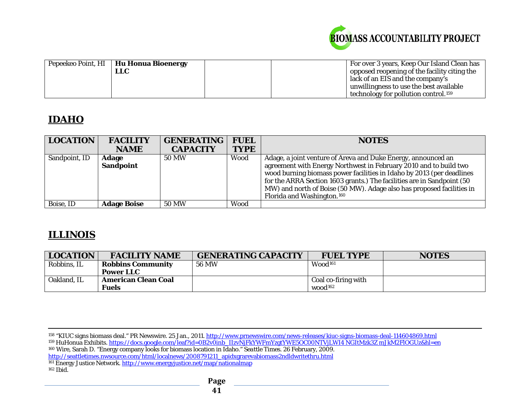<span id="page-40-3"></span><span id="page-40-2"></span><span id="page-40-1"></span><span id="page-40-0"></span>

| Pepeekeo Point, HI   Hu Honua Bioenergy<br><b>LLC</b> |  | For over 3 years, Keep Our Island Clean has<br>opposed reopening of the facility citing the<br>lack of an EIS and the company's |
|-------------------------------------------------------|--|---------------------------------------------------------------------------------------------------------------------------------|
|                                                       |  | unwillingness to use the best available                                                                                         |
|                                                       |  | technology for pollution control. <sup>159</sup>                                                                                |

# **IDAHO**

| <b>LOCATION</b> | <b>FACILITY</b>    | <b>GENERATING</b> | <b>FUEL</b> | <b>NOTES</b>                                                           |
|-----------------|--------------------|-------------------|-------------|------------------------------------------------------------------------|
|                 | <b>NAME</b>        | <b>CAPACITY</b>   | <b>TYPE</b> |                                                                        |
| Sandpoint, ID   | <b>Adage</b>       | 50 MW             | Wood        | Adage, a joint venture of Areva and Duke Energy, announced an          |
|                 | <b>Sandpoint</b>   |                   |             | agreement with Energy Northwest in February 2010 and to build two      |
|                 |                    |                   |             | wood burning biomass power facilities in Idaho by 2013 (per deadlines  |
|                 |                    |                   |             | for the ARRA Section 1603 grants.) The facilities are in Sandpoint (50 |
|                 |                    |                   |             | MW) and north of Boise (50 MW). Adage also has proposed facilities in  |
|                 |                    |                   |             | Florida and Washington. <sup>160</sup>                                 |
| Boise, ID       | <b>Adage Boise</b> | <b>50 MW</b>      | Wood        |                                                                        |

# **ILLINOIS**

| <b>LOCATION</b> | <b>FACILITY NAME</b>       | <b>GENERATING CAPACITY</b> | <b>FUEL TYPE</b>    | <b>NOTES</b> |
|-----------------|----------------------------|----------------------------|---------------------|--------------|
| Robbins, IL     | <b>Robbins Community</b>   | <b>56 MW</b>               | Wood <sup>161</sup> |              |
|                 | <b>Power LLC</b>           |                            |                     |              |
| Oakland, IL     | <b>American Clean Coal</b> |                            | Coal co-firing with |              |
|                 | <b>Fuels</b>               |                            | wood <sup>162</sup> |              |

 $\overline{a}$ <sup>158</sup> "KIUC signs biomass deal." PR Newswire. 25 Jan., 2011. <u>http://www.prnewswire.com/news-releases/kiuc-signs-biomass-deal-114604869.html</u>

<sup>159</sup> HuHonua Exhibits. [https://docs.google.com/leaf?id=0B2v0inb\\_IIzvNjFkYWFmYzgtYWE5OC00NTVjLWI4 NGItMzk3Z mJkM2FlOGUz&hl=en](https://docs.google.com/leaf?id=0B2v0inb_IIzvNjFkYWFmYzgtYWE5OC00NTVjLWI4%20NGItMzk3Z%20mJkM2FlOGUz&hl=en)

<sup>160</sup> Wire, Sarah D. "Energy company looks for biomass location in Idaho." *Seattle Times*. 26 February, 2009. [http://seattletimes.nwsource.com/html/localnews/2008791211\\_apidxgrarevabiomass2ndldwritethru.html](http://seattletimes.nwsource.com/html/localnews/2008791211_apidxgrarevabiomass2ndldwritethru.html)

<sup>161</sup> Energy Justice Network[. http://www.energyjustice.net/map/nationalmap](http://www.energyjustice.net/map/nationalmap)  $162$  Ibid.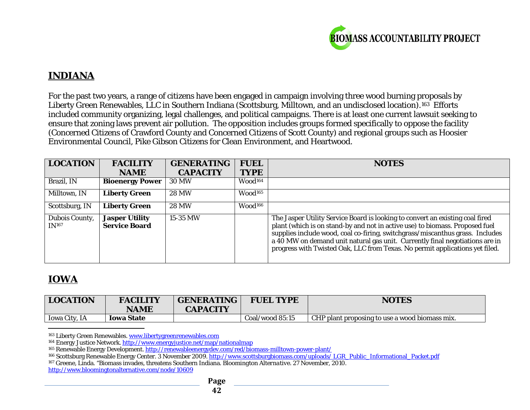<span id="page-41-4"></span><span id="page-41-3"></span><span id="page-41-2"></span><span id="page-41-1"></span><span id="page-41-0"></span>

# **INDIANA**

For the past two years, a range of citizens have been engaged in campaign involving three wood burning proposals by Liberty Green Renewables, LLC in Southern Indiana (Scottsburg, Milltown, and an undisclosed location).<sup>163</sup> Efforts included community organizing, legal challenges, and political campaigns. There is at least one current lawsuit seeking to ensure that zoning laws prevent air pollution. The opposition includes groups formed specifically to oppose the facility (Concerned Citizens of Crawford County and Concerned Citizens of Scott County) and regional groups such as Hoosier Environmental Council, Pike Gibson Citizens for Clean Environment, and Heartwood.

| <b>LOCATION</b>                     | <b>FACILITY</b>                               | <b>GENERATING</b> | <b>FUEL</b>         | <b>NOTES</b>                                                                                                                                                                                                                                                                                                                                                                                                   |
|-------------------------------------|-----------------------------------------------|-------------------|---------------------|----------------------------------------------------------------------------------------------------------------------------------------------------------------------------------------------------------------------------------------------------------------------------------------------------------------------------------------------------------------------------------------------------------------|
|                                     | <b>NAME</b>                                   | <b>CAPACITY</b>   | <b>TYPE</b>         |                                                                                                                                                                                                                                                                                                                                                                                                                |
| Brazil, IN                          | <b>Bioenergy Power</b>                        | <b>30 MW</b>      | Wood <sup>164</sup> |                                                                                                                                                                                                                                                                                                                                                                                                                |
| Milltown, IN                        | <b>Liberty Green</b>                          | <b>28 MW</b>      | Wood <sup>165</sup> |                                                                                                                                                                                                                                                                                                                                                                                                                |
| Scottsburg, IN                      | <b>Liberty Green</b>                          | <b>28 MW</b>      | Wood <sup>166</sup> |                                                                                                                                                                                                                                                                                                                                                                                                                |
| Dubois County,<br>IN <sup>167</sup> | <b>Jasper Utility</b><br><b>Service Board</b> | 15-35 MW          |                     | The Jasper Utility Service Board is looking to convert an existing coal fired<br>plant (which is on stand-by and not in active use) to biomass. Proposed fuel<br>supplies include wood, coal co-firing, switchgrass/miscanthus grass. Includes<br>a 40 MW on demand unit natural gas unit. Currently final negotiations are in<br>progress with Twisted Oak, LLC from Texas. No permit applications yet filed. |

# **IOWA**

| <b>LOCATION</b>      | <b>FACILITY</b><br><b>NAME</b> | <b>GENERATING</b><br><b>CAPACITY</b> | <b>FUEL TYPE</b> | <b>NOTES</b>                                   |
|----------------------|--------------------------------|--------------------------------------|------------------|------------------------------------------------|
|                      |                                |                                      |                  |                                                |
| <b>Iowa City, IA</b> | <b>Iowa State</b>              |                                      | Coal/wood 85:15  | CHP plant proposing to use a wood biomass mix. |

 $\overline{a}$ <sup>163</sup> Liberty Green Renewables[. www.libertygreenrenewables.com](http://www.libertygreenrenewables.com/)

<sup>164</sup> Energy Justice Network.<http://www.energyjustice.net/map/nationalmap>

<sup>165</sup> Renewable Energy Development[. http://renewableenergydev.com/red/biomass-milltown-power-plant/](http://renewableenergydev.com/red/biomass-milltown-power-plant/)

<sup>166</sup> Scottsburg Renewable Energy Center. 3 November 2009[. http://www.scottsburgbiomass.com/uploads/ LGR\\_Public\\_Informational\\_Packet.pdf](http://www.scottsburgbiomass.com/uploads/%20LGR_Public_Informational_Packet.pdf)

<sup>167</sup> Greene, Linda. "Biomass invades, threatens Southern Indiana. *Bloomington Alternative*. 27 November, 2010.

<http://www.bloomingtonalternative.com/node/10609>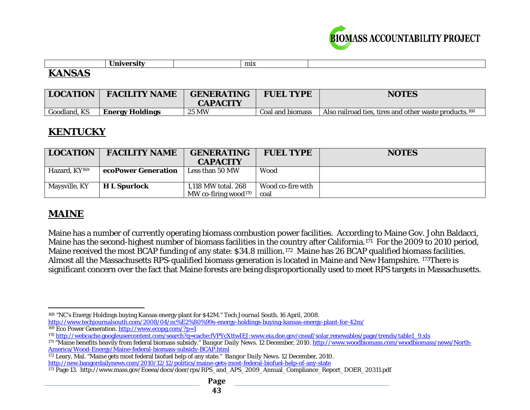<span id="page-42-5"></span><span id="page-42-4"></span><span id="page-42-3"></span><span id="page-42-2"></span><span id="page-42-1"></span><span id="page-42-0"></span>

|                          | $\overline{\phantom{0}}$ | mix |  |
|--------------------------|--------------------------|-----|--|
| -----<br><b>IZANICAC</b> |                          |     |  |

# **KANSAS**

| <b>LOCATION</b> | <b>FACILITY NAME</b>   | <b>GENERATING</b><br><b>CAPACITY</b> | <b>FUEL TYPE</b> | <b>NOTES</b>                                                       |
|-----------------|------------------------|--------------------------------------|------------------|--------------------------------------------------------------------|
| Goodland, KS    | <b>Energy Holdings</b> | <b>25 MW</b>                         | Coal and biomass | Also railroad ties, tires and other waste products. <sup>168</sup> |

# **KENTUCKY**

| <b>LOCATION</b>           | <b>FACILITY NAME</b> | <b>GENERATING</b>                                       | <b>FUEL TYPE</b>          | <b>NOTES</b> |
|---------------------------|----------------------|---------------------------------------------------------|---------------------------|--------------|
|                           |                      | <b>CAPACITY</b>                                         |                           |              |
| Hazard, KY <sup>169</sup> | ecoPower Generation  | Less than 50 MW                                         | Wood                      |              |
| Maysville, KY             | <b>H</b> L Spurlock  | 1,118 MW total. 268<br>MW co-firing wood <sup>170</sup> | Wood co-fire with<br>coal |              |

# **MAINE**

Maine has a number of currently operating biomass combustion power facilities. According to Maine Gov. John Baldacci, Maine has the second-highest number of biomass facilities in the country after California.[171](#page-42-3) For the 2009 to 2010 period, Maine received the most BCAP funding of any state: \$34.8 million.<sup>172</sup> Maine has 26 BCAP qualified biomass facilities. Almost all the Massachusetts RPS-qualified biomass generation is located in Maine and New Hampshire. [173](#page-42-5)There is significant concern over the fact that Maine forests are being disproportionally used to meet RPS targets in Massachusetts.

<sup>172</sup> Leary, Mal. "Maine gets most federal biofuel help of any state." *Bangor Daily News.* 12 December, 2010. <http://new.bangordailynews.com/2010/12/12/politics/maine-gets-most-federal-biofuel-help-of-any-state>

l <sup>168</sup> "NC's Energy Holdings buying Kansas energy plant for \$42M." *Tech Journal South*. 16 April, 2008.

<http://www.techjournalsouth.com/2008/04/nc%E2%80%99s-energy-holdings-buying-kansas-energy-plant-for-42m/>

<sup>169</sup> Eco Power Generation.<http://www.ecopg.com/?p=1>

<sup>170</sup> [http://webcache.googleusercontent.com/search?q=cache:fVPYcXttwIEJ:www.eia.doe.gov/cneaf/solar.renewables/page/trends/table1\\_9.xls](http://webcache.googleusercontent.com/search?q=cache:fVPYcXttwIEJ:www.eia.doe.gov/cneaf/solar.renewables/page/trends/table1_9.xls)

<sup>171</sup> "Maine benefits heavily from federal biomass subsidy." *Bangor Daily News*. 12 December, 2010. [http://www.woodbiomass.com/woodbiomass/news/North-](http://www.woodbiomass.com/woodbiomass/news/North-America/Wood-Energy/Maine-federal-biomass-subsidy-BCAP.html)[America/Wood-Energy/Maine-federal-biomass-subsidy-BCAP.html](http://www.woodbiomass.com/woodbiomass/news/North-America/Wood-Energy/Maine-federal-biomass-subsidy-BCAP.html)

<sup>173</sup> Page 13. http://www.mass.gov/Eoeea/docs/doer/rps/RPS\_and\_APS\_2009\_Annual\_Compliance\_Report\_DOER\_20311.pdf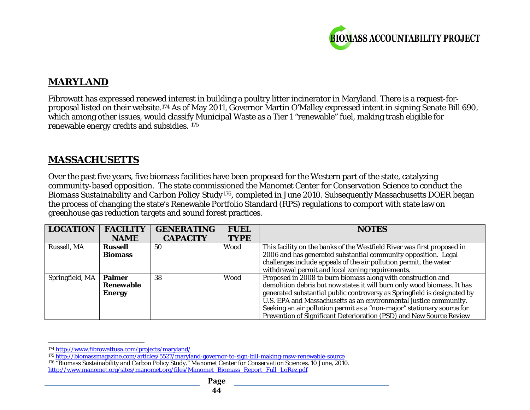<span id="page-43-2"></span><span id="page-43-1"></span><span id="page-43-0"></span>

# **MARYLAND**

Fibrowatt has expressed renewed interest in building a poultry litter incinerator in Maryland. There is a request-forproposal listed on their website.[174](#page-43-0) As of May 2011, Governor Martin O'Malley expressed intent in signing Senate Bill 690, which among other issues, would classify Municipal Waste as a Tier 1 "renewable" fuel, making trash eligible for renewable energy credits and subsidies. [175](#page-43-1)

# **MASSACHUSETTS**

Over the past five years, five biomass facilities have been proposed for the Western part of the state, catalyzing community-based opposition. The state commissioned the Manomet Center for Conservation Science to conduct the *Biomass Sustainability and Carbon Policy Study*[176](#page-43-2), completed in June 2010. Subsequently Massachusetts DOER began the process of changing the state's Renewable Portfolio Standard (RPS) regulations to comport with state law on greenhouse gas reduction targets and sound forest practices.

| <b>LOCATION</b> | <b>FACILITY</b>  | <b>GENERATING</b> | <b>FUEL</b> | <b>NOTES</b>                                                             |
|-----------------|------------------|-------------------|-------------|--------------------------------------------------------------------------|
|                 | <b>NAME</b>      | <b>CAPACITY</b>   | <b>TYPE</b> |                                                                          |
| Russell, MA     | <b>Russell</b>   | 50                | Wood        | This facility on the banks of the Westfield River was first proposed in  |
|                 | <b>Biomass</b>   |                   |             | 2006 and has generated substantial community opposition. Legal           |
|                 |                  |                   |             | challenges include appeals of the air pollution permit, the water        |
|                 |                  |                   |             | withdrawal permit and local zoning requirements.                         |
| Springfield, MA | <b>Palmer</b>    | 38                | Wood        | Proposed in 2008 to burn biomass along with construction and             |
|                 | <b>Renewable</b> |                   |             | demolition debris but now states it will burn only wood biomass. It has  |
|                 | <b>Energy</b>    |                   |             | generated substantial public controversy as Springfield is designated by |
|                 |                  |                   |             | U.S. EPA and Massachusetts as an environmental justice community.        |
|                 |                  |                   |             | Seeking an air pollution permit as a "non-major" stationary source for   |
|                 |                  |                   |             | Prevention of Significant Deterioration (PSD) and New Source Review      |

 $\overline{a}$ <sup>174</sup> <http://www.fibrowattusa.com/projects/maryland/>

<sup>175</sup> <http://biomassmagazine.com/articles/5527/maryland-governor-to-sign-bill-making-msw-renewable-source>

<sup>176</sup> "Biomass Sustainability and Carbon Policy Study." *Manomet Center for Conservation Sciences*. 10 June, 2010. [http://www.manomet.org/sites/manomet.org/files/Manomet\\_Biomass\\_Report\\_Full\\_LoRez.pdf](http://www.manomet.org/sites/manomet.org/files/Manomet_Biomass_Report_Full_LoRez.pdf)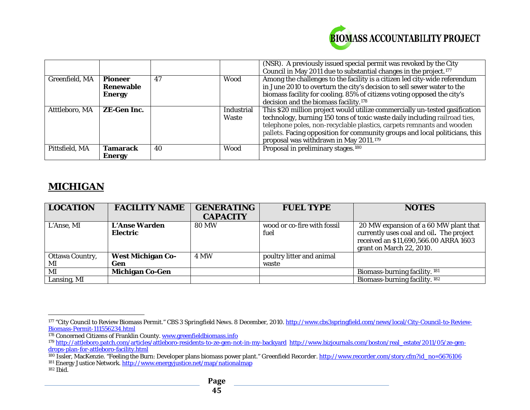<span id="page-44-5"></span><span id="page-44-4"></span><span id="page-44-3"></span><span id="page-44-2"></span><span id="page-44-1"></span><span id="page-44-0"></span>

|                |                                              |    |                            | (NSR). A previously issued special permit was revoked by the City<br>Council in May 2011 due to substantial changes in the project. <sup>177</sup>                                                                                                                                                                                                                      |
|----------------|----------------------------------------------|----|----------------------------|-------------------------------------------------------------------------------------------------------------------------------------------------------------------------------------------------------------------------------------------------------------------------------------------------------------------------------------------------------------------------|
| Greenfield, MA | <b>Pioneer</b><br>Renewable<br><b>Energy</b> | 47 | Wood                       | Among the challenges to the facility is a citizen led city-wide referendum<br>in June 2010 to overturn the city's decision to sell sewer water to the<br>biomass facility for cooling. 85% of citizens voting opposed the city's<br>decision and the biomass facility. <sup>178</sup>                                                                                   |
| Atttleboro, MA | <b>ZE-Gen Inc.</b>                           |    | Industrial<br><b>Waste</b> | This \$20 million project would utilize commercially un-tested gasification<br>technology, burning 150 tons of toxic waste daily including railroad ties,<br>telephone poles, non-recyclable plastics, carpets remnants and wooden<br>pallets. Facing opposition for community groups and local politicians, this<br>proposal was withdrawn in May 2011. <sup>179</sup> |
| Pittsfield, MA | <b>Tamarack</b><br><b>Energy</b>             | 40 | Wood                       | Proposal in preliminary stages. <sup>180</sup>                                                                                                                                                                                                                                                                                                                          |

# **MICHIGAN**

| <b>LOCATION</b>        | <b>FACILITY NAME</b>     | <b>GENERATING</b> | <b>FUEL TYPE</b>            | <b>NOTES</b>                             |
|------------------------|--------------------------|-------------------|-----------------------------|------------------------------------------|
|                        |                          | <b>CAPACITY</b>   |                             |                                          |
| L'Anse, MI             | <b>L'Anse Warden</b>     | 80 MW             | wood or co-fire with fossil | 20 MW expansion of a 60 MW plant that    |
|                        | <b>Electric</b>          |                   | fuel                        | currently uses coal and oil. The project |
|                        |                          |                   |                             | received an \$11,690,566.00 ARRA 1603    |
|                        |                          |                   |                             | grant on March 22, 2010.                 |
| <b>Ottawa Country,</b> | <b>West Michigan Co-</b> | <b>4 MW</b>       | poultry litter and animal   |                                          |
| MI                     | Gen                      |                   | waste                       |                                          |
| MI                     | <b>Michigan Co-Gen</b>   |                   |                             | Biomass-burning facility. <sup>181</sup> |
| Lansing, MI            |                          |                   |                             | Biomass-burning facility. 182            |

 $\overline{a}$ <sup>177</sup> "City Council to Review Biomass Permit." *CBS 3 Springfield News.* 8 December, 2010. [http://www.cbs3springfield.com/news/local/City-Council-to-Review-](http://www.cbs3springfield.com/news/local/City-Council-to-Review-Biomass-Permit-111556234.html)[Biomass-Permit-111556234.html](http://www.cbs3springfield.com/news/local/City-Council-to-Review-Biomass-Permit-111556234.html)

<sup>&</sup>lt;sup>178</sup> Concerned Citizens of Franklin County. www.greenfieldbiomass.info

<sup>179</sup> <http://attleboro.patch.com/articles/attleboro-residents-to-ze-gen-not-in-my-backyard>[http://www.bizjournals.com/boston/real\\_estate/2011/05/ze-gen](http://www.bizjournals.com/boston/real_estate/2011/05/ze-gen-drops-plan-for-attleboro-facility.html)[drops-plan-for-attleboro-facility.html](http://www.bizjournals.com/boston/real_estate/2011/05/ze-gen-drops-plan-for-attleboro-facility.html)

<sup>180</sup> Issler, MacKenzie. "Feeling the Burn: Developer plans biomass power plant." *Greenfield Recorder.* [http://www.recorder.com/story.cfm?id\\_no=5676106](http://www.recorder.com/story.cfm?id_no=5676106)

<sup>181</sup> Energy Justice Network[. http://www.energyjustice.net/map/nationalmap](http://www.energyjustice.net/map/nationalmap)

 $182$  Ibid.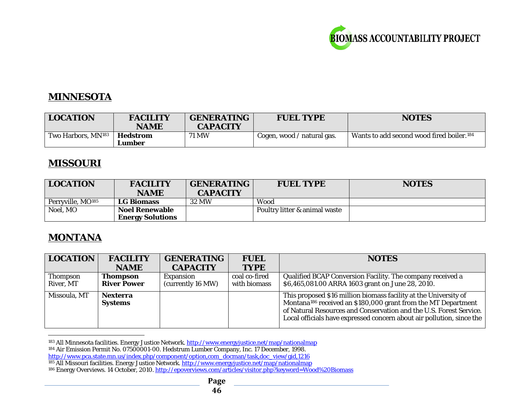<span id="page-45-3"></span><span id="page-45-2"></span><span id="page-45-1"></span><span id="page-45-0"></span>

# **MINNESOTA**

| <b>LOCATION</b>                | <b>FACILITY</b><br><b>NAME</b> | <b>GENERATING</b><br><b>CAPACITY</b> | <b>FUEL TYPE</b>           | <b>NOTES</b>                                          |
|--------------------------------|--------------------------------|--------------------------------------|----------------------------|-------------------------------------------------------|
| Two Harbors, MN <sup>183</sup> | Hedstrom<br>Lumber             | <b>71 MW</b>                         | Cogen, wood / natural gas. | Wants to add second wood fired boiler. <sup>184</sup> |

## **MISSOURI**

| <b>LOCATION</b>               | <b>FACILITY</b><br><b>NAME</b> | <b>GENERATING</b><br><b>CAPACITY</b> | <b>FUEL TYPE</b>              | <b>NOTES</b> |
|-------------------------------|--------------------------------|--------------------------------------|-------------------------------|--------------|
| Perryville, MO <sup>185</sup> | <b>LG Biomass</b>              | 32 MW                                | Wood                          |              |
| Noel, MO                      | <b>Noel Renewable</b>          |                                      | Poultry litter & animal waste |              |
|                               | <b>Energy Solutions</b>        |                                      |                               |              |

# **MONTANA**

| <b>LOCATION</b> | <b>FACILITY</b>    | <b>GENERATING</b> | <b>FUEL</b>   | <b>NOTES</b>                                                              |
|-----------------|--------------------|-------------------|---------------|---------------------------------------------------------------------------|
|                 | <b>NAME</b>        | <b>CAPACITY</b>   | <b>TYPE</b>   |                                                                           |
| <b>Thompson</b> | <b>Thompson</b>    | <b>Expansion</b>  | coal co-fired | Qualified BCAP Conversion Facility. The company received a                |
| River, MT       | <b>River Power</b> | (currently 16 MW) | with biomass  | \$6,465,081.00 ARRA 1603 grant on June 28, 2010.                          |
| Missoula, MT    | <b>Nexterra</b>    |                   |               | This proposed \$16 million biomass facility at the University of          |
|                 | <b>Systems</b>     |                   |               | Montana <sup>186</sup> received an \$180,000 grant from the MT Department |
|                 |                    |                   |               | of Natural Resources and Conservation and the U.S. Forest Service.        |
|                 |                    |                   |               | Local officials have expressed concern about air pollution, since the     |
|                 |                    |                   |               |                                                                           |

 $\overline{a}$ <sup>183</sup> All Minnesota facilities. Energy Justice Network. <u>http://www.energyjustice.net/map/nationalmap</u>

<sup>184</sup> Air Emission Permit No. 07500001-00. Hedstrum Lumber Company, Inc. 17 December, 1998.

[http://www.pca.state.mn.us/index.php/component/option,com\\_docman/task,doc\\_view/gid,1216](http://www.pca.state.mn.us/index.php/component/option,com_docman/task,doc_view/gid,1216)

<sup>&</sup>lt;sup>185</sup> All Missouri facilities. Energy Justice Network. <u>http://www.energyjustice.net/map/nationalmap</u>

<sup>&</sup>lt;sup>186</sup> Energy Overviews. 14 October, 2010. <u>http://epoverviews.com/articles/visitor.php?keyword=Wood%20Biomass</u>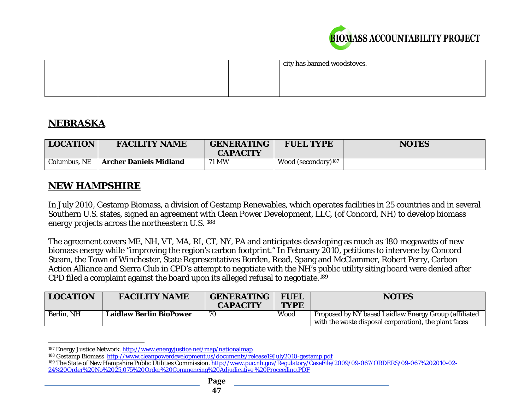<span id="page-46-2"></span><span id="page-46-1"></span><span id="page-46-0"></span>

|  |  | city has banned woodstoves. |
|--|--|-----------------------------|
|  |  |                             |
|  |  |                             |
|  |  |                             |

# **NEBRASKA**

| <b>LOCATION</b> | <b>FACILITY NAME</b>          | <b>GENERATING</b><br><b>CAPACITY</b> | <b>FUEL TYPE</b>                | <b>NOTES</b> |
|-----------------|-------------------------------|--------------------------------------|---------------------------------|--------------|
| Columbus, NE    | <b>Archer Daniels Midland</b> | 71 MW                                | Wood (secondary) <sup>187</sup> |              |

## **NEW HAMPSHIRE**

In July 2010, Gestamp Biomass, a division of Gestamp Renewables, which operates facilities in 25 countries and in several Southern U.S. states, signed an agreement with Clean Power Development, LLC, (of Concord, NH) to develop biomass energy projects across the northeastern U.S. [188](#page-46-1)

The agreement covers ME, NH, VT, MA, RI, CT, NY, PA and anticipates developing as much as 180 megawatts of new biomass energy while "improving the region's carbon footprint." In February 2010, petitions to intervene by Concord Steam, the Town of Winchester, State Representatives Borden, Read, Spang and McClammer, Robert Perry, Carbon Action Alliance and Sierra Club in CPD's attempt to negotiate with the NH's public utility siting board were denied after CPD filed a complaint against the board upon its alleged refusal to negotiate.[189](#page-46-2)

| <b>LOCATION</b> | <b>FACILITY NAME</b>           | <b>GENERATING</b><br><b>CAPACITY</b> | <b>FUEL</b><br><b>TYPE</b> | <b>NOTES</b>                                                                                                   |
|-----------------|--------------------------------|--------------------------------------|----------------------------|----------------------------------------------------------------------------------------------------------------|
| Berlin, NH      | <b>Laidlaw Berlin BioPower</b> | 70                                   | Wood                       | Proposed by NY based Laidlaw Energy Group (affiliated<br>with the waste disposal corporation), the plant faces |

 $\overline{a}$ <sup>187</sup> Energy Justice Network.<http://www.energyjustice.net/map/nationalmap>

<sup>188</sup> Gestamp Biomass<http://www.cleanpowerdevelopment.us/documents/release19July2010-gestamp.pdf>

<sup>&</sup>lt;sup>189</sup> The State of New Hampshire Public Utilities Commission[. http://www.puc.nh.gov/Regulatory/CaseFile/2009/09-067/ORDERS/09-067%202010-02-](http://www.puc.nh.gov/Regulatory/CaseFile/2009/09-067/ORDERS/09-067%202010-02-24%20Order%20No%2025,075%20Order%20Commencing%20Adjudicative%20%20Proceeding.PDF) [24%20Order%20No%2025,075%20Order%20Commencing%20Adjudicative %20Proceeding.PDF](http://www.puc.nh.gov/Regulatory/CaseFile/2009/09-067/ORDERS/09-067%202010-02-24%20Order%20No%2025,075%20Order%20Commencing%20Adjudicative%20%20Proceeding.PDF)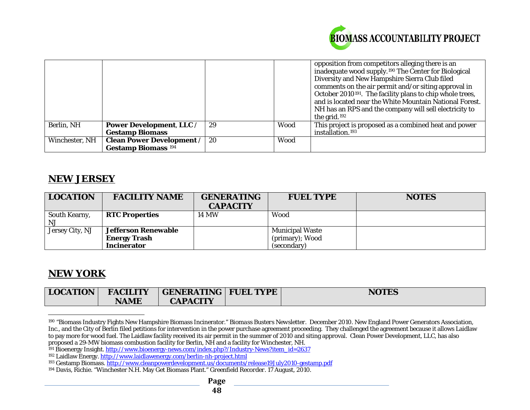<span id="page-47-4"></span><span id="page-47-3"></span><span id="page-47-2"></span><span id="page-47-1"></span><span id="page-47-0"></span>

|                |                                  |    |      | opposition from competitors alleging there is an                      |
|----------------|----------------------------------|----|------|-----------------------------------------------------------------------|
|                |                                  |    |      | inadequate wood supply. <sup>190</sup> The Center for Biological      |
|                |                                  |    |      | Diversity and New Hampshire Sierra Club filed                         |
|                |                                  |    |      | comments on the air permit and/or siting approval in                  |
|                |                                  |    |      | October 2010 <sup>191</sup> . The facility plans to chip whole trees, |
|                |                                  |    |      | and is located near the White Mountain National Forest.               |
|                |                                  |    |      | NH has an RPS and the company will sell electricity to                |
|                |                                  |    |      | the grid. $192$                                                       |
| Berlin, NH     | <b>Power Development, LLC /</b>  | 29 | Wood | This project is proposed as a combined heat and power                 |
|                | <b>Gestamp Biomass</b>           |    |      | installation. <sup>193</sup>                                          |
| Winchester, NH | <b>Clean Power Development /</b> | 20 | Wood |                                                                       |
|                | <b>Gestamp Biomass</b> 194       |    |      |                                                                       |

#### **NEW JERSEY**

| <b>LOCATION</b>     | <b>FACILITY NAME</b>       | <b>GENERATING</b><br><b>CAPACITY</b> | <b>FUEL TYPE</b>       | <b>NOTES</b> |
|---------------------|----------------------------|--------------------------------------|------------------------|--------------|
| South Kearny,<br>NJ | <b>RTC Properties</b>      | 14 MW                                | Wood                   |              |
| Jersey City, NJ     | <b>Jefferson Renewable</b> |                                      | <b>Municipal Waste</b> |              |
|                     | <b>Energy Trash</b>        |                                      | (primary); Wood        |              |
|                     | <b>Incinerator</b>         |                                      | (secondary)            |              |

# **NEW YORK**

| <b>LOCATION</b> | <b>FACILITY</b> | GENERATING   FUEL TYPE | <b>NOTES</b> |
|-----------------|-----------------|------------------------|--------------|
|                 | <b>NAME</b>     | <b>CAPACITY</b>        |              |

 $\overline{a}$ <sup>190</sup> "Biomass Industry Fights New Hampshire Biomass Incinerator." *Biomass Busters Newsletter.* December 2010. New England Power Generators Association, Inc., and the City of Berlin filed petitions for intervention in the power purchase agreement proceeding. They challenged the agreement because it allows Laidlaw to pay more for wood fuel. The Laidlaw facility received its air permit in the summer of 2010 and siting approval. Clean Power Development, LLC, has also proposed a 29-MW biomass combustion facility for Berlin, NH and a fa

<sup>&</sup>lt;sup>191</sup> Bioenergy Insight. [http://www.bioenergy-news.com/index.php?/Industry-News?item\\_id=2637](http://www.bioenergy-news.com/index.php?/Industry-News?item_id=2637)

<sup>192</sup> Laidlaw Energy.<http://www.laidlawenergy.com/berlin-nh-project.html>

<sup>&</sup>lt;sup>193</sup> Gestamp Biomass. <u>http://www.cleanpowerdevelopment.us/documents/release19July2010-gestamp.pdf</u>

<sup>194</sup> Davis, Richie. "Winchester N.H. May Get Biomass Plant." *Greenfield Recorder*. 17 August, 2010.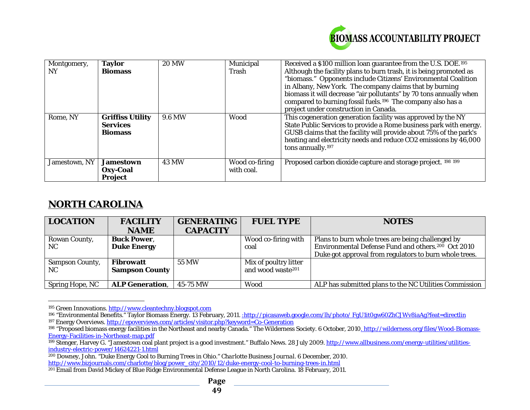<span id="page-48-6"></span><span id="page-48-5"></span><span id="page-48-4"></span><span id="page-48-3"></span><span id="page-48-2"></span><span id="page-48-1"></span><span id="page-48-0"></span>

| Montgomery,<br>NY | <b>Taylor</b><br><b>Biomass</b>                              | <b>20 MW</b>  | Municipal<br>Trash           | Received a \$100 million loan guarantee from the U.S. DOE. <sup>195</sup><br>Although the facility plans to burn trash, it is being promoted as<br>"biomass." Opponents include Citizens' Environmental Coalition<br>in Albany, New York. The company claims that by burning<br>biomass it will decrease "air pollutants" by 70 tons annually when<br>compared to burning fossil fuels. <sup>196</sup> The company also has a<br>project under construction in Canada. |
|-------------------|--------------------------------------------------------------|---------------|------------------------------|------------------------------------------------------------------------------------------------------------------------------------------------------------------------------------------------------------------------------------------------------------------------------------------------------------------------------------------------------------------------------------------------------------------------------------------------------------------------|
| Rome, NY          | <b>Griffiss Utility</b><br><b>Services</b><br><b>Biomass</b> | <b>9.6 MW</b> | Wood                         | This cogeneration generation facility was approved by the NY<br>State Public Services to provide a Rome business park with energy.<br>GUSB claims that the facility will provide about 75% of the park's<br>heating and electricity needs and reduce CO2 emissions by 46,000<br>tons annually. <sup>197</sup>                                                                                                                                                          |
| Jamestown, NY     | <b>Jamestown</b><br>Oxy-Coal<br><b>Project</b>               | <b>43 MW</b>  | Wood co-firing<br>with coal. | Proposed carbon dioxide capture and storage project. 198 199                                                                                                                                                                                                                                                                                                                                                                                                           |

# **NORTH CAROLINA**

| <b>LOCATION</b>        | <b>FACILITY</b>        | <b>GENERATING</b> | <b>FUEL TYPE</b>              | <b>NOTES</b>                                                   |
|------------------------|------------------------|-------------------|-------------------------------|----------------------------------------------------------------|
|                        | <b>NAME</b>            | <b>CAPACITY</b>   |                               |                                                                |
| Rowan County,          | <b>Buck Power,</b>     |                   | Wood co-firing with           | Plans to burn whole trees are being challenged by              |
| NC.                    | <b>Duke Energy</b>     |                   | coal                          | Environmental Defense Fund and others. <sup>200</sup> Oct 2010 |
|                        |                        |                   |                               | Duke got approval from regulators to burn whole trees.         |
| <b>Sampson County,</b> | Fibrowatt              | 55 MW             | Mix of poultry litter         |                                                                |
| NC.                    | <b>Sampson County</b>  |                   | and wood waste <sup>201</sup> |                                                                |
|                        |                        |                   |                               |                                                                |
| <b>Spring Hope, NC</b> | <b>ALP Generation,</b> | 45-75 MW          | Wood                          | ALP has submitted plans to the NC Utilities Commission         |

 $\overline{a}$ <sup>195</sup> Green Innovations. <u>http://www.cleantechny.blogspot.com</u>

<sup>&</sup>lt;sup>196</sup> "Environmental Benefits." Taylor Biomass Energy. 13 February, 2011. <u>:http://picasaweb.google.com/lh/photo/ FgU1it0gw60ZhCJWv8iaAg?feat=directlin</u> <sup>197</sup> Energy Overviews. <u>http://epoverviews.com/articles/visitor.php?keyword=Co-Generation</u>

<sup>&</sup>lt;sup>198</sup> "Proposed biomass energy facilities in the Northeast and nearby Canada." The Wilderness Society. 6 October, 2010<u>. http://wilderness.org/files/Wood-Biomass-</u> Energy-Facilities-in-Northeast-map.pdf

<sup>199</sup> Stenger, Harvey G. "Jamestown coal plant project is a good investment." Buffalo News. 28 July 2009. http://www.allbusiness.com/energy-utilities/utilities-<br>199 Stenger, Harvey G. "Jamestown coal plant project is a good [industry-electric-power/14624221-1.html](http://www.allbusiness.com/energy-utilities/utilities-industry-electric-power/14624221-1.html)

<sup>200</sup> Downey, John. "Duke Energy Cool to Burning Trees in Ohio." *Charlotte Business Journal*. 6 December, 2010. [http://www.bizjournals.com/charlotte/blog/power\\_city/2010/12/duke-energy-cool-to-burning-trees-in.html](http://www.bizjournals.com/charlotte/blog/power_city/2010/12/duke-energy-cool-to-burning-trees-in.html)

<sup>201</sup> Email from David Mickey of Blue Ridge Environmental Defense League in North Carolina. 18 February, 2011.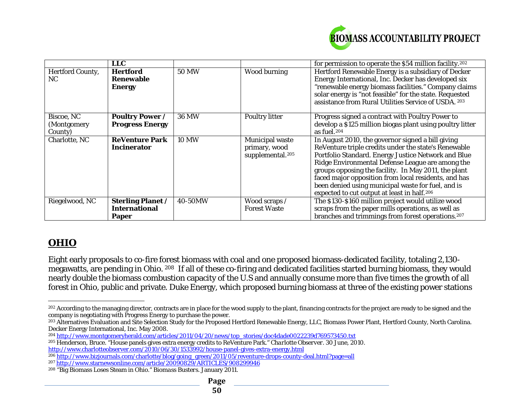<span id="page-49-6"></span><span id="page-49-5"></span><span id="page-49-4"></span><span id="page-49-3"></span><span id="page-49-2"></span><span id="page-49-1"></span><span id="page-49-0"></span>

|                         | LLC                      |              |                              | for permission to operate the \$54 million facility. <sup>202</sup> |
|-------------------------|--------------------------|--------------|------------------------------|---------------------------------------------------------------------|
| <b>Hertford County,</b> | <b>Hertford</b>          | 50 MW        | <b>Wood burning</b>          | Hertford Renewable Energy is a subsidiary of Decker                 |
| NC.                     | <b>Renewable</b>         |              |                              | Energy International, Inc. Decker has developed six                 |
|                         | <b>Energy</b>            |              |                              | "renewable energy biomass facilities." Company claims               |
|                         |                          |              |                              | solar energy is "not feasible" for the state. Requested             |
|                         |                          |              |                              | assistance from Rural Utilities Service of USDA. 203                |
| Biscoe, NC              | <b>Poultry Power /</b>   | <b>36 MW</b> | <b>Poultry litter</b>        | Progress signed a contract with Poultry Power to                    |
| (Montgomery             | <b>Progress Energy</b>   |              |                              | develop a \$125 million biogas plant using poultry litter           |
| County)                 |                          |              |                              | as fuel. <sup>204</sup>                                             |
| Charlotte, NC           | <b>ReVenture Park</b>    | <b>10 MW</b> | <b>Municipal waste</b>       | In August 2010, the governor signed a bill giving                   |
|                         | <b>Incinerator</b>       |              | primary, wood                | ReVenture triple credits under the state's Renewable                |
|                         |                          |              | supplemental. <sup>205</sup> | Portfolio Standard. Energy Justice Network and Blue                 |
|                         |                          |              |                              | Ridge Environmental Defense League are among the                    |
|                         |                          |              |                              | groups opposing the facility. In May 2011, the plant                |
|                         |                          |              |                              | faced major opposition from local residents, and has                |
|                         |                          |              |                              | been denied using municipal waste for fuel, and is                  |
|                         |                          |              |                              | expected to cut output at least in half. <sup>206</sup>             |
| Riegelwood, NC          | <b>Sterling Planet /</b> | 40-50MW      | Wood scraps /                | The \$130-\$160 million project would utilize wood                  |
|                         | <b>International</b>     |              | <b>Forest Waste</b>          | scraps from the paper mills operations, as well as                  |
|                         | <b>Paper</b>             |              |                              | branches and trimmings from forest operations. <sup>207</sup>       |

# **OHIO**

Eight early proposals to co-fire forest biomass with coal and one proposed biomass-dedicated facility, totaling 2,130 megawatts, are pending in Ohio. [208](#page-49-6) If all of these co-firing and dedicated facilities started burning biomass, they would nearly double the biomass combustion capacity of the U.S and annually consume more than five times the growth of all forest in Ohio, public and private. Duke Energy, which proposed burning biomass at three of the existing power stations

 $\overline{a}$  $^{202}$  According to the managing director, contracts are in place for the wood supply to the plant, financing contracts for the project are ready to be signed and the company is negotiating with Progress Energy to purchase the power.

<sup>&</sup>lt;sup>203</sup> Alternatives Evaluation and Site Selection Study for the Proposed Hertford Renewable Energy, LLC, Biomass Power Plant, Hertford County, North Carolina. Decker Energy International, Inc. May 2008.

<sup>204</sup> [http://www.montgomeryherald.com/articles/2011/04/20/news/top\\_stories/doc4dade0022239d769573450.txt](http://www.montgomeryherald.com/articles/2011/04/20/news/top_stories/doc4dade0022239d769573450.txt)

<sup>205</sup> Henderson, Bruce. "House panels gives extra energy credits to ReVenture Park." *Charlotte Observer.* 30 June, 2010. <http://www.charlotteobserver.com/2010/06/30/1533992/house-panel-gives-extra-energy.html>

<sup>206</sup> [http://www.bizjournals.com/charlotte/blog/going\\_green/2011/05/reventure-drops-county-deal.html?page=all](http://www.bizjournals.com/charlotte/blog/going_green/2011/05/reventure-drops-county-deal.html?page=all)

<sup>207</sup> <http://www.starnewsonline.com/article/20090829/ARTICLES/908299946>

<sup>208</sup> "Big Biomass Loses Steam in Ohio." *Biomass Busters*. January 2011.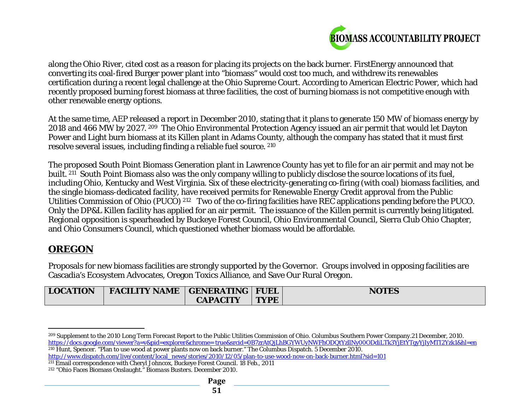<span id="page-50-3"></span><span id="page-50-2"></span><span id="page-50-1"></span><span id="page-50-0"></span>

along the Ohio River, cited cost as a reason for placing its projects on the back burner. FirstEnergy announced that converting its coal-fired Burger power plant into "biomass" would cost too much, and withdrew its renewables certification during a recent legal challenge at the Ohio Supreme Court. According to American Electric Power, which had recently proposed burning forest biomass at three facilities, the cost of burning biomass is not competitive enough with other renewable energy options.

At the same time, AEP released a report in December 2010, stating that it plans to generate 150 MW of biomass energy by 2018 and 466 MW by 2027. [209](#page-50-0) The Ohio Environmental Protection Agency issued an air permit that would let Dayton Power and Light burn biomass at its Killen plant in Adams County, although the company has stated that it must first resolve several issues, including finding a reliable fuel source. [210](#page-50-1)

The proposed South Point Biomass Generation plant in Lawrence County has yet to file for an air permit and may not be built. [211](#page-50-2) South Point Biomass also was the only company willing to publicly disclose the source locations of its fuel, including Ohio, Kentucky and West Virginia. Six of these electricity-generating co-firing (with coal) biomass facilities, and the single biomass-dedicated facility, have received permits for Renewable Energy Credit approval from the Public Utilities Commission of Ohio (PUCO) [212](#page-50-3) Two of the co-firing facilities have REC applications pending before the PUCO. Only the DP&L Killen facility has applied for an air permit. The issuance of the Killen permit is currently being litigated. Regional opposition is spearheaded by Buckeye Forest Council, Ohio Environmental Council, Sierra Club Ohio Chapter, and Ohio Consumers Council, which questioned whether biomass would be affordable.

# **OREGON**

Proposals for new biomass facilities are strongly supported by the Governor. Groups involved in opposing facilities are Cascadia's Ecosystem Advocates, Oregon Toxics Alliance, and Save Our Rural Oregon.

| <b>LOCATION</b> | FACILITY NAME   GENERATING   FUEL |                 |             | <b>NOTES</b> |
|-----------------|-----------------------------------|-----------------|-------------|--------------|
|                 |                                   | <b>CAPACITY</b> | <b>TYPE</b> |              |

 $\overline{a}$ <sup>209</sup> Supplement to the 2010 Long Term Forecast Report to the Public Utilities Commission of Ohio. Columbus Southern Power Company.21 December, 2010. [https://docs.google.com/viewer?a=v&pid=explorer&chrome= true&srcid=0B7zrAtQjLhBGYWUyNWFhODQtYzllNy00ODdiLTk3YjEtYTgyYjIyMTI2Yzk1&hl=en](https://docs.google.com/viewer?a=v&pid=explorer&chrome=%20true&srcid=0B7zrAtQjLhBGYWUyNWFhODQtYzllNy00ODdiLTk3YjEtYTgyYjIyMTI2Yzk1&hl=en) <sup>210</sup> Hunt, Spencer. "Plan to use wood at power plants now on back burner." The Columbus Dispatch. 5 December 2010.

[http://www.dispatch.com/live/content/local\\_news/stories/2010/12/05/plan-to-use-wood-now-on-back-burner.html?sid=101](http://www.dispatch.com/live/content/local_news/stories/2010/12/05/plan-to-use-wood-now-on-back-burner.html?sid=101)

<sup>211</sup> Email correspondence with Cheryl Johncox, Buckeye Forest Council. 18 Feb., 2011

<sup>212</sup> "Ohio Faces Biomass Onslaught." *Biomass Busters*. December 2010.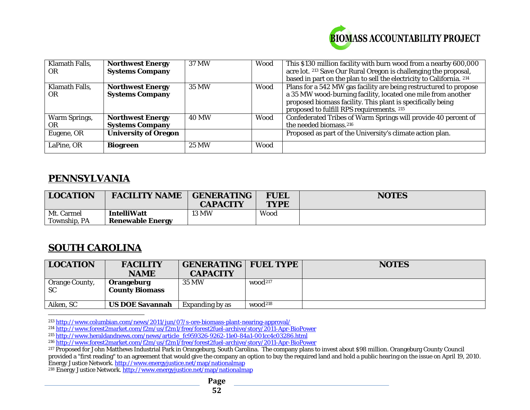<span id="page-51-5"></span><span id="page-51-4"></span><span id="page-51-3"></span><span id="page-51-2"></span><span id="page-51-1"></span><span id="page-51-0"></span>

| Klamath Falls,<br><b>OR</b> | <b>Northwest Energy</b><br><b>Systems Company</b> | 37 MW        | Wood | This \$130 million facility with burn wood from a nearby 600,000<br>acre lot. 213 Save Our Rural Oregon is challenging the proposal,<br>based in part on the plan to sell the electricity to California. 214                                  |
|-----------------------------|---------------------------------------------------|--------------|------|-----------------------------------------------------------------------------------------------------------------------------------------------------------------------------------------------------------------------------------------------|
| Klamath Falls,<br><b>OR</b> | <b>Northwest Energy</b><br><b>Systems Company</b> | 35 MW        | Wood | Plans for a 542 MW gas facility are being restructured to propose<br>a 35 MW wood-burning facility, located one mile from another<br>proposed biomass facility. This plant is specifically being<br>proposed to fulfill RPS requirements. 215 |
| <b>Warm Springs,</b><br>0R  | <b>Northwest Energy</b><br><b>Systems Company</b> | <b>40 MW</b> | Wood | Confederated Tribes of Warm Springs will provide 40 percent of<br>the needed biomass. <sup>216</sup>                                                                                                                                          |
| Eugene, OR                  | <b>University of Oregon</b>                       |              |      | Proposed as part of the University's climate action plan.                                                                                                                                                                                     |
| LaPine, OR                  | <b>Biogreen</b>                                   | 25 MW        | Wood |                                                                                                                                                                                                                                               |

#### **PENNSYLVANIA**

| <b>LOCATION</b> | <b>FACILITY NAME</b>    | <b>GENERATING</b><br><b>CAPACITY</b> | <b>FUEL</b><br><b>TYPE</b> | <b>NOTES</b> |
|-----------------|-------------------------|--------------------------------------|----------------------------|--------------|
| Mt. Carmel      | <b>IntelliWatt</b>      | <b>13 MW</b>                         | Wood                       |              |
| Township, PA    | <b>Renewable Energy</b> |                                      |                            |              |

# **SOUTH CAROLINA**

| <b>LOCATION</b>                    | <b>FACILITY</b><br><b>NAME</b>      | <b>GENERATING</b><br><b>CAPACITY</b> | <b>FUEL TYPE</b>    | <b>NOTES</b> |
|------------------------------------|-------------------------------------|--------------------------------------|---------------------|--------------|
| <b>Orange County,</b><br><b>SC</b> | Orangeburg<br><b>County Biomass</b> | 35 MW                                | wood <sup>217</sup> |              |
| Aiken, SC                          | <b>US DOE Savannah</b>              | Expanding by as                      | wood <sup>218</sup> |              |

 $\overline{a}$ <sup>213</sup> <http://www.columbian.com/news/2011/jun/07/s-ore-biomass-plant-nearing-approval/>

<sup>214</sup> <http://www.forest2market.com/f2m/us/f2m1/free/forest2fuel-archive/story/2011-Apr-BioPower>

<sup>215</sup> <u>[http://www.heraldandnews.com/news/article\\_fc959326-9262-11e0-84a1-001cc4c03286.html](http://www.heraldandnews.com/news/article_fc959326-9262-11e0-84a1-001cc4c03286.html)</u>

216 <http://www.forest2market.com/f2m/us/f2m1/free/forest2fuel-archive/story/2011-Apr-BioPower>

<sup>218</sup> Energy Justice Network. <u>http://www.energyjustice.net/map/nationalmap</u>

<sup>217</sup> Proposed for John Matthews Industrial Park in Orangeburg, South Carolina. The company plans to invest about \$98 million. Orangeburg County Council provided a "first reading" to an agreement that would give the company an option to buy the required land and hold a public hearing on the issue on April 19, 2010. Energy Justice Network. <u>http://www.energyjustice.net/map/nationalmap</u>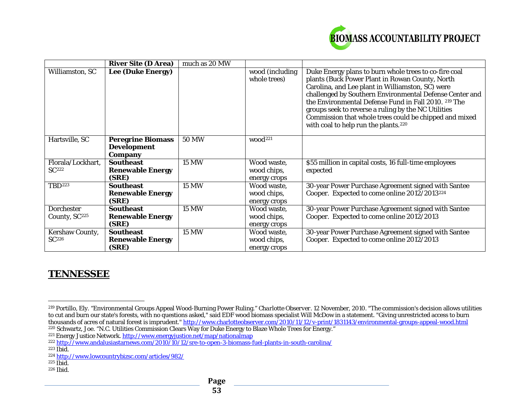<span id="page-52-7"></span><span id="page-52-6"></span><span id="page-52-5"></span><span id="page-52-4"></span><span id="page-52-3"></span><span id="page-52-2"></span><span id="page-52-1"></span><span id="page-52-0"></span>

|                           | <b>River Site (D Area)</b>                                       | much as 20 MW |                                 |                                                                                                                                                                                                                                                                                                                                                                                                                                                      |
|---------------------------|------------------------------------------------------------------|---------------|---------------------------------|------------------------------------------------------------------------------------------------------------------------------------------------------------------------------------------------------------------------------------------------------------------------------------------------------------------------------------------------------------------------------------------------------------------------------------------------------|
| Williamston, SC           | <b>Lee (Duke Energy)</b>                                         |               | wood (including<br>whole trees) | Duke Energy plans to burn whole trees to co-fire coal<br>plants (Buck Power Plant in Rowan County, North<br>Carolina, and Lee plant in Williamston, SC) were<br>challenged by Southern Environmental Defense Center and<br>the Environmental Defense Fund in Fall 2010. 219 The<br>groups seek to reverse a ruling by the NC Utilities<br>Commission that whole trees could be chipped and mixed<br>with coal to help run the plants. <sup>220</sup> |
| Hartsville, SC            | <b>Peregrine Biomass</b><br><b>Development</b><br><b>Company</b> | <b>50 MW</b>  | wood <sup>221</sup>             |                                                                                                                                                                                                                                                                                                                                                                                                                                                      |
| Florala/Lockhart,         | <b>Southeast</b>                                                 | <b>15 MW</b>  | Wood waste,                     | \$55 million in capital costs, 16 full-time employees                                                                                                                                                                                                                                                                                                                                                                                                |
| $SC^{222}$                | <b>Renewable Energy</b>                                          |               | wood chips,                     | expected                                                                                                                                                                                                                                                                                                                                                                                                                                             |
|                           | (SRE)                                                            |               | energy crops                    |                                                                                                                                                                                                                                                                                                                                                                                                                                                      |
| TBD <sup>223</sup>        | <b>Southeast</b>                                                 | <b>15 MW</b>  | Wood waste,                     | 30-year Power Purchase Agreement signed with Santee                                                                                                                                                                                                                                                                                                                                                                                                  |
|                           | <b>Renewable Energy</b>                                          |               | wood chips,                     | Cooper. Expected to come online 2012/2013 <sup>224</sup>                                                                                                                                                                                                                                                                                                                                                                                             |
|                           | (SRE)                                                            |               | energy crops                    |                                                                                                                                                                                                                                                                                                                                                                                                                                                      |
| <b>Dorchester</b>         | <b>Southeast</b>                                                 | <b>15 MW</b>  | Wood waste,                     | 30-year Power Purchase Agreement signed with Santee                                                                                                                                                                                                                                                                                                                                                                                                  |
| County, SC <sup>225</sup> | <b>Renewable Energy</b>                                          |               | wood chips,                     | Cooper. Expected to come online 2012/2013                                                                                                                                                                                                                                                                                                                                                                                                            |
|                           | (SRE)                                                            |               | energy crops                    |                                                                                                                                                                                                                                                                                                                                                                                                                                                      |
| <b>Kershaw County,</b>    | <b>Southeast</b>                                                 | <b>15 MW</b>  | Wood waste,                     | 30-year Power Purchase Agreement signed with Santee                                                                                                                                                                                                                                                                                                                                                                                                  |
| SC <sup>226</sup>         | <b>Renewable Energy</b>                                          |               | wood chips,                     | Cooper. Expected to come online 2012/2013                                                                                                                                                                                                                                                                                                                                                                                                            |
|                           | (SRE)                                                            |               | energy crops                    |                                                                                                                                                                                                                                                                                                                                                                                                                                                      |

# **TENNESSEE**

 $\overline{a}$ 

<sup>219</sup> Portillo, Ely. "Environmental Groups Appeal Wood-Burning Power Ruling." *Charlotte Observer*. 12 November, 2010. "The commission's decision allows utilities to cut and burn our state's forests, with no questions asked," said EDF wood biomass specialist Will McDow in a statement. "Giving unrestricted access to burn thousands of acres of natural forest is imprudent." <u>http://www.charlotteobserver.com/2010/11/12/v-print/1831143/environmental-groups-appeal-wood.html</u> <sup>220</sup> Schwartz, Joe. "N.C. Utilities Commission Clears Way for Duke Energy to Blaze Whole Trees for Energy."<br><sup>221</sup> Energy Justice Network. <u>http://www.energyjustice.net/map/nationalmap</u>

<sup>222</sup> <http://www.andalusiastarnews.com/2010/10/12/sre-to-open-3-biomass-fuel-plants-in-south-carolina/>

 $223$  Ibid.

<sup>224</sup> <http://www.lowcountrybizsc.com/articles/982/>

 $225$  Ibid.

<sup>226</sup> Ibid.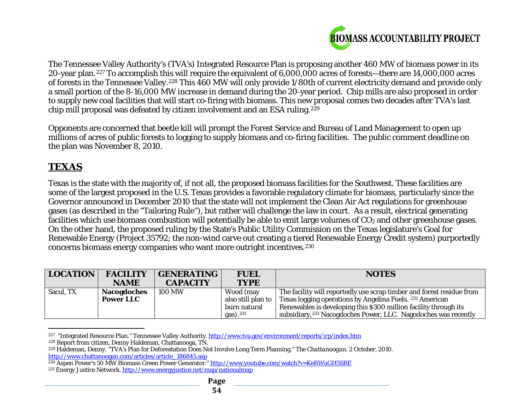<span id="page-53-6"></span><span id="page-53-5"></span><span id="page-53-4"></span><span id="page-53-3"></span><span id="page-53-2"></span><span id="page-53-1"></span><span id="page-53-0"></span>

The Tennessee Valley Authority's (TVA's) Integrated Resource Plan is proposing another 460 MW of biomass power in its 20-year plan.[227](#page-53-0) To accomplish this will require the equivalent of 6,000,000 acres of forests—there are 14,000,000 acres of forests in the Tennessee Valley.[228](#page-53-1) This 460 MW will only provide 1/80th of current electricity demand and provide only a small portion of the 8-16,000 MW increase in demand during the 20-year period. Chip mills are also proposed in order to supply new coal facilities that will start co-firing with biomass. This new proposal comes two decades after TVA's last chip mill proposal was defeated by citizen involvement and an ESA ruling.[229](#page-53-2)

Opponents are concerned that beetle kill will prompt the Forest Service and Bureau of Land Management to open up millions of acres of public forests to logging to supply biomass and co-firing facilities. The public comment deadline on the plan was November 8, 2010.

# **TEXAS**

Texas is the state with the majority of, if not all, the proposed biomass facilities for the Southwest. These facilities are some of the largest proposed in the U.S. Texas provides a favorable regulatory climate for biomass, particularly since the Governor announced in December 2010 that the state will not implement the Clean Air Act regulations for greenhouse gases (as described in the "Tailoring Rule"), but rather will challenge the law in court. As a result, electrical generating facilities which use biomass combustion will potentially be able to emit large volumes of  $CO<sub>2</sub>$  and other greenhouse gases. On the other hand, the proposed ruling by the State's Public Utility Commission on the Texas legislature's Goal for Renewable Energy (Project 35792; the non-wind carve out creating a tiered Renewable Energy Credit system) purportedly concerns biomass energy companies who want more outright incentives.[230](#page-53-3)

| <b>LOCATION</b> | <b>FACILITY</b>    | <b>GENERATING</b> | <b>FUEL</b>    | <b>NOTES</b>                                                                |
|-----------------|--------------------|-------------------|----------------|-----------------------------------------------------------------------------|
|                 | <b>NAME</b>        | <b>CAPACITY</b>   | <b>TYPE</b>    |                                                                             |
| Sacul, TX       | <b>Nacogdoches</b> | <b>100 MW</b>     | Wood (may      | The facility will reportedly use scrap timber and forest residue from       |
|                 | <b>Power LLC</b>   |                   |                | also still plan to Texas logging operations by Angelina Fuels. 232 American |
|                 |                    |                   | burn natural   | Renewables is developing this \$300 million facility through its            |
|                 |                    |                   | $gas)$ . $231$ | subsidiary, <sup>233</sup> Nacogdoches Power, LLC. Nagodoches was recently  |

 $\overline{a}$ <sup>227</sup> "Integrated Resource Plan." Tennessee Valley Authority.<http://www.tva.gov/environment/reports/irp/index.htm>

<sup>228</sup> Report from citizen, Denny Haldeman, Chattanooga, TN.

<sup>229</sup> Haldeman, Denny. "TVA's Plan for Deforestation Does Not Involve Long Term Planning." *The Chattanoogan.* 2 October, 2010. [http://www.chattanoogan.com/articles/article\\_186845.asp](http://www.chattanoogan.com/articles/article_186845.asp)

<sup>&</sup>lt;sup>230</sup> Aspen Power's 50 MW Biomass Green Power Generator.[" http://www.youtube.com/watch?v=KeRWuGH5SRE](http://www.youtube.com/watch?v=KeRWuGH5SRE)

<sup>231</sup> Energy Justice Network.<http://www.energyjustice.net/map/nationalmap>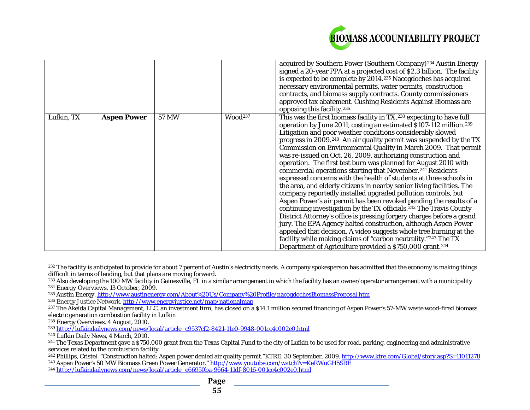<span id="page-54-10"></span><span id="page-54-9"></span><span id="page-54-8"></span><span id="page-54-7"></span><span id="page-54-6"></span><span id="page-54-5"></span><span id="page-54-4"></span><span id="page-54-3"></span><span id="page-54-2"></span><span id="page-54-1"></span><span id="page-54-0"></span>

|            |                    |       |                     | acquired by Southern Power (Southern Company) <sup>234</sup> Austin Energy<br>signed a 20-year PPA at a projected cost of \$2.3 billion. The facility<br>is expected to be complete by 2014. <sup>235</sup> Nacogdoches has acquired<br>necessary environmental permits, water permits, construction<br>contracts, and biomass supply contracts. County commissioners<br>approved tax abatement. Cushing Residents Against Biomass are<br>opposing this facility. <sup>236</sup>                                                                                                                                                                                                                                                                                                                                                                                                                                                                                                                                                                                                                                                                                                                                                                                                                                           |
|------------|--------------------|-------|---------------------|----------------------------------------------------------------------------------------------------------------------------------------------------------------------------------------------------------------------------------------------------------------------------------------------------------------------------------------------------------------------------------------------------------------------------------------------------------------------------------------------------------------------------------------------------------------------------------------------------------------------------------------------------------------------------------------------------------------------------------------------------------------------------------------------------------------------------------------------------------------------------------------------------------------------------------------------------------------------------------------------------------------------------------------------------------------------------------------------------------------------------------------------------------------------------------------------------------------------------------------------------------------------------------------------------------------------------|
| Lufkin, TX | <b>Aspen Power</b> | 57 MW | Wood <sup>237</sup> | This was the first biomass facility in TX, 238 expecting to have full<br>operation by June 2011, costing an estimated \$107-112 million. <sup>239</sup><br>Litigation and poor weather conditions considerably slowed<br>progress in 2009. <sup>240</sup> An air quality permit was suspended by the TX<br>Commission on Environmental Quality in March 2009. That permit<br>was re-issued on Oct. 26, 2009, authorizing construction and<br>operation. The first test burn was planned for August 2010 with<br>commercial operations starting that November. <sup>241</sup> Residents<br>expressed concerns with the health of students at three schools in<br>the area, and elderly citizens in nearby senior living facilities. The<br>company reportedly installed upgraded pollution controls, but<br>Aspen Power's air permit has been revoked pending the results of a<br>continuing investigation by the TX officials. <sup>242</sup> The Travis County<br>District Attorney's office is pressing forgery charges before a grand<br>jury. The EPA Agency halted construction, although Aspen Power<br>appealed that decision. A video suggests whole tree burning at the<br>facility while making claims of "carbon neutrality."243 The TX<br>Department of Agriculture provided a \$750,000 grant. <sup>244</sup> |

 $\overline{a}$  $^{232}$  The facility is anticipated to provide for about 7 percent of Austin's electricity needs. A company spokesperson has admitted that the economy is making things difficult in terms of lending, but that plans are moving forward.

- <sup>233</sup> Also developing the 100 MW facility in Gainesville, FL in a similar arrangement in which the facility has an owner/operator arrangement with a municipality <sup>234</sup> *Energy Overviews*. 13 October, 2009.
- <sup>235</sup> Austin Energy[. http://www.austinenergy.com/About%20Us/Company%20Profile/nacogdochesBiomassProposal.htm](http://www.austinenergy.com/About%20Us/Company%20Profile/nacogdochesBiomassProposal.htm)
- <sup>236</sup> Energy Justice Network[. http://www.energyjustice.net/map/nationalmap](http://www.energyjustice.net/map/nationalmap)

<sup>244</sup> [http://lufkindailynews.com/news/local/article\\_e66950ba-9664-11df-8016-001cc4c002e0.html](http://lufkindailynews.com/news/local/article_e66950ba-9664-11df-8016-001cc4c002e0.html)

<sup>&</sup>lt;sup>237</sup> The Akeida Capital Management, LLC, an investment firm, has closed on a \$14.1 million secured financing of Aspen Power's 57-MW waste wood-fired biomass electric generation combustion facility in Lufkin<br><sup>238</sup> Energy Overviews. 4 August, 2010.

<sup>&</sup>lt;sup>239</sup> [http://lufkindailynews.com/news/local/article\\_c9537cf2-8421-11e0-9948-001cc4c002e0.html](http://lufkindailynews.com/news/local/article_c9537cf2-8421-11e0-9948-001cc4c002e0.html)

<sup>240</sup> Lufkin Daily News, 4 March, 2010.

<sup>&</sup>lt;sup>241</sup> The Texas Department gave a \$750,000 grant from the Texas Capital Fund to the city of Lufkin to be used for road, parking, engineering and administrative services related to the combustion facility.

<sup>&</sup>lt;sup>242</sup> Phillips, Cristel. "Construction halted: Aspen power denied air quality permit." KTRE. 30 September, 2009. <http://www.ktre.com/Global/story.asp?S=11011278> <sup>243</sup> Aspen Power's 50 MW Biomass Green Power Generator." <u>http://www.youtube.com/watch?v=KeRWuGH5SRE</u>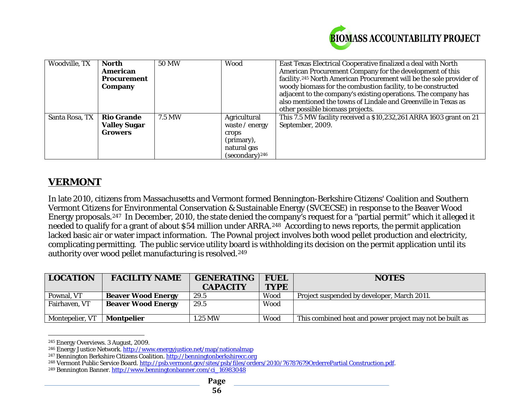<span id="page-55-4"></span><span id="page-55-3"></span><span id="page-55-2"></span><span id="page-55-1"></span><span id="page-55-0"></span>

| Woodville, TX  | North               | <b>50 MW</b> | Wood                | East Texas Electrical Cooperative finalized a deal with North                    |
|----------------|---------------------|--------------|---------------------|----------------------------------------------------------------------------------|
|                | American            |              |                     | American Procurement Company for the development of this                         |
|                | <b>Procurement</b>  |              |                     | facility. <sup>245</sup> North American Procurement will be the sole provider of |
|                | Company             |              |                     | woody biomass for the combustion facility, to be constructed                     |
|                |                     |              |                     | adjacent to the company's existing operations. The company has                   |
|                |                     |              |                     | also mentioned the towns of Lindale and Greenville in Texas as                   |
|                |                     |              |                     | other possible biomass projects.                                                 |
| Santa Rosa, TX | <b>Rio Grande</b>   | 7.5 MW       | Agricultural        | This 7.5 MW facility received a \$10,232,261 ARRA 1603 grant on 21               |
|                | <b>Valley Sugar</b> |              | waste / energy      | September, 2009.                                                                 |
|                | <b>Growers</b>      |              | crops               |                                                                                  |
|                |                     |              | (primary),          |                                                                                  |
|                |                     |              | natural gas         |                                                                                  |
|                |                     |              | $(secondary)^{246}$ |                                                                                  |

# **VERMONT**

In late 2010, citizens from Massachusetts and Vermont formed Bennington-Berkshire Citizens' Coalition and Southern Vermont Citizens for Environmental Conservation & Sustainable Energy (SVCECSE) in response to the Beaver Wood Energy proposals.[247](#page-55-2) In December, 2010, the state denied the company's request for a "partial permit" which it alleged it needed to qualify for a grant of about \$54 million under ARRA.<sup>248</sup> According to news reports, the permit application lacked basic air or water impact information. The Pownal project involves both wood pellet production and electricity, complicating permitting. The public service utility board is withholding its decision on the permit application until its authority over wood pellet manufacturing is resolved.<sup>[249](#page-55-4)</sup>

| <b>LOCATION</b> | <b>FACILITY NAME</b>      | <b>GENERATING</b><br><b>CAPACITY</b> | <b>FUEL</b><br><b>TYPE</b> | <b>NOTES</b>                                             |
|-----------------|---------------------------|--------------------------------------|----------------------------|----------------------------------------------------------|
| Pownal, VT      | <b>Beaver Wood Energy</b> | 29.5                                 | Wood                       | Project suspended by developer. March 2011.              |
| Fairhaven, VT   | <b>Beaver Wood Energy</b> | 29.5                                 | Wood                       |                                                          |
| Montepelier, VT | Montpelier                | 1.25 MW                              | Wood                       | This combined heat and power project may not be built as |

<sup>245</sup> Energy Overviews. 3 August, 2009.

 $\overline{a}$ 

<sup>246</sup> Energy Justice Network.<http://www.energyjustice.net/map/nationalmap>

<sup>&</sup>lt;sup>247</sup> Bennington Berkshire Citizens Coalition[. http://benningtonberkshirecc.org](http://benningtonberkshirecc.org/)

<sup>&</sup>lt;sup>248</sup> Vermont Public Service Board[. http://psb.vermont.gov/sites/psb/files/orders/2010/76787679OrderrePartial Construction.pdf.](http://psb.vermont.gov/sites/psb/files/orders/2010/76787679OrderrePartial%20Construction.pdf)

<sup>249</sup> Bennington Banner. [http://www.benningtonbanner.com/ci\\_16983048](http://www.benningtonbanner.com/ci_16983048)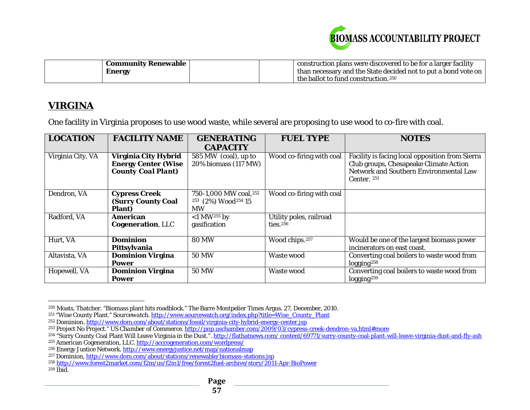<span id="page-56-9"></span><span id="page-56-8"></span><span id="page-56-7"></span><span id="page-56-6"></span><span id="page-56-5"></span><span id="page-56-4"></span><span id="page-56-3"></span><span id="page-56-2"></span><span id="page-56-1"></span><span id="page-56-0"></span>

| <b>Community Renewable</b> |  | construction plans were discovered to be for a larger facility |
|----------------------------|--|----------------------------------------------------------------|
| Energy                     |  | than necessary and the State decided not to put a bond vote on |
|                            |  | the ballot to fund construction. $250$                         |

# **VIRGINA**

One facility in Virginia proposes to use wood waste, while several are proposing to use wood to co-fire with coal.

| <b>LOCATION</b>   | <b>FACILITY NAME</b>                                                            | <b>GENERATING</b><br><b>CAPACITY</b>                                              | <b>FUEL TYPE</b>                       | <b>NOTES</b>                                                                                                                                         |
|-------------------|---------------------------------------------------------------------------------|-----------------------------------------------------------------------------------|----------------------------------------|------------------------------------------------------------------------------------------------------------------------------------------------------|
| Virginia City, VA | Virginia City Hybrid<br><b>Energy Center (Wise</b><br><b>County Coal Plant)</b> | 585 MW (coal), up to<br>20% biomass (117 MW)                                      | Wood co-firing with coal               | Facility is facing local opposition from Sierra<br>Club groups, Chesapeake Climate Action<br>Network and Southern Environmental Law<br>Center. $251$ |
| Dendron, VA       | <b>Cypress Creek</b><br><b>(Surry County Coal</b><br>Plant)                     | 750-1,000 MW coal, 252<br><sup>253</sup> (2%) Wood <sup>254</sup> 15<br><b>MW</b> | Wood co-firing with coal               |                                                                                                                                                      |
| Radford, VA       | American<br><b>Cogeneration, LLC</b>                                            | $<$ 1 MW <sup>255</sup> by<br>gasification                                        | Utility poles, railroad<br>ties. $256$ |                                                                                                                                                      |
| Hurt, VA          | <b>Dominion</b><br>Pittsylvania                                                 | <b>80 MW</b>                                                                      | Wood chips. <sup>257</sup>             | Would be one of the largest biomass power<br>incinerators on east coast.                                                                             |
| Altavista, VA     | <b>Dominion Virgina</b><br><b>Power</b>                                         | <b>50 MW</b>                                                                      | Waste wood                             | Converting coal boilers to waste wood from<br>logging <sup>258</sup>                                                                                 |
| Hopewell, VA      | <b>Dominion Virgina</b><br><b>Power</b>                                         | <b>50 MW</b>                                                                      | Waste wood                             | Converting coal boilers to waste wood from<br>logging <sup>259</sup>                                                                                 |

 $\overline{a}$  $^{250}$  Moats, Thatcher. "Biomass plant hits roadblock." The Barre Montpelier Times Argus. 27, December, 2010.

<sup>251</sup> "Wise County Plant." *Sourcewatch*. [http://www.sourcewatch.org/index.php?title=Wise\\_County\\_Plant](http://www.sourcewatch.org/index.php?title=Wise_County_Plant)

<sup>&</sup>lt;sup>252</sup> Dominion.<http://www.dom.com/about/stations/fossil/virginia-city-hybrid-energy-center.jsp>

<sup>253</sup> Project No Project." *US Chamber of Commerce*.<http://pnp.uschamber.com/2009/03/cypress-creek-dendron-va.html#more>

<sup>&</sup>lt;sup>254</sup> "Surry County Coal Plant Will Leave Virginia in the Dust.". http://flathatnews.com/content/69771/surry-county-coal-plant-will-leave-virginia-dust-and-fly-ash <sup>255</sup> American Cogeneration, LLC.<http://acccogeneration.com/wordpress/>

<sup>&</sup>lt;sup>256</sup> Energy Justice Network[. http://www.energyjustice.net/map/nationalmap](http://www.energyjustice.net/map/nationalmap)

<sup>&</sup>lt;sup>257</sup> Dominion[, http://www.dom.com/about/stations/renewable/biomass-stations.jsp](http://www.dom.com/about/stations/renewable/biomass-stations.jsp)

<sup>258</sup> <http://www.forest2market.com/f2m/us/f2m1/free/forest2fuel-archive/story/2011-Apr-BioPower>

 $259$  Ibid.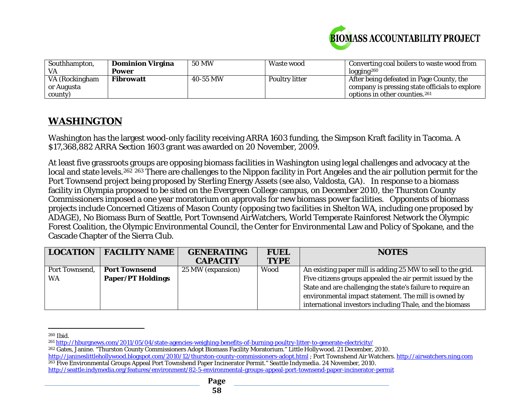<span id="page-57-3"></span><span id="page-57-2"></span><span id="page-57-1"></span><span id="page-57-0"></span>

| Southhampton,  | <b>Dominion Virgina</b> | <b>50 MW</b> | Waste wood     | Converting coal boilers to waste wood from     |
|----------------|-------------------------|--------------|----------------|------------------------------------------------|
| VA.            | Power                   |              |                | logging <sup>260</sup>                         |
| VA (Rockingham | <b>Fibrowatt</b>        | 40-55 MW     | Poultry litter | After being defeated in Page County, the       |
| or Augusta     |                         |              |                | company is pressing state officials to explore |
| county)        |                         |              |                | options in other counties. <sup>261</sup>      |

# **WASHINGTON**

Washington has the largest wood-only facility receiving ARRA 1603 funding, the Simpson Kraft facility in Tacoma. A \$17,368,882 ARRA Section 1603 grant was awarded on 20 November, 2009.

At least five grassroots groups are opposing biomass facilities in Washington using legal challenges and advocacy at the local and state levels.<sup>[262](#page-57-2)</sup> <sup>[263](#page-57-3)</sup> There are challenges to the Nippon facility in Port Angeles and the air pollution permit for the Port Townsend project being proposed by Sterling Energy Assets (see also, Valdosta, GA). In response to a biomass facility in Olympia proposed to be sited on the Evergreen College campus, on December 2010, the Thurston County Commissioners imposed a one year moratorium on approvals for new biomass power facilities. Opponents of biomass projects include Concerned Citizens of Mason County (opposing two facilities in Shelton WA, including one proposed by ADAGE), No Biomass Burn of Seattle, Port Townsend AirWatchers, World Temperate Rainforest Network the Olympic Forest Coalition, the Olympic Environmental Council, the Center for Environmental Law and Policy of Spokane, and the Cascade Chapter of the Sierra Club.

| <b>LOCATION</b> | <b>FACILITY NAME</b>     | <b>GENERATING</b> | <b>FUEL</b> | <b>NOTES</b>                                                |
|-----------------|--------------------------|-------------------|-------------|-------------------------------------------------------------|
|                 |                          | <b>CAPACITY</b>   | <b>TYPE</b> |                                                             |
| Port Townsend,  | <b>Port Townsend</b>     | 25 MW (expansion) | Wood        | An existing paper mill is adding 25 MW to sell to the grid. |
| <b>WA</b>       | <b>Paper/PT Holdings</b> |                   |             | Five citizens groups appealed the air permit issued by the  |
|                 |                          |                   |             | State and are challenging the state's failure to require an |
|                 |                          |                   |             | environmental impact statement. The mill is owned by        |
|                 |                          |                   |             | international investors including Thale, and the biomass    |

 $\overline{a}$ <sup>260</sup> Ibid.

<sup>261</sup> <http://hburgnews.com/2011/05/04/state-agencies-weighing-benefits-of-burning-poultry-litter-to-generate-electricity/>

<sup>262</sup> Gates, Janine. "Thurston County Commissioners Adopt Biomass Facility Moratorium." *Little Hollywood*. 21 December, 2010.

<http://janineslittlehollywood.blogspot.com/2010/12/thurston-county-commissioners-adopt.html> ; Port Townshend Air Watchers[. http://airwatchers.ning.com](http://airwatchers.ning.com/) <sup>263</sup> Five Environmental Groups Appeal Port Townshend Paper Incinerator Permit." *Seattle Indymedia*. 24 November, 2010.

<http://seattle.indymedia.org/features/environment/82-5-environmental-groups-appeal-port-townsend-paper-incinerator-permit>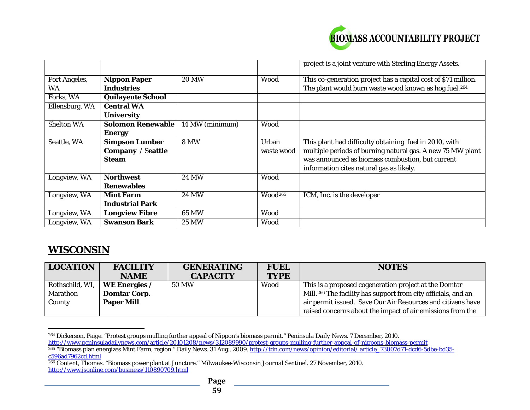<span id="page-58-2"></span><span id="page-58-1"></span><span id="page-58-0"></span>

|                   |                          |                 |                     | project is a joint venture with Sterling Energy Assets.           |
|-------------------|--------------------------|-----------------|---------------------|-------------------------------------------------------------------|
| Port Angeles,     | <b>Nippon Paper</b>      | <b>20 MW</b>    | <b>Wood</b>         | This co-generation project has a capital cost of \$71 million.    |
| <b>WA</b>         | Industries               |                 |                     | The plant would burn waste wood known as hog fuel. <sup>264</sup> |
| Forks, WA         | <b>Quilayeute School</b> |                 |                     |                                                                   |
| Ellensburg, WA    | <b>Central WA</b>        |                 |                     |                                                                   |
|                   | <b>University</b>        |                 |                     |                                                                   |
| <b>Shelton WA</b> | <b>Solomon Renewable</b> | 14 MW (minimum) | Wood                |                                                                   |
|                   | <b>Energy</b>            |                 |                     |                                                                   |
| Seattle, WA       | <b>Simpson Lumber</b>    | <b>8 MW</b>     | Urban               | This plant had difficulty obtaining fuel in 2010, with            |
|                   | <b>Company / Seattle</b> |                 | waste wood          | multiple periods of burning natural gas. A new 75 MW plant        |
|                   | <b>Steam</b>             |                 |                     | was announced as biomass combustion, but current                  |
|                   |                          |                 |                     | information cites natural gas as likely.                          |
| Longview, WA      | <b>Northwest</b>         | <b>24 MW</b>    | Wood                |                                                                   |
|                   | <b>Renewables</b>        |                 |                     |                                                                   |
| Longview, WA      | <b>Mint Farm</b>         | <b>24 MW</b>    | Wood <sup>265</sup> | ICM, Inc. is the developer                                        |
|                   | <b>Industrial Park</b>   |                 |                     |                                                                   |
| Longview, WA      | <b>Longview Fibre</b>    | 65 MW           | Wood                |                                                                   |
| Longview, WA      | <b>Swanson Bark</b>      | <b>25 MW</b>    | Wood                |                                                                   |

# **WISCONSIN**

| <b>LOCATION</b> | <b>FACILITY</b>      | <b>GENERATING</b> | <b>FUEL</b> | <b>NOTES</b>                                                              |
|-----------------|----------------------|-------------------|-------------|---------------------------------------------------------------------------|
|                 | <b>NAME</b>          | <b>CAPACITY</b>   | <b>TYPE</b> |                                                                           |
| Rothschild, WI, | <b>WE Energies /</b> | 50 MW             | Wood        | This is a proposed cogeneration project at the Domtar                     |
| <b>Marathon</b> | <b>Domtar Corp.</b>  |                   |             | Mill. <sup>266</sup> The facility has support from city officials, and an |
| County          | <b>Paper Mill</b>    |                   |             | air permit issued. Save Our Air Resources and citizens have               |
|                 |                      |                   |             | raised concerns about the impact of air emissions from the                |

 $\overline{a}$ <sup>264</sup> Dickerson, Paige. "Protest groups mulling further appeal of Nippon's biomass permit." *Peninsula Daily News*. 7 December, 2010.

<http://www.peninsuladailynews.com/article/20101208/news/312089990/protest-groups-mulling-further-appeal-of-nippons-biomass-permit>

<sup>&</sup>lt;sup>265</sup> "Biomass plan energizes Mint Farm, region." Daily News. 31 Aug., 2009. <u>http://tdn.com/news/opinion/editorial/ article\_73007d71-dcd6-5dbe-bd35-</u> [c596ad7962cd.html](http://tdn.com/news/opinion/editorial/%20article_73007d71-dcd6-5dbe-bd35-c596ad7962cd.html)

<sup>266</sup> Content, Thomas. "Biomass power plant at Juncture." *Milwaukee-Wisconsin Journal Sentinel.* 27 November, 2010. <http://www.jsonline.com/business/110890709.html>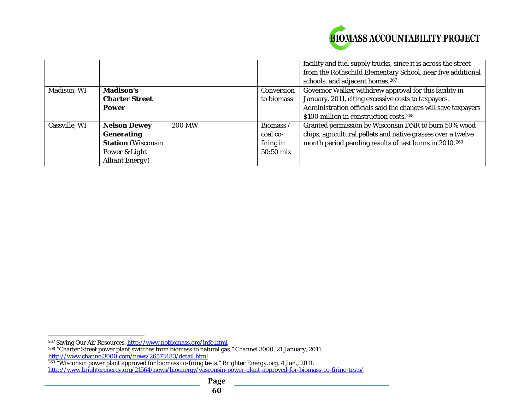<span id="page-59-2"></span><span id="page-59-1"></span><span id="page-59-0"></span>

|               |                           |               |            | facility and fuel supply trucks, since it is across the street     |
|---------------|---------------------------|---------------|------------|--------------------------------------------------------------------|
|               |                           |               |            | from the Rothschild Elementary School, near five additional        |
|               |                           |               |            | schools, and adjacent homes. <sup>267</sup>                        |
| Madison, WI   | <b>Madison's</b>          |               | Conversion | Governor Walker withdrew approval for this facility in             |
|               | <b>Charter Street</b>     |               | to biomass | January, 2011, citing excessive costs to taxpayers.                |
|               | Power                     |               |            | Administration officials said the changes will save taxpayers      |
|               |                           |               |            | \$100 million in construction costs. <sup>268</sup>                |
| Cassville, WI | <b>Nelson Dewey</b>       | <b>200 MW</b> | Biomass /  | Granted permission by Wisconsin DNR to burn 50% wood               |
|               | <b>Generating</b>         |               | coal co-   | chips, agricultural pellets and native grasses over a twelve       |
|               | <b>Station</b> (Wisconsin |               | firing in  | month period pending results of test burns in 2010. <sup>269</sup> |
|               | Power & Light             |               | 50:50 mix  |                                                                    |
|               | <b>Alliant Energy</b> )   |               |            |                                                                    |

 $\overline{a}$ <sup>267</sup> Saving Our Air Resources. <u>http://www.nobiomass.org/info.html</u>

<sup>268</sup> "Charter Street power plant switches from biomass to natural gas." *Channel 3000*. 21 January, 2011. <http://www.channel3000.com/news/26573483/detail.html>

<sup>269</sup> "Wisconsin power plant approved for biomass co-firing tests." *Brighter Energy.org*. 4 Jan., 2011. <http://www.brighterenergy.org/21564/news/bioenergy/wisconsin-power-plant-approved-for-biomass-co-firing-tests/>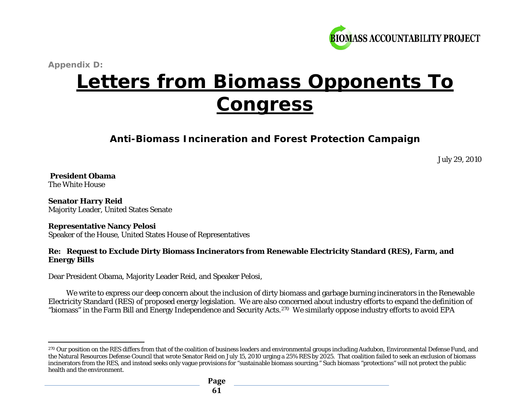<span id="page-60-0"></span>

*Appendix D:* 

# **Letters from Biomass Opponents To Congress**

**Anti-Biomass Incineration and Forest Protection Campaign**

July 29, 2010

#### **President Obama**  The White House

**Senator Harry Reid**  Majority Leader, United States Senate

#### **Representative Nancy Pelosi**

Speaker of the House, United States House of Representatives

#### **Re: Request to Exclude Dirty Biomass Incinerators from Renewable Electricity Standard (RES), Farm, and Energy Bills**

Dear President Obama, Majority Leader Reid, and Speaker Pelosi,

We write to express our deep concern about the inclusion of dirty biomass and garbage burning incinerators in the Renewable Electricity Standard (RES) of proposed energy legislation. We are also concerned about industry efforts to expand the definition of "biomass" in the Farm Bill and Energy Independence and Security Acts.[270](#page-60-0) We similarly oppose industry efforts to avoid EPA

 $\overline{a}$ <sup>270</sup> Our position on the RES differs from that of the coalition of business leaders and environmental groups including Audubon, Environmental Defense Fund, and the Natural Resources Defense Council that wrote Senator Reid on July 15, 2010 urging a 25% RES by 2025. That coalition failed to seek an exclusion of biomass incinerators from the RES, and instead seeks only vague provisions for "sustainable biomass sourcing." Such biomass "protections" will not protect the public health and the environment.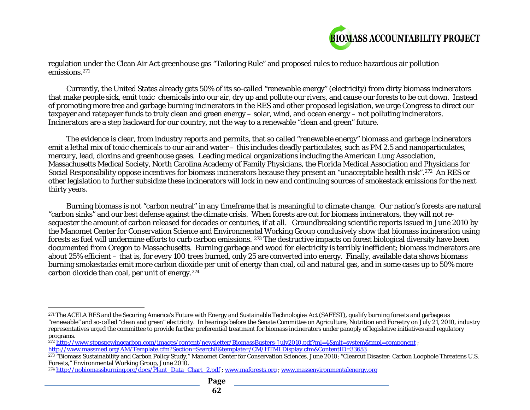<span id="page-61-3"></span><span id="page-61-2"></span><span id="page-61-1"></span><span id="page-61-0"></span>

regulation under the Clean Air Act greenhouse gas "Tailoring Rule" and proposed rules to reduce hazardous air pollution emissions.[271](#page-61-0)

Currently, the United States already gets 50% of its so-called "renewable energy" (electricity) from dirty biomass incinerators that make people sick, emit toxic chemicals into our air, dry up and pollute our rivers, and cause our forests to be cut down. Instead of promoting more tree and garbage burning incinerators in the RES and other proposed legislation, we urge Congress to direct our taxpayer and ratepayer funds to truly clean and green energy – solar, wind, and ocean energy – not polluting incinerators. Incinerators are a step backward for our country, not the way to a renewable "clean and green" future.

The evidence is clear, from industry reports and permits, that so called "renewable energy" biomass and garbage incinerators emit a lethal mix of toxic chemicals to our air and water – this includes deadly particulates, such as PM 2.5 and nanoparticulates, mercury, lead, dioxins and greenhouse gases. Leading medical organizations including the American Lung Association, Massachusetts Medical Society, North Carolina Academy of Family Physicians, the Florida Medical Association and Physicians for Social Responsibility oppose incentives for biomass incinerators because they present an "unacceptable health risk".[272](#page-61-1) An RES or other legislation to further subsidize these incinerators will lock in new and continuing sources of smokestack emissions for the next thirty years.

Burning biomass is not "carbon neutral" in any timeframe that is meaningful to climate change. Our nation's forests are natural "carbon sinks" and our best defense against the climate crisis. When forests are cut for biomass incinerators, they will not resequester the amount of carbon released for decades or centuries, if at all. Groundbreaking scientific reports issued in June 2010 by the Manomet Center for Conservation Science and Environmental Working Group conclusively show that biomass incineration using forests as fuel will undermine efforts to curb carbon emissions. [273](#page-61-2) The destructive impacts on forest biological diversity have been documented from Oregon to Massachusetts. Burning garbage and wood for electricity is terribly inefficient; biomass incinerators are about 25% efficient – that is, for every 100 trees burned, only 25 are converted into energy. Finally, available data shows biomass burning smokestacks emit more carbon dioxide per unit of energy than coal, oil and natural gas, and in some cases up to 50% more carbon dioxide than coal, per unit of energy.[274](#page-61-3)

l <sup>271</sup> The ACELA RES and the Securing America's Future with Energy and Sustainable Technologies Act (SAFEST), qualify burning forests and garbage as "renewable" and so-called "clean and green" electricity. In hearings before the Senate Committee on Agriculture, Nutrition and Forestry on July 21, 2010, industry representatives urged the committee to provide further preferential treatment for biomass incinerators under panoply of legislative initiatives and regulatory programs.

<sup>&</sup>lt;sup>272</sup> <http://www.stopspewingcarbon.com/images/content/newsletter/BiomassBusters-July2010.pdf?ml=4&mlt=system&tmpl=component> ; <http://www.massmed.org/AM/Template.cfm?Section=Search8&template=/CM/HTMLDisplay.cfm&ContentID=33653>

<sup>&</sup>lt;sup>273</sup> "Biomass Sustainability and Carbon Policy Study," Manomet Center for Conservation Sciences, June 2010; "Clearcut Disaster: Carbon Loophole Threatens U.S. Forests," Environmental Working Group, June 2010.

<sup>&</sup>lt;sup>274</sup> [http://nobiomassburning.org/docs/Plant\\_Data\\_Chart\\_2.pdf](http://nobiomassburning.org/docs/Plant_Data_Chart_2.pdf) ; [www.maforests.org](http://www.maforests.org/) ; [www.massenvironmentalenergy.org](http://www.massenvironmentalenergy.org/)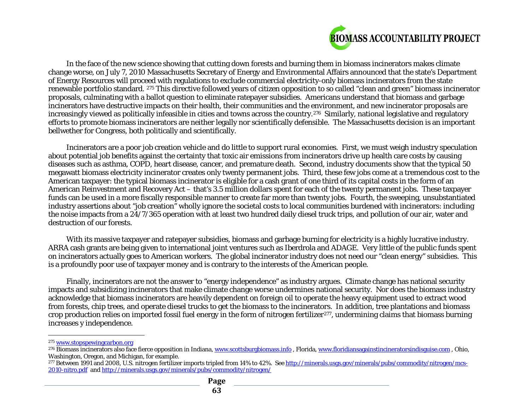<span id="page-62-2"></span><span id="page-62-1"></span><span id="page-62-0"></span>

In the face of the new science showing that cutting down forests and burning them in biomass incinerators makes climate change worse, on July 7, 2010 Massachusetts Secretary of Energy and Environmental Affairs announced that the state's Department of Energy Resources will proceed with regulations to exclude commercial electricity-only biomass incinerators from the state renewable portfolio standard. [275](#page-62-0) This directive followed years of citizen opposition to so called "clean and green" biomass incinerator proposals, culminating with a ballot question to eliminate ratepayer subsidies. Americans understand that biomass and garbage incinerators have destructive impacts on their health, their communities and the environment, and new incinerator proposals are increasingly viewed as politically infeasible in cities and towns across the country.<sup>[276](#page-62-1)</sup> Similarly, national legislative and regulatory efforts to promote biomass incinerators are neither legally nor scientifically defensible. The Massachusetts decision is an important bellwether for Congress, both politically and scientifically.

Incinerators are a poor job creation vehicle and do little to support rural economies. First, we must weigh industry speculation about potential job benefits against the certainty that toxic air emissions from incinerators drive up health care costs by causing diseases such as asthma, COPD, heart disease, cancer, and premature death. Second, industry documents show that the typical 50 megawatt biomass electricity incinerator creates only twenty permanent jobs. Third, these few jobs come at a tremendous cost to the American taxpayer: the typical biomass incinerator is eligible for a cash grant of one third of its capital costs in the form of an American Reinvestment and Recovery Act – that's 3.5 million dollars spent for each of the twenty permanent jobs. These taxpayer funds can be used in a more fiscally responsible manner to create far more than twenty jobs. Fourth, the sweeping, unsubstantiated industry assertions about "job creation" wholly ignore the societal costs to local communities burdened with incinerators: including the noise impacts from a 24/7/365 operation with at least two hundred daily diesel truck trips, and pollution of our air, water and destruction of our forests.

With its massive taxpayer and ratepayer subsidies, biomass and garbage burning for electricity is a highly lucrative industry. ARRA cash grants are being given to international joint ventures such as Iberdrola and ADAGE. Very little of the public funds spent on incinerators actually goes to American workers. The global incinerator industry does not need our "clean energy" subsidies. This is a profoundly poor use of taxpayer money and is contrary to the interests of the American people.

Finally, incinerators are not the answer to "energy independence" as industry argues. Climate change has national security impacts and subsidizing incinerators that make climate change worse undermines national security. Nor does the biomass industry acknowledge that biomass incinerators are heavily dependent on foreign oil to operate the heavy equipment used to extract wood from forests, chip trees, and operate diesel trucks to get the biomass to the incinerators. In addition, tree plantations and biomass crop production relies on imported fossil fuel energy in the form of nitrogen fertilizer<sup>[277](#page-62-2)</sup>, undermining claims that biomass burning increases y independence.

 $\overline{a}$ 

<sup>275</sup> [www.stopspewingcarbon.org](http://www.stopspewingcarbon.org/)

 $^{276}$  Biomass incinerators also face fierce opposition in Indiana[, www.scottsburgbiomass.info](http://www.scottsburgbiomass.info/) , Florida[, www.floridiansagainstincineratorsindisguise.com](http://www.floridiansagainstincineratorsindisguise.com/) , Ohio, Washington, Oregon, and Michigan, for example.

<sup>&</sup>lt;sup>277</sup> Between 1991 and 2008, U.S. nitrogen fertilizer imports tripled from 14% to 42%. Se[e http://minerals.usgs.gov/minerals/pubs/commodity/nitrogen/mcs-](http://minerals.usgs.gov/minerals/pubs/commodity/nitrogen/mcs-2010-nitro.pdf)[2010-nitro.pdf](http://minerals.usgs.gov/minerals/pubs/commodity/nitrogen/mcs-2010-nitro.pdf) and<http://minerals.usgs.gov/minerals/pubs/commodity/nitrogen/>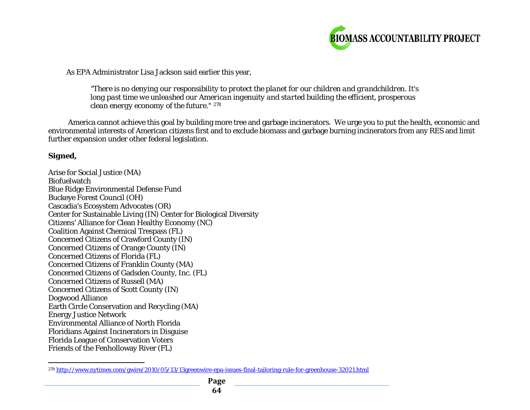<span id="page-63-0"></span>

As EPA Administrator Lisa Jackson said earlier this year,

*"There is no denying our responsibility to protect the planet for our children and grandchildren. It's long past time we unleashed our American ingenuity and started building the efficient, prosperous clean energy economy of the future." [278](#page-63-0)*

America cannot achieve this goal by building more tree and garbage incinerators. We urge you to put the health, economic and environmental interests of American citizens first and to exclude biomass and garbage burning incinerators from any RES and limit further expansion under other federal legislation.

#### *Signed,*

Arise for Social Justice (MA) **Biofuelwatch** Blue Ridge Environmental Defense Fund Buckeye Forest Council (OH) Cascadia's Ecosystem Advocates (OR) Center for Sustainable Living (IN) Center for Biological Diversity Citizens' Alliance for Clean Healthy Economy (NC) Coalition Against Chemical Trespass (FL) Concerned Citizens of Crawford County (IN) Concerned Citizens of Orange County (IN) Concerned Citizens of Florida (FL) Concerned Citizens of Franklin County (MA) Concerned Citizens of Gadsden County, Inc. (FL) Concerned Citizens of Russell (MA) Concerned Citizens of Scott County (IN) Dogwood Alliance Earth Circle Conservation and Recycling (MA) Energy Justice Network Environmental Alliance of North Florida Floridians Against Incinerators in Disguise Florida League of Conservation Voters Friends of the Fenholloway River (FL)

l <sup>278</sup> <http://www.nytimes.com/gwire/2010/05/13/13greenwire-epa-issues-final-tailoring-rule-for-greenhouse-32021.html>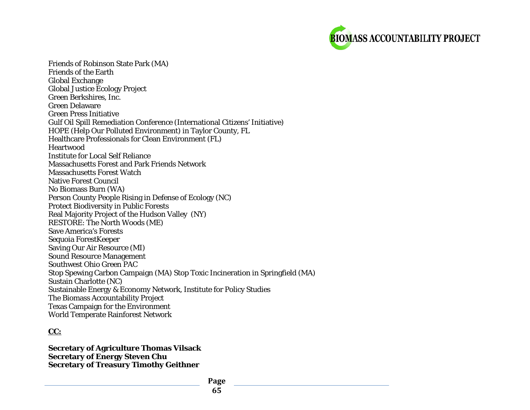

Friends of Robinson State Park (MA) Friends of the Earth Global Exchange Global Justice Ecology Project Green Berkshires, Inc. Green Delaware Green Press Initiative Gulf Oil Spill Remediation Conference (International Citizens' Initiative) HOPE (Help Our Polluted Environment) in Taylor County, FL Healthcare Professionals for Clean Environment (FL) **Heartwood** Institute for Local Self Reliance Massachusetts Forest and Park Friends Network Massachusetts Forest Watch Native Forest Council No Biomass Burn (WA) Person County People Rising in Defense of Ecology (NC) Protect Biodiversity in Public Forests Real Majority Project of the Hudson Valley (NY) RESTORE: The North Woods (ME) Save America's Forests Sequoia ForestKeeper Saving Our Air Resource (MI) Sound Resource Management Southwest Ohio Green PAC Stop Spewing Carbon Campaign (MA) Stop Toxic Incineration in Springfield (MA) Sustain Charlotte (NC) Sustainable Energy & Economy Network, Institute for Policy Studies The Biomass Accountability Project Texas Campaign for the Environment World Temperate Rainforest Network

#### *CC:*

**Secretary of Agriculture Thomas Vilsack Secretary of Energy Steven Chu Secretary of Treasury Timothy Geithner**